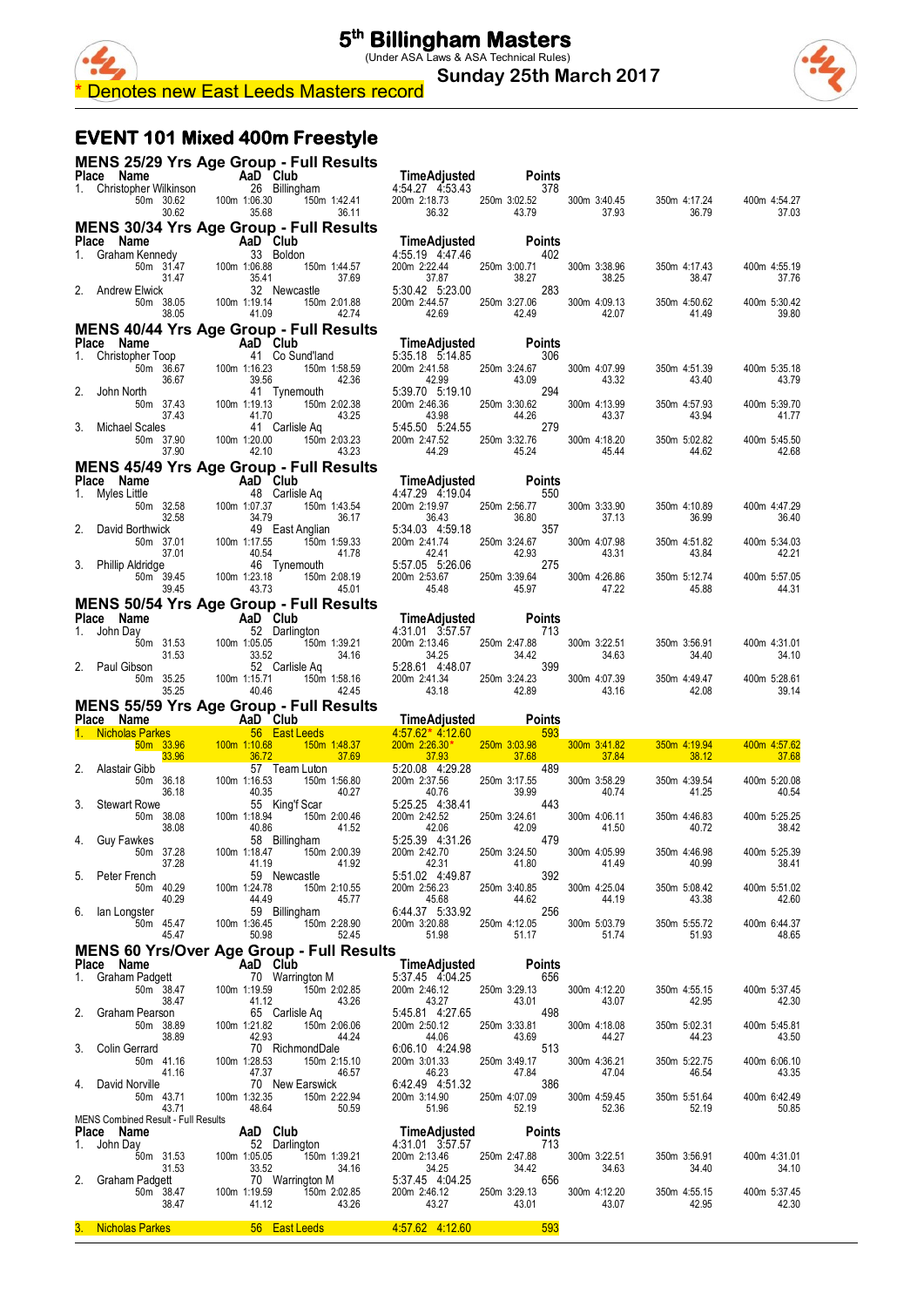**Sunday 25th March 2017**



#### **EVENT 101 Mixed 400m Freestyle**

|    |                                                                                                                                                                                                                       |                                                                                                |                                                           | MENS 25/29 Yrs Age Group - Full Results                                                                                                                                                                                              |                                                                                                                                                                                                                                                       |                                                |                                |                       |                       |
|----|-----------------------------------------------------------------------------------------------------------------------------------------------------------------------------------------------------------------------|------------------------------------------------------------------------------------------------|-----------------------------------------------------------|--------------------------------------------------------------------------------------------------------------------------------------------------------------------------------------------------------------------------------------|-------------------------------------------------------------------------------------------------------------------------------------------------------------------------------------------------------------------------------------------------------|------------------------------------------------|--------------------------------|-----------------------|-----------------------|
|    |                                                                                                                                                                                                                       |                                                                                                |                                                           |                                                                                                                                                                                                                                      |                                                                                                                                                                                                                                                       |                                                |                                |                       |                       |
|    |                                                                                                                                                                                                                       | 50m 30.62 100m 1:06.30<br>30.62 35.68                                                          |                                                           |                                                                                                                                                                                                                                      | Place Name Manne Manne Manne Manne Manne Manne Manne Manne Manne Manne Manne Manne Manne Manne Manne Manne Manne<br>1. Christopher Wilkinson 26 Billingham 4:54.27 4:53.43 378<br>50m 3.0.62 100m 1:06.30 150m 1:42.41 200m 2:18.73<br>36.32<br>36.11 | 43.79                                          | 300m 3:40.45<br>37.93          | 350m 4:17.24<br>36.79 | 400m 4:54.27<br>37.03 |
|    |                                                                                                                                                                                                                       |                                                                                                |                                                           | MENS 30/34 Yrs Age Group - Full Results                                                                                                                                                                                              |                                                                                                                                                                                                                                                       |                                                |                                |                       |                       |
|    |                                                                                                                                                                                                                       |                                                                                                |                                                           |                                                                                                                                                                                                                                      | TimeAdjusted<br>4:55.19 4:47.46                                                                                                                                                                                                                       | $Ponrs$ 402                                    |                                |                       |                       |
|    |                                                                                                                                                                                                                       |                                                                                                |                                                           | 150m 1:44.57                                                                                                                                                                                                                         | 200m 2:22.44<br>37.69<br>37.87                                                                                                                                                                                                                        | 250m 3:00.71<br>38.27                          | 300m 3:38.96<br>38.25          | 350m 4:17.43<br>38.47 | 400m 4:55.19<br>37.76 |
|    | <b>Prace Name</b><br>1. Graham Kennedy<br>1. Graham Kennedy<br>50m 31.47<br>31.47<br>2. Andrew Elwick<br>50m 38.05<br>100m 1:19.14<br><sup>31.47</sup><br>2. Newcast<br>50m 38.05<br>100m 1:19.14<br><sup>35.41</sup> |                                                                                                |                                                           | 32 Newcastle<br>150m 2:01.88                                                                                                                                                                                                         | 5:30.42 5:23.00<br>200m 2:44.57                                                                                                                                                                                                                       | 283<br>250m 3:27.06                            | 300m 4:09.13                   | 350m 4:50.62          | 400m 5:30.42          |
|    |                                                                                                                                                                                                                       | 38.05                                                                                          | 41.09                                                     | MENS 40/44 Yrs Age Group - Full Results                                                                                                                                                                                              | 42.74<br>42.69                                                                                                                                                                                                                                        | 42.49                                          | 42.07                          | 41.49                 | 39.80                 |
|    | Place Name                                                                                                                                                                                                            |                                                                                                |                                                           |                                                                                                                                                                                                                                      |                                                                                                                                                                                                                                                       | <b>Points</b>                                  |                                |                       |                       |
| 1. | Christopher Toop                                                                                                                                                                                                      | 50m 36.67<br>36.67                                                                             | 39.56                                                     | $AAD Club$ $ABD Club$ $+ 100m 1:1623$ $+ 100m 1:1623$ $+ 100m 1:1623$ $+ 150m 1:50m 1:50m 1:50m 1:50m 1:50m 1:50m 1:50m 1:50m 1:50m 1:50m 1:50m 1:50m 1:50m 1:50m 1:50m 1:50m 1:50m 1:50m 1:50m 1:50m 1:50m 1:50m 1:50m 1:50m 1:50m$ |                                                                                                                                                                                                                                                       | 306<br>250m 3:24.67<br>tin.<br>43.09           | 300m 4:07.99<br>43.32          | 350m 4:51.39<br>43.40 | 400m 5:35.18<br>43.79 |
| 2. | John North                                                                                                                                                                                                            | 50m 37.43<br>37.43                                                                             | $\begin{array}{c} 41 \\ 100 \text{m} \end{array}$ 1:19.13 | 41 Tynemouth                                                                                                                                                                                                                         | 43.25                                                                                                                                                                                                                                                 | 294<br>250m 3:30.62<br>44.26                   | 300m 4:13.99<br>43.37          | 350m 4:57.93<br>43.94 | 400m 5:39.70<br>41.77 |
| 3. | <b>Michael Scales</b>                                                                                                                                                                                                 | 50m 37.90<br>37.90                                                                             | $41.70$<br>$41$ (<br>100m 1:20.00<br>42.10                | 41 Carlisle Aq<br>150m 2:03.23                                                                                                                                                                                                       | $5:45.50$ 5:24.55<br>200m $2^{17}$ 5:24.55<br>200m 2:47.52<br>44.29<br>43.23                                                                                                                                                                          | 279<br>$250m$ 3:32.76<br>45.24                 | 300m 4:18.20<br>45.44          | 350m 5:02.82<br>44.62 | 400m 5:45.50<br>42.68 |
|    |                                                                                                                                                                                                                       |                                                                                                |                                                           | <b>MENS 45/49 Yrs Age Group - Full Results</b>                                                                                                                                                                                       |                                                                                                                                                                                                                                                       |                                                |                                |                       |                       |
|    | Place Name<br>1. Myles Little                                                                                                                                                                                         |                                                                                                |                                                           | Aab Club<br>48 Carlisle Aq<br>32.58 100m 1:07:37 150m                                                                                                                                                                                | <b>TimeAdjusted</b> Po<br>4:47.29  4:19.04                                                                                                                                                                                                            | <b>Points</b><br>550                           |                                |                       |                       |
| 2. | David Borthwick                                                                                                                                                                                                       | 50m 32.58<br>32.58                                                                             | 34.79                                                     | 150m 1:43.54<br>49 East Anglian                                                                                                                                                                                                      | 200m 2:19.97<br>36.17<br>36.43<br>5:34.03 4:59.18                                                                                                                                                                                                     | 250m 2:56.77<br>2:56.77<br>36.80<br>357        | 300m 3:33.90<br>37.13          | 350m 4:10.89<br>36.99 | 400m 4:47.29<br>36.40 |
|    | 3. Phillip Aldridge                                                                                                                                                                                                   | 50m 37.01<br>37.01                                                                             | 100m 1:17.55<br>40.54                                     | 150m 1:59.33<br>46 Tynemouth                                                                                                                                                                                                         | 200m 2:41.74<br>41.78<br>42.41<br>5:57.05 5:26.06                                                                                                                                                                                                     | 250m 3:24.67<br>42.93<br>275                   | 300m 4:07.98<br>43.31          | 350m 4:51.82<br>43.84 | 400m 5:34.03<br>42.21 |
|    |                                                                                                                                                                                                                       | 50m 39.45<br>39.45                                                                             | 100m 1:23.18<br>43.73                                     | 150m 2:08.19                                                                                                                                                                                                                         | 200m 2:53.67<br>45.01<br>45.48                                                                                                                                                                                                                        | 250m 3:39.64<br>45.97                          | 300m 4:26.86<br>47.22          | 350m 5:12.74<br>45.88 | 400m 5:57.05<br>44.31 |
|    | Place Name                                                                                                                                                                                                            |                                                                                                |                                                           | MENS 50/54 Yrs Age Group - Full Results                                                                                                                                                                                              | TimeAdjusted                                                                                                                                                                                                                                          | <b>Points</b>                                  |                                |                       |                       |
| 1. | John Day                                                                                                                                                                                                              | me<br>The Club<br>Som 31.53 100m 1:05.05<br>Som 31.53 133.33.25<br>Son 33.52<br>Som 52 Carlisl |                                                           | gton<br>150m 1:39.21<br>le Aq<br>52 Darlington                                                                                                                                                                                       | 4:31.01 3:57.57<br>200m 2:13.46<br>34.25                                                                                                                                                                                                              | 713<br>250m 2:47.88<br>34.42                   | 300m 3:22.51<br>34.63          | 350m 3:56.91<br>34.40 | 400m 4:31.01<br>34.10 |
|    | 2. Paul Gibson                                                                                                                                                                                                        | 50m 35.25<br>35.25                                                                             | 100m 1:15.71<br>40.46                                     | 52 Carlisle Aq<br>150m 1:58.16                                                                                                                                                                                                       | 5:28.61 4:48.07<br>200m 2:41.34<br>42.45<br>43.18                                                                                                                                                                                                     | 399<br>250m 3:24.23<br>42.89                   | 300m 4:07.39<br>43.16          | 350m 4:49.47<br>42.08 | 400m 5:28.61<br>39.14 |
|    |                                                                                                                                                                                                                       |                                                                                                |                                                           | <b>MENS 55/59 Yrs Age Group - Full Results</b>                                                                                                                                                                                       |                                                                                                                                                                                                                                                       |                                                |                                |                       |                       |
|    | Place Name                                                                                                                                                                                                            |                                                                                                | AaD Club                                                  |                                                                                                                                                                                                                                      | <b>TimeAdjusted</b><br><b>Contract Contract Contract Contract Contract Contract Contract Contract Contract Contract Contract Contract C</b><br>$4.5762*$ 4.12.60                                                                                      | <b>Points</b><br><u>and</u> and a<br>593       |                                |                       |                       |
|    | 1. Nicholas Parkes                               56 East Leeds<br>50m     33.96           100m   1:10.68         150m                                                                                                 | 50m 33.96<br>33.96                                                                             | 100m 1:10.68<br>36.72                                     | 150m 1:48.37                                                                                                                                                                                                                         | 200m 2:26.30*<br>37.69<br>37.93                                                                                                                                                                                                                       | 250m 3:03.98<br>$\overline{37.68}$             | 300m 3:41.82<br>37.84          | 350m 4:19.94<br>38.12 | 400m 4:57.62<br>37.68 |
| 2. | Alastair Gibb                                                                                                                                                                                                         | 50m 36.18<br>36.18                                                                             | 100m 1:16.53<br>40.35                                     | 57 Team Luton<br>150m 1:56.80                                                                                                                                                                                                        | 5:20.08 4:29.28<br>200m 2:37.56<br>40.27<br>40.76                                                                                                                                                                                                     | 489<br>250m 3:17.55<br>39.99                   | 300m 3:58.29<br>40.74          | 350m 4:39.54<br>41.25 | 400m 5:20.08<br>40.54 |
| 3. | <b>Stewart Rowe</b>                                                                                                                                                                                                   | 50m 38.08<br>38.08                                                                             | 40.35<br>4 55<br>100m 1:18.94<br>40.96<br>40.86           | 55 King'f Scar<br>150m 2:00.46                                                                                                                                                                                                       | 5:25.25 4:38.41<br>200m 2:42.52<br>41.52<br>42.06                                                                                                                                                                                                     | 443<br>$250m$ $3:24.61$<br>$42.09$<br>42.09    | 300m 4:06.11<br>41.50          | 350m 4:46.83<br>40.72 | 400m 5:25.25<br>38.42 |
|    | 4. Guy Fawkes                                                                                                                                                                                                         | 50m 37.28<br>37.28                                                                             | 100m 1:18.47                                              | 58 Billingham<br>150m 2:00.39                                                                                                                                                                                                        | 5:25.39 4:31.26<br>200m 2:42.70<br>42.31<br>41.92                                                                                                                                                                                                     | 479<br>250m 3:24.50<br>41.80                   | 300m 4:05.99<br>41.49          | 350m 4:46.98<br>40.99 | 400m 5:25.39<br>38.41 |
|    | 5. Peter French                                                                                                                                                                                                       | 50m 40.29<br>40.29                                                                             |                                                           |                                                                                                                                                                                                                                      | 41.19 41.92 42.31 41.80<br>59 Newcastle 5:51.02 4:49.87 41.80<br>44.49 45.77 45.88 44.62<br>59 Billingham 6:44.37 5:33.92                                                                                                                             |                                                | 300m 4:25.04<br>44.19          | 350m 5:08.42<br>43.38 | 400m 5:51.02<br>42.60 |
|    | 6. Ian Longster                                                                                                                                                                                                       | 50m 45.47<br>45.47                                                                             | 100m 1:36.45<br>50.98                                     | $150m$ 2:28.90                                                                                                                                                                                                                       | 200m 3:20.88<br>51.98                                                                                                                                                                                                                                 | 250m 4:12.05 30<br>250r                        | 300m 5:03.79<br>51.74          | 350m 5:55.72<br>51.93 | 400m 6:44.37<br>48.65 |
|    |                                                                                                                                                                                                                       |                                                                                                |                                                           | <b>MENS 60 Yrs/Over Age Group - Full Results</b>                                                                                                                                                                                     |                                                                                                                                                                                                                                                       |                                                |                                |                       |                       |
|    | Place Name<br>1. Graham Padgett                                                                                                                                                                                       |                                                                                                | $AaD Club  70 N/corr$                                     | 70 Warrington M                                                                                                                                                                                                                      | <b>TimeAdjusted</b><br>5:37.45 4:04.25                                                                                                                                                                                                                | <b>Points</b><br>656                           |                                |                       |                       |
|    |                                                                                                                                                                                                                       | 50m 38.47<br>38.47                                                                             | 100m 1:19.59<br>41.12                                     | 150m 2:02.85<br>43.26                                                                                                                                                                                                                |                                                                                                                                                                                                                                                       | 200m 2:46.12 250m 3:29.13<br>43.27 43.01       | 300m 4:12.20<br>43.07          | 350m 4:55.15<br>42.95 | 400m 5:37.45<br>42.30 |
| 2. | Graham Pearson                                                                                                                                                                                                        | 50m 38.89<br>38.89                                                                             | 100m 1:21.82<br>42.93                                     | 65 Carlisle Ag<br>150m 2:06.06<br>44.24                                                                                                                                                                                              | 5:45.81 4:27.65<br>200m 2:50.12<br>44.06                                                                                                                                                                                                              | 498<br>250m 3:33.81<br>43.69                   | 300m 4:18.08<br>44.27          | 350m 5:02.31<br>44.23 | 400m 5:45.81<br>43.50 |
|    | 3. Colin Gerrard                                                                                                                                                                                                      | 50m 41.16<br>41.16                                                                             | 100m 1:28.53<br>47.37                                     | 70 RichmondDale<br>150m 2:15.10<br>46.57                                                                                                                                                                                             | 6:06.10 4:24.98<br>200m 3:01.33<br>46.23                                                                                                                                                                                                              | 513<br>250m 3:49.17<br>47.84                   | 300m 4:36.21<br>47.04          | 350m 5:22.75<br>46.54 | 400m 6:06.10<br>43.35 |
|    | 4. David Norville                                                                                                                                                                                                     | 50m 43.71<br>43.71                                                                             | 100m 1:32.35<br>48.64                                     | 70 New Earswick<br>150m 2:22.94<br>50.59                                                                                                                                                                                             | 200m 3:14.90<br>51.96                                                                                                                                                                                                                                 | 6.42.49  4.51.32  386<br>250m 4:07.09<br>52.19 | 300m 4:59.45<br>52.36          | 350m 5:51.64<br>52.19 | 400m 6:42.49<br>50.85 |
|    | MENS Combined Result - Full Results<br>Place Name                                                                                                                                                                     | <b>AaD</b> Club                                                                                |                                                           |                                                                                                                                                                                                                                      | TimeAdjusted                                                                                                                                                                                                                                          | <b>Points</b>                                  |                                |                       |                       |
|    |                                                                                                                                                                                                                       |                                                                                                |                                                           | 52 Darlington                                                                                                                                                                                                                        | 4:31.01 3:57.57                                                                                                                                                                                                                                       | 713                                            |                                |                       |                       |
|    | 1. John Day                                                                                                                                                                                                           |                                                                                                |                                                           |                                                                                                                                                                                                                                      |                                                                                                                                                                                                                                                       |                                                |                                |                       |                       |
|    |                                                                                                                                                                                                                       | 50m 31.53 100m 1:05.05<br>31.53                                                                | 33.52                                                     | 150m 1:39.21<br>34.16                                                                                                                                                                                                                | 200m 2:13.46<br>34.25                                                                                                                                                                                                                                 | 250m 2:47.88<br>34.42                          | 300m 3:22.51<br>34.63          | 350m 3:56.91<br>34.40 | 400m 4:31.01<br>34.10 |
|    | 2. Graham Padgett                                                                                                                                                                                                     | 50m 38.47<br>38.47                                                                             | 100m 1:19.59<br>41.12                                     | 70 Warrington M<br>150m 2:02.85                                                                                                                                                                                                      | 5:37.45 4:04.25<br>5:37.4<br>200m<br>200m 2:46.12<br>43.26<br>43.27                                                                                                                                                                                   | 656<br>250m 3:29.13<br>43.01                   | 300m 4:12.20<br>43.07<br>43.07 | 350m 4:55.15<br>42.95 | 400m 5:37.45<br>42.30 |

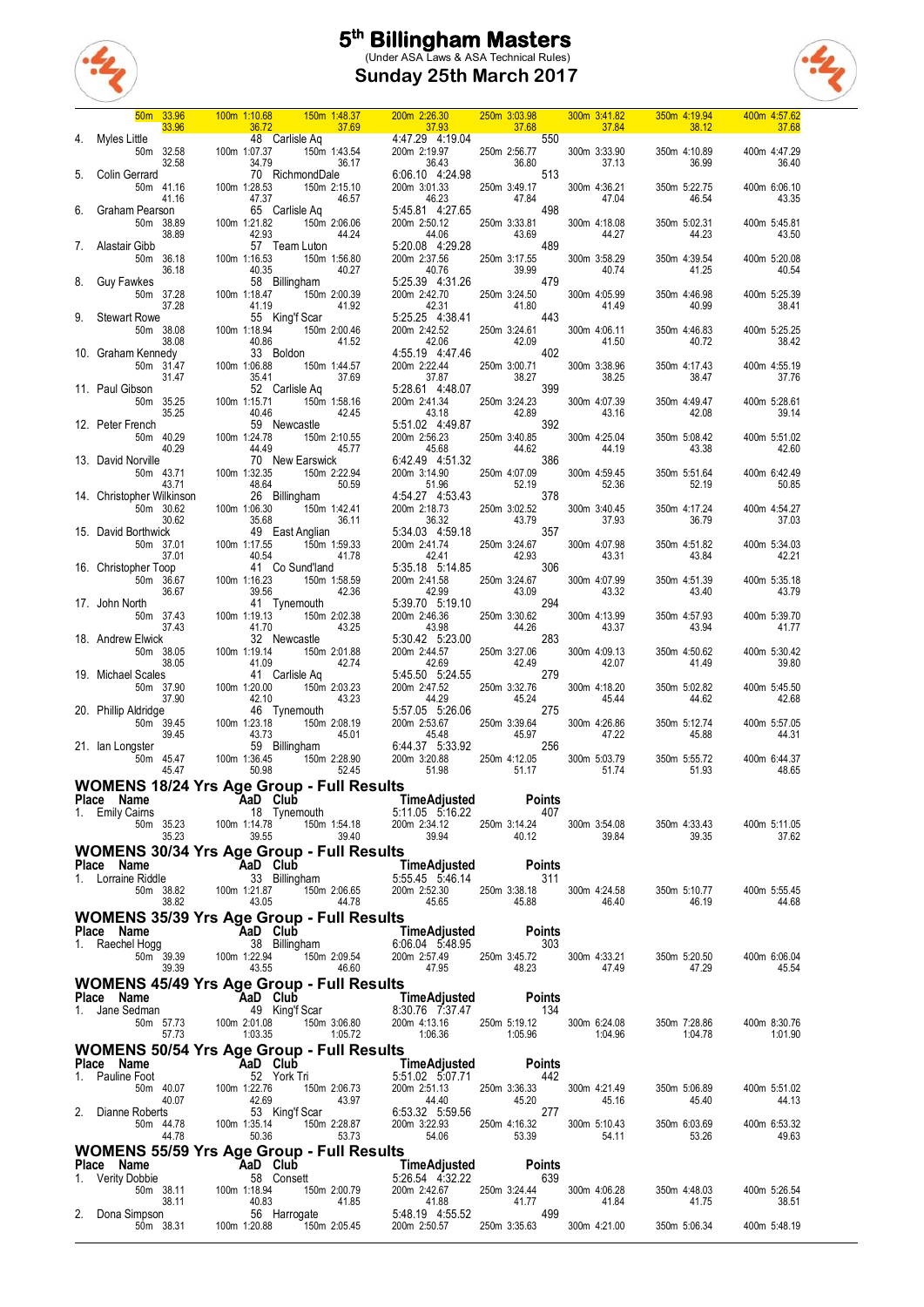

**Sunday 25th March 2017**



|    |                                                                                                                                | 50m 33.96                       |                                                                                                                       | 100m 1:10.68                                                          |                                                                                  | 150m 1:48.37          | 200m 2:26.30                                                                                                                                                                                                                                                                                                                                                     |       | 250m 3:03.98                                                                                                                                                 |        | 300m 3:41.82                          | 350m 4:19.94                                                                                                                                                                                                                                                                                               | 400m 4:57.62                                 |
|----|--------------------------------------------------------------------------------------------------------------------------------|---------------------------------|-----------------------------------------------------------------------------------------------------------------------|-----------------------------------------------------------------------|----------------------------------------------------------------------------------|-----------------------|------------------------------------------------------------------------------------------------------------------------------------------------------------------------------------------------------------------------------------------------------------------------------------------------------------------------------------------------------------------|-------|--------------------------------------------------------------------------------------------------------------------------------------------------------------|--------|---------------------------------------|------------------------------------------------------------------------------------------------------------------------------------------------------------------------------------------------------------------------------------------------------------------------------------------------------------|----------------------------------------------|
|    | Myles Little                                                                                                                   | 33.96<br>50m 32.58<br>32.58     | <b>Contract Contract Contract Contract Contract Contract Contract Contract Contract Contract Contract Contract Co</b> | 36.72                                                                 | 37.69<br>48 Carlisle Aq                                                          |                       | <u> Tanzania a Tanzania a Tanzania a Tanzania a Tanzania a Tanzania a Tanzania a Tanzania a Tanzania a Tanzania </u><br>16 Aq<br>150m 1:43.54<br>160m 1:43.54<br>16.17<br>16.17<br>16.43<br>16.10<br>16.43<br>16.10<br>16.43<br>16.10<br>16.10<br>16.10<br>16.10<br>16.10<br>16.10<br>16.10<br>16.10<br>16.10<br>16.10<br>17.19.98<br>16.10<br>16.10<br>17.19.98 |       | $\frac{120.88}{37.68}$ 37.68<br>4.47.29 4.19.04 550<br>250m 2:56.77                                                                                          | 36.80  | 37.84<br>300m 3:33.90                 | 38.12<br><b>Service Service</b><br>350m 4:10.89<br>36.99                                                                                                                                                                                                                                                   | 37.68<br>400m 4:47.29<br>36.40               |
|    | Colin Gerrard                                                                                                                  | 50m 41.16<br>41.16              |                                                                                                                       | 47.37                                                                 | 70 RichmondDale                                                                  | 46.57                 | 46.23                                                                                                                                                                                                                                                                                                                                                            |       | 513<br>250m 3:49.17<br>47.84                                                                                                                                 |        | 37.13<br>300m 4:36.21<br>47.04        | 350m 5:22.75<br>46.54                                                                                                                                                                                                                                                                                      | 400m 6:06.10<br>43.35                        |
|    | Graham Pearson                                                                                                                 | 50m 38.89<br>38.89              |                                                                                                                       | 100m 1:21.82<br>42.93                                                 | 65 Carlisle Aq                                                                   | 150m 2:06.06<br>44.24 | 5:45.81 4:27.65<br>200m 2:50.12<br>44.06                                                                                                                                                                                                                                                                                                                         |       | 250m 3:33.81<br>43.69                                                                                                                                        | 498    | 300m 4:18.08<br>44.27                 | 350m 5:02.31<br>44.23                                                                                                                                                                                                                                                                                      | 400m 5:45.81<br>43.50                        |
|    | Alastair Gibb                                                                                                                  | 50m 36.18<br>36.18              |                                                                                                                       | 100m 1:16.53<br>40.35                                                 | 57 Team Luton<br>150m 1:56.80                                                    | 40.27                 | 5:20.08 4:29.28<br>200m 2:37.56<br>40.76                                                                                                                                                                                                                                                                                                                         |       | 489<br>250m 3:17.55<br>39.99                                                                                                                                 |        | 300m 3:58.29<br>40.74                 | 350m 4:39.54<br>41.25                                                                                                                                                                                                                                                                                      | 400m 5:20.08<br>40.54                        |
| 8. | Guy Fawkes                                                                                                                     | 50m 37.28<br>37.28              |                                                                                                                       | 100m 1:18.47<br>41.19                                                 | 58 Billingham<br>150m 2:00.39                                                    | 41.92                 | 5:25.39 4:31.26<br>200m 2:42.70                                                                                                                                                                                                                                                                                                                                  | 42.31 | 479<br>250m 3:24.50<br>41.80                                                                                                                                 |        | 300m 4:05.99<br>41.49                 | 350m 4:46.98<br>40.99                                                                                                                                                                                                                                                                                      | 400m 5:25.39<br>38.41                        |
|    | <b>Stewart Rowe</b>                                                                                                            | 50m 38.08<br>38.08              |                                                                                                                       | 100m 1:18.94                                                          | 55 King'f Scar<br>150m 2:00.46<br>$150$<br>$40.86$<br>$33$ Boldon<br>$1:06$ $88$ | 41.52                 |                                                                                                                                                                                                                                                                                                                                                                  |       | 5:25.25 4:38.41 443<br>200m 2:42.52 250m 3:24.61<br>42.06 42.09<br>4:55.19 4:47.46 402                                                                       |        | 300m 4:06.11<br>41.50                 | 350m 4:46.83<br>40.72                                                                                                                                                                                                                                                                                      | 400m 5:25.25<br>38.42                        |
|    | 10. Graham Kennedy                                                                                                             | 50m 31.47<br>31.47              |                                                                                                                       | 35.41                                                                 | $150m$ 1:44.57<br>35.41 37.69<br>52 Carlisle Aq                                  | 37.69                 | 200m 2:22.44                                                                                                                                                                                                                                                                                                                                                     |       | 250m 3:00.71 300m 3:38.96<br>38.27 38.25<br>$\begin{array}{r} 23611 \overline{)37.87} \\ 37.87 \overline{)38.27} \\ 5.28.61 \overline{)4.48.07} \end{array}$ |        |                                       | 350m 4:17.43<br>38.47                                                                                                                                                                                                                                                                                      | 400m 4:55.19<br>37.76                        |
|    | 11. Paul Gibson                                                                                                                | 50m 35.25<br>35.25              |                                                                                                                       | 100m 1:15.71<br>40.46                                                 |                                                                                  | 150m 1:58.16<br>42.45 | 200m 2:41.34<br>43.18                                                                                                                                                                                                                                                                                                                                            |       | 250m 3:24.23<br>42.89<br>$5.51.02 \t 4.49.87 \t 392$                                                                                                         | 399    | 300m 4:07.39<br>43.16                 | 350m 4:49.47<br>42.08                                                                                                                                                                                                                                                                                      | 400m 5:28.61<br>39.14                        |
|    | 12. Peter French<br>13. David Norville                                                                                         | 50m 40.29<br>40.29              |                                                                                                                       | 100m 1:24.78<br>44.49                                                 | 59 Newcastle<br>70 New Earswick                                                  | 150m 2:10.55<br>45.77 | 200m 2:56.23<br>45.68<br>6:42.49 4:51.32                                                                                                                                                                                                                                                                                                                         |       | 250m 3:40.85 300m 4:25.04<br>44.62 44.19<br>$\frac{1}{286}$                                                                                                  |        |                                       | 350m 5:08.42<br>43.38                                                                                                                                                                                                                                                                                      | 400m 5:51.02<br>42.60                        |
|    | 14. Christopher Wilkinson                                                                                                      | 50m 43.71<br>43.71              |                                                                                                                       | 48.64                                                                 | 100m 1:32.35 150m 2:22.94<br>26 Billingham                                       | 50.59                 | 200m 3:14.90<br>51.96<br>4:54.27 4:53.43                                                                                                                                                                                                                                                                                                                         |       | 250m 4:07.09<br>52.19<br>378                                                                                                                                 |        | 300m 4:59.45<br>52.36                 | 350m 5:51.64<br>52.19                                                                                                                                                                                                                                                                                      | 400m 6:42.49<br>50.85                        |
|    | 15. David Borthwick                                                                                                            | 50m 30.62<br>30.62              |                                                                                                                       | 100m 1:06.30                                                          | $150m$ 1:42.41<br>$35.68$<br>$49$ East Anglian                                   | 36.11                 | 200m 2:18.73                                                                                                                                                                                                                                                                                                                                                     | 36.32 | 250m 3:02.52<br>43.79<br>5:34.03  4:59.18    357                                                                                                             |        | 300m 3:40.45<br>37.93                 | 350m 4:17.24<br>36.79                                                                                                                                                                                                                                                                                      | 400m 4:54.27<br>37.03                        |
|    | 16. Christopher Toop                                                                                                           | 50m 37.01<br>37.01              |                                                                                                                       | 100m 1:17.55<br>40.54                                                 | 150m 1:59.33<br>41.78<br>41 Co Sund'land                                         | 41.78                 | 200m 2:41.74<br>5:35.18 5:14.85                                                                                                                                                                                                                                                                                                                                  | 42.41 | $250m$ 3:24.67<br>$\frac{1}{200}$ 306                                                                                                                        |        | 300m 4:07.98<br>43.31                 | 350m 4:51.82<br>43.84                                                                                                                                                                                                                                                                                      | 400m 5:34.03<br>42.21                        |
|    | 17. John North                                                                                                                 | 50m 36.67<br>36.67              |                                                                                                                       | 100m 1:16.23<br>39.56                                                 | 150m 1:58.59<br>41 Tynemouth                                                     | 42.36                 | 200m 2:41.58<br>42.99<br>5:39.70 5:19.10                                                                                                                                                                                                                                                                                                                         |       | 250m 3:24.67<br>43.09                                                                                                                                        | 294    | 300m 4:07.99<br>43.32                 | 350m 4:51.39<br>43.40                                                                                                                                                                                                                                                                                      | 400m 5:35.18<br>43.79                        |
|    | 18. Andrew Elwick                                                                                                              | 50m 37.43<br>37.43              |                                                                                                                       | 100m 1:19.13<br>41.70                                                 | 150m 2:02.38<br>32 Newcastle                                                     | 43.25                 | 200m 2:46.36<br>43.98<br>5:30.42 5:23.00                                                                                                                                                                                                                                                                                                                         |       | 250m 3:30.62<br>44.26<br>283                                                                                                                                 |        | 300m 4:13.99<br>43.37                 | 350m 4:57.93<br>43.94                                                                                                                                                                                                                                                                                      | 400m 5:39.70<br>41.77                        |
|    | 19. Michael Scales                                                                                                             | 50m 38.05<br>38.05<br>50m 37.90 |                                                                                                                       | 100m 1:19.14<br>41.09<br>100m 1:20.00                                 | 150m 2:01.88<br>41 Carlisle Aq                                                   | 42.74<br>150m 2:03.23 | 200m 2:44.57<br>42.69<br>5:45.50 5:24.55<br>200m 2:47.52                                                                                                                                                                                                                                                                                                         |       | 250m 3:27.06<br>42.49<br>279<br>250m 3:32.76                                                                                                                 |        | 300m 4:09.13<br>42.07<br>300m 4:18.20 | 350m 4:50.62<br>41.49<br>350m 5:02.82                                                                                                                                                                                                                                                                      | 400m 5:30.42<br>39.80<br>400m 5:45.50        |
|    | 20. Phillip Aldridge                                                                                                           | 37.90<br>50m 39.45              |                                                                                                                       |                                                                       | 46 Tynemouth                                                                     | 43.23<br>150m 2:08.19 | 44.29                                                                                                                                                                                                                                                                                                                                                            |       | 45.24                                                                                                                                                        | 275    | 45.44<br>300m 4:26.86                 | 44.62<br>350m 5:12.74                                                                                                                                                                                                                                                                                      | 42.68<br>400m 5:57.05                        |
|    | 21. Ian Longster                                                                                                               | 39.45<br>50m 45.47              |                                                                                                                       | $100m$ $42.10$ $46.10$ $43.73$ $59$ $100m$ $1.36.45$ $100m$ $1.36.45$ | 59 Billingham                                                                    | 45.01                 | 5:57.05 5:20.00<br>200m 2:53.67 250m 3:39.64<br>45.48 45.97<br>6:44.37 5:33.92 200m 3:20.88 250m 4:12.05<br>51.98 51.17                                                                                                                                                                                                                                          |       |                                                                                                                                                              | 256    | 47.22                                 | 45.88<br>350m 5:55.72                                                                                                                                                                                                                                                                                      | 44.31<br>400m 6:44.37                        |
|    | WOMENS 18/24 Yrs Age Group - Full Results                                                                                      | 45.47                           |                                                                                                                       | 50.98                                                                 | 150m 2:28.90<br>52.45                                                            |                       |                                                                                                                                                                                                                                                                                                                                                                  |       |                                                                                                                                                              |        |                                       | 250m 4:12.05 300m 5:03.79 350m<br>51.17 51.74<br>51.93                                                                                                                                                                                                                                                     | 48.65                                        |
|    | Place Name<br>1. Emily Cairns                                                                                                  |                                 |                                                                                                                       |                                                                       |                                                                                  |                       |                                                                                                                                                                                                                                                                                                                                                                  |       |                                                                                                                                                              |        |                                       |                                                                                                                                                                                                                                                                                                            |                                              |
|    | <b>WOMENS 30/34 Yrs Age Group - Full Results</b>                                                                               |                                 |                                                                                                                       |                                                                       |                                                                                  |                       |                                                                                                                                                                                                                                                                                                                                                                  |       |                                                                                                                                                              |        |                                       | 11.13 AaD Club<br>aims 18 Tynemouth 5:11.05 5:16.22 407<br>50m 35.23 100m 1:14.78 150m 1:54.18 200m 2:34.12 250m 3:14.24 300m 3:54.08 350m 4:33.43 400m 5:11.05<br>35.23 39.35 39.40 39.94 40.12 300m 3:54.08 39.84 39.35 37.62                                                                            |                                              |
|    |                                                                                                                                |                                 |                                                                                                                       |                                                                       |                                                                                  |                       |                                                                                                                                                                                                                                                                                                                                                                  |       |                                                                                                                                                              |        |                                       |                                                                                                                                                                                                                                                                                                            |                                              |
|    |                                                                                                                                |                                 |                                                                                                                       |                                                                       |                                                                                  |                       |                                                                                                                                                                                                                                                                                                                                                                  |       |                                                                                                                                                              |        |                                       | <b>Place Name Many 1988-1988</b><br><b>Place Name Club</b><br><b>Example 1988-19</b><br><b>Example 1988-19</b><br><b>Example 1988-19</b><br><b>Example 1988-19</b><br><b>Example 1988-19</b><br><b>Example 1988-19</b><br><b>Example 1988-19</b><br><b>Example 1988-19</b><br><b>Example 1999-1999-199</b> |                                              |
|    | <b>WOMENS 35/39 Yrs Age Group - Full Results</b>                                                                               |                                 |                                                                                                                       |                                                                       |                                                                                  |                       | <b>TimeAdjusted</b>                                                                                                                                                                                                                                                                                                                                              |       |                                                                                                                                                              | Points |                                       |                                                                                                                                                                                                                                                                                                            |                                              |
|    | <b>Place Name MaD Club</b><br>1. Raechel Hogg 38 Billingham<br>50m 39.39 100m 1:22.94 150m 2:09.54                             |                                 |                                                                                                                       |                                                                       |                                                                                  |                       | 1 <b>01nts</b><br>1907 - 16:06.04 Millingham<br>1908 - 16:09.54 200m 2:57.49 250m 3:45.72                                                                                                                                                                                                                                                                        |       |                                                                                                                                                              |        |                                       |                                                                                                                                                                                                                                                                                                            |                                              |
|    |                                                                                                                                | 39.39                           |                                                                                                                       |                                                                       | 43.55 46.60                                                                      |                       |                                                                                                                                                                                                                                                                                                                                                                  |       |                                                                                                                                                              |        |                                       | 200m 2:57.49 250m 3:45.72 300m 4:33.21 350m 5:20.50 400m 6:06.04<br>47.95 48.23 47.49 47.29 45.54                                                                                                                                                                                                          |                                              |
|    | <b>WOMENS 45/49 Yrs Age Group - Full Results</b>                                                                               |                                 |                                                                                                                       |                                                                       |                                                                                  |                       |                                                                                                                                                                                                                                                                                                                                                                  |       |                                                                                                                                                              |        |                                       |                                                                                                                                                                                                                                                                                                            |                                              |
|    |                                                                                                                                |                                 |                                                                                                                       |                                                                       |                                                                                  |                       |                                                                                                                                                                                                                                                                                                                                                                  |       |                                                                                                                                                              |        |                                       | <b>Place Name 49 King Club</b><br>1. Jane Sedman 49 King 1 201.08 100m 2:01.08 100m 2:01.08 100m 3:06.80 200m 4:13.16 250m 5:19.12 300m 6:24.08 350m 7:28.86<br>57.73 100m 2:01.08 150m 3:06.80 200m 4:13.16 250m 5:19.12 300m 6:24.08 35                                                                  |                                              |
|    |                                                                                                                                |                                 |                                                                                                                       |                                                                       |                                                                                  |                       |                                                                                                                                                                                                                                                                                                                                                                  |       |                                                                                                                                                              |        |                                       |                                                                                                                                                                                                                                                                                                            | 350m 7:28.86 400m 8:30.76<br>1:04.78 1:01.90 |
|    | <b>WOMENS 50/54 Yrs Age Group - Full Results</b>                                                                               |                                 |                                                                                                                       |                                                                       |                                                                                  |                       | <b>Place Name</b><br>1. Pauline Foot <b>AaD Club</b><br>1. Pauline Foot <b>1. Pauline Foot</b> 52 York Tri 5551.02 5:07.71 442                                                                                                                                                                                                                                   |       |                                                                                                                                                              |        |                                       |                                                                                                                                                                                                                                                                                                            |                                              |
|    |                                                                                                                                |                                 |                                                                                                                       |                                                                       | ork Tri<br>150m 2:06.73<br>ing f Scar<br>ing f Scar                              |                       |                                                                                                                                                                                                                                                                                                                                                                  |       | 200m 2:51.13 250m 3:36.33 300m 4:21.49<br>44.40 45.20 45.16                                                                                                  |        |                                       | 45.40                                                                                                                                                                                                                                                                                                      | 350m 5:06.89 400m 5:51.02<br>44.13           |
|    | 1. 1. 1. 1. 1. 1. 50m<br>50m<br>50m<br>40.07<br>42. 69<br>50m<br>50m<br>50. 100m<br>50. 1.35.14<br>50. 44.78<br>44.78<br>50.36 | 44.78                           |                                                                                                                       |                                                                       | 53 King'f Scar<br>$150m$ 2:28.87<br>50.36 53.73                                  |                       |                                                                                                                                                                                                                                                                                                                                                                  |       | 6.53.32 5.59.56 277<br>200m 3:22.93 250m 4:16.32 300m 5:10.43<br>54.06 53.39 54.11                                                                           |        |                                       | 53.26                                                                                                                                                                                                                                                                                                      | 350m 6:03.69 400m 6:53.32<br>49.63           |
|    | <b>WOMENS 55/59 Yrs Age Group - Full Results</b>                                                                               |                                 |                                                                                                                       |                                                                       |                                                                                  |                       |                                                                                                                                                                                                                                                                                                                                                                  |       |                                                                                                                                                              |        |                                       |                                                                                                                                                                                                                                                                                                            |                                              |
|    | <b>Place Name</b><br>1. Verity Dobbie<br>1. Verity Dobbie<br>58 Consett                                                        |                                 |                                                                                                                       |                                                                       |                                                                                  |                       |                                                                                                                                                                                                                                                                                                                                                                  |       | TimeAdjusted Points<br>5:26.54 4:32.22 639                                                                                                                   |        |                                       |                                                                                                                                                                                                                                                                                                            |                                              |
|    |                                                                                                                                |                                 |                                                                                                                       |                                                                       |                                                                                  |                       |                                                                                                                                                                                                                                                                                                                                                                  |       |                                                                                                                                                              |        |                                       | 1. Verity Dobbie<br>1. Verity Dobbie<br>58 Consett<br>58 Consett<br>58 Consett<br>59 Consett<br>59 Consett<br>59 Consett<br>59 Consett<br>59 Consett<br>59 1.1 40.83<br>41.85<br>59 200m 2:42.67<br>41.88<br>41.88<br>41.77<br>41.84<br>41.84<br>41.84<br>41.84<br>41.                                     |                                              |
|    |                                                                                                                                |                                 |                                                                                                                       |                                                                       |                                                                                  |                       |                                                                                                                                                                                                                                                                                                                                                                  |       |                                                                                                                                                              |        |                                       |                                                                                                                                                                                                                                                                                                            |                                              |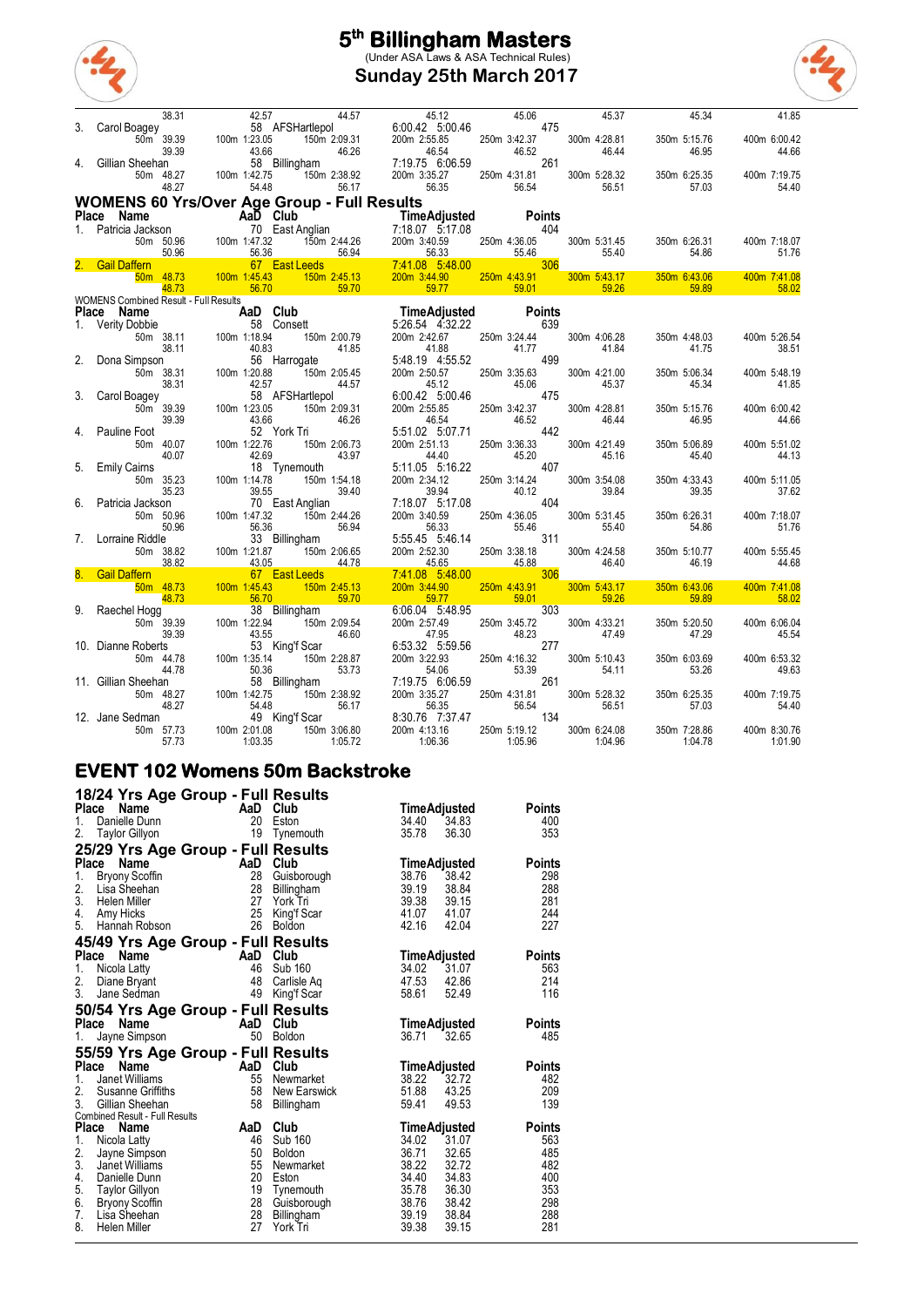

**Sunday 25th March 2017**



|              | 38.31<br>38.31 42.57<br>/ Carol Boagey 58 58<br>50m 39.39 100m 1:23.05                                                                                    |                       |                                                                                                                       | $58$ AFSHartlepol $6:00.42$ 5.00.46 45.06 475<br>23.05 150m 2:09.31 200m 2:55.85 250m 3:42.37                                                                                                                                |                       | 45.37                 | 45.34                                   | 41.85                 |
|--------------|-----------------------------------------------------------------------------------------------------------------------------------------------------------|-----------------------|-----------------------------------------------------------------------------------------------------------------------|------------------------------------------------------------------------------------------------------------------------------------------------------------------------------------------------------------------------------|-----------------------|-----------------------|-----------------------------------------|-----------------------|
| 3.           |                                                                                                                                                           |                       |                                                                                                                       |                                                                                                                                                                                                                              |                       | 300m 4:28.81          | 350m 5:15.76                            | 400m 6:00.42          |
|              | 39.39                                                                                                                                                     | 43.66                 | 46.26                                                                                                                 | 46.54                                                                                                                                                                                                                        | 46.52                 | 46.44                 | 46.95                                   | 44.66                 |
| 4.           | Gillian Sheehan                                                                                                                                           |                       | 58 Billingham                                                                                                         | 7:19.75 6:06.59                                                                                                                                                                                                              |                       | 261                   |                                         |                       |
|              | 50m 48.27                                                                                                                                                 | 100m 1:42.75          | 150m 2:38.92                                                                                                          |                                                                                                                                                                                                                              | 250m 4:31.81          | 300m 5:28.32          | 350m 6:25.35                            | 400m 7:19.75          |
|              | 48.27                                                                                                                                                     | 54.48                 | 56.17                                                                                                                 | $200m$ 3:35.27 250m 4<br>56.35                                                                                                                                                                                               | 56.54                 | 56.51                 | 57.03                                   | 54.40                 |
|              | <b>WOMENS 60 Yrs/Over Age Group - Full Results</b>                                                                                                        |                       |                                                                                                                       |                                                                                                                                                                                                                              |                       |                       |                                         |                       |
|              | <b>Place Name Care Constraine Capital Club</b><br>1. Patricia Jackson 70 East Anglian 7:18.07 5:17.08<br>50m 50.96 100m 1:47.32 150m 2:44.26 200m 3:40.59 |                       |                                                                                                                       | TimeAdjusted Points<br>7:18.07 5:17.08 404                                                                                                                                                                                   |                       |                       |                                         |                       |
|              |                                                                                                                                                           |                       |                                                                                                                       |                                                                                                                                                                                                                              |                       |                       |                                         |                       |
|              |                                                                                                                                                           |                       |                                                                                                                       |                                                                                                                                                                                                                              | 250m 4:36.05          | 300m 5:31.45          | 350m 6:26.31                            | 400m 7:18.07          |
|              | 50.96<br>$\frac{50.36}{20.36}$                                                                                                                            | 56.36                 | 56.94                                                                                                                 | 56.33                                                                                                                                                                                                                        | 55.46                 | 55.40                 | 54.86                                   | 51.76                 |
|              | 2. Gail Daffern                                                                                                                                           | 100m 1:45.43          | 67 East Leeds                                                                                                         | $\frac{56.94}{2.45.13}$ $\frac{56.33}{7.41.08}$ $\frac{56.46}{5.48.00}$ $\frac{56.46}{2.45.13}$ $\frac{200 \text{m} \cdot 3.44.90}{2.45.90}$ $\frac{250 \text{m} \cdot 4.43.91}{250 \text{m} \cdot 4.43.91}$<br>200m 3:44.90 | 250m 4:43.91          | 300m 5:43.17          |                                         |                       |
|              | 50 <sub>m</sub> 48.73<br>48.73                                                                                                                            | 56.70                 | 150m 2:45.13<br>59.70                                                                                                 | <u>a sa sa</u><br>59.77                                                                                                                                                                                                      | 59.01                 | 59.26                 | 350m 6:43.06<br><u> La Bar</u><br>59.89 | 400m 7:41.08<br>58.02 |
|              | <b>WOMENS Combined Result - Full Results</b>                                                                                                              |                       | <b>Contract Contract Contract Contract Contract Contract Contract Contract Contract Contract Contract Contract Co</b> |                                                                                                                                                                                                                              |                       |                       |                                         |                       |
| <b>Place</b> | Name                                                                                                                                                      |                       |                                                                                                                       | <b>Time Adjusted<br/> Time Adjusted</b><br>50bbie 58 Consett<br>50m 38.11 100m 1:18.94 150m 2:00.79 200m 2:42.67 250m 3                                                                                                      | <b>Points</b>         |                       |                                         |                       |
|              | 1. Verity Dobbie                                                                                                                                          |                       |                                                                                                                       |                                                                                                                                                                                                                              |                       | 639                   |                                         |                       |
|              |                                                                                                                                                           |                       |                                                                                                                       |                                                                                                                                                                                                                              | 250m 3:24.44          | 300m 4:06.28          | 350m 4:48.03                            | 400m 5:26.54          |
| 2.           | 38.11                                                                                                                                                     | 40.83                 | 41.85                                                                                                                 | 41.88                                                                                                                                                                                                                        | 41.77<br>499          | 41.84                 | 41.75                                   | 38.51                 |
|              | Dona Simpson<br>50m 38.31                                                                                                                                 | 100m 1:20.88          | 56 Harrogate<br>150m 2:05.45                                                                                          | 5:48.19 4:55.52<br>200m 2:50.57                                                                                                                                                                                              | 250m 3:35.63          | 300m 4:21.00          | 350m 5:06.34                            | 400m 5:48.19          |
|              | 38.31                                                                                                                                                     | 42.57                 | 44.57                                                                                                                 | 45.12                                                                                                                                                                                                                        | 45.06                 | 45.37                 | 45.34                                   | 41.85                 |
| 3.           | Carol Boagey                                                                                                                                              |                       | 58 AFSHartlepol                                                                                                       | 6.00.42 5:00.46                                                                                                                                                                                                              | 475                   |                       |                                         |                       |
|              | 50m 39.39                                                                                                                                                 | 100m 1:23.05          | 150m 2:09.31                                                                                                          | 200m 2:55.85                                                                                                                                                                                                                 | 250m 3:42.37          | 300m 4:28.81          | 350m 5:15.76                            | 400m 6:00.42          |
|              | 39.39                                                                                                                                                     | 43.66                 | 46.26                                                                                                                 | 46.54                                                                                                                                                                                                                        | 46.52                 | 46.44                 | 46.95                                   | 44.66                 |
| 4.           | <b>Pauline Foot</b>                                                                                                                                       |                       | 52 York Tri                                                                                                           | 5:51.02 5:07.71                                                                                                                                                                                                              | 442                   |                       |                                         |                       |
|              | 50m 40.07<br>40.07                                                                                                                                        | 100m 1:22.76<br>42.69 | 150m 2:06.73<br>43.97                                                                                                 | 200m 2:51.13<br>44.40                                                                                                                                                                                                        | 250m 3:36.33<br>45.20 | 300m 4:21.49<br>45.16 | 350m 5:06.89<br>45.40                   | 400m 5:51.02<br>44.13 |
| 5.           | <b>Emily Cairns</b>                                                                                                                                       |                       | 18 Tynemouth                                                                                                          | 5:11.05 5:16.22                                                                                                                                                                                                              | 407                   |                       |                                         |                       |
|              | 50m 35.23                                                                                                                                                 | 100m 1:14.78          | 150m 1:54.18                                                                                                          | 200m 2:34.12                                                                                                                                                                                                                 | 250m 3:14.24          | 300m 3:54.08          | 350m 4:33.43                            | 400m 5:11.05          |
|              | 35.23                                                                                                                                                     | 39.55                 | 39.40                                                                                                                 | 39.94                                                                                                                                                                                                                        | 40.12                 | 39.84                 | 39.35                                   | 37.62                 |
| 6.           | Patricia Jackson                                                                                                                                          |                       | 70 East Anglian                                                                                                       | 7:18.07 5:17.08                                                                                                                                                                                                              | 404                   |                       |                                         |                       |
|              | 50m 50.96                                                                                                                                                 | 100m 1:47.32          | 150m 2:44.26                                                                                                          | 200m 3:40.59                                                                                                                                                                                                                 | 250m 4:36.05          | 300m 5:31.45          | 350m 6:26.31                            | 400m 7:18.07          |
| 7.           | 50.96<br>Lorraine Riddle                                                                                                                                  | 56.36                 | 56.94<br>33 Billingham                                                                                                | 56.33<br>5:55.45 5:46.14                                                                                                                                                                                                     | 55.46                 | 55.40<br>311          | 54.86                                   | 51.76                 |
|              | 50m 38.82                                                                                                                                                 | 100m 1:21.87          | 150m 2:06.65                                                                                                          | 200m 2:52.30                                                                                                                                                                                                                 | 250m 3:38.18          | 300m 4:24.58          | 350m 5:10.77                            | 400m 5:55.45          |
|              | 38.82                                                                                                                                                     | 43.05                 | 44.78                                                                                                                 | 45.65                                                                                                                                                                                                                        | 45.88                 | 46.40                 | 46.19                                   | 44.68                 |
|              | 8. Gail Daffern<br><b>Service Service</b>                                                                                                                 |                       | 67 East Leeds                                                                                                         | 7:41.08 5:48.00                                                                                                                                                                                                              | <u> Tanzania (</u>    | 306                   |                                         |                       |
|              | 50m 48.73                                                                                                                                                 | 100m 1:45.43          | 150m 2:45.13                                                                                                          | 200m 3:44.90                                                                                                                                                                                                                 | 250m 4:43.91          | 300m 5:43.17          | 350m 6:43.06                            | 400m 7:41.08          |
|              | 48.73                                                                                                                                                     | 56.70                 | 59.70                                                                                                                 | 59.77                                                                                                                                                                                                                        |                       | 59.26<br>303          | 59.89                                   | 58.02                 |
|              | 9. Raechel Hogg<br>50m 39.39                                                                                                                              | 100m 1:22.94          | 38 Billingham<br>150m 2:09.54                                                                                         | 6:06.04 5:48.95<br>200m 2:57.49                                                                                                                                                                                              | 250m 3:45.72          | 300m 4:33.21          | 350m 5:20.50                            | 400m 6:06.04          |
|              | 39.39                                                                                                                                                     | 43.55                 | 46.60                                                                                                                 | 47.95                                                                                                                                                                                                                        | 2500<br>48.23         | 47.49                 | 47.29                                   | 45.54                 |
|              | 10. Dianne Roberts                                                                                                                                        |                       | 53 King'f Scar                                                                                                        | 6:53.32 5:59.56                                                                                                                                                                                                              |                       | 277                   |                                         |                       |
|              | 50m 44.78                                                                                                                                                 | 100m 1:35.14          | 150m 2:28.87                                                                                                          | 200m 3:22.93                                                                                                                                                                                                                 | 250m 4:16.32          | 300m 5:10.43          | 350m 6:03.69                            | 400m 6:53.32          |
|              | 44.78                                                                                                                                                     | 50.36                 | 53.73                                                                                                                 | 54.06                                                                                                                                                                                                                        | 53.39                 | 54.11                 | 53.26                                   | 49.63                 |
|              | 11. Gillian Sheehan                                                                                                                                       |                       | 58 Billingham                                                                                                         | 7:19.75 6:06.59                                                                                                                                                                                                              |                       | 261                   |                                         |                       |
|              | 50m 48.27<br>48.27                                                                                                                                        | 100m 1:42.75<br>54.48 | 150m 2:38.92<br>56.17                                                                                                 | 200m 3:35.27<br>56.35                                                                                                                                                                                                        | 250m 4:31.81<br>56.54 | 300m 5:28.32<br>56.51 | 350m 6:25.35<br>57.03                   | 400m 7:19.75<br>54.40 |
|              | 12. Jane Sedman                                                                                                                                           |                       | 49 King'f Scar                                                                                                        | 8:30.76 7:37.47                                                                                                                                                                                                              | 134                   |                       |                                         |                       |
|              | 50m 57.73                                                                                                                                                 | 100m 2:01.08          | 150m 3:06.80                                                                                                          | 200m 4:13.16                                                                                                                                                                                                                 | 250m 5:19.12          | 300m 6:24.08          | 350m 7:28.86                            | 400m 8:30.76          |
|              | 57.73                                                                                                                                                     | 1:03.35               | 1:05.72                                                                                                               | 1:06.36                                                                                                                                                                                                                      | 1:05.96               | 1:04.96               | 1:04.78                                 | 1:01.90               |

#### **EVENT 102 Womens 50m Backstroke**

| 18/24 Yrs Age Group - Full Results<br><b>Place</b><br>Name<br>Danielle Dunn<br>1.                                                                                        | AaD Club<br>20                         | Eston                                                          | TimeAdjusted<br>34.40<br>34.83                                                                                | Points<br>400                                    |
|--------------------------------------------------------------------------------------------------------------------------------------------------------------------------|----------------------------------------|----------------------------------------------------------------|---------------------------------------------------------------------------------------------------------------|--------------------------------------------------|
| 2.<br><b>Taylor Gillyon</b>                                                                                                                                              | 19                                     | Tynemouth                                                      | 36.30<br>35.78                                                                                                | 353                                              |
| 25/29 Yrs Age Group - Full Results<br>Place<br>Name<br>1.<br><b>Bryony Scoffin</b><br>2.<br>Lisa Sheehan<br>3.<br>Helen Miller<br>4.<br>Amy Hicks<br>5.<br>Hannah Robson | AaD Club<br>28<br>28<br>27<br>25<br>26 | Guisborough<br>Billingham<br>York Tri<br>King'f Scar<br>Boldon | <b>TimeAdjusted</b><br>38.76<br>38.42<br>39.19<br>38.84<br>39.38<br>39.15<br>41.07<br>41.07<br>42.16<br>42.04 | <b>Points</b><br>298<br>288<br>281<br>244<br>227 |
| 45/49 Yrs Age Group - Full Results                                                                                                                                       |                                        |                                                                |                                                                                                               |                                                  |
| Place<br>Name<br><b>Example 2</b> AaD Club<br>1.<br>Nicola Latty<br>2.<br>Diane Bryant<br>3.<br>Jane Sedman                                                              | 46<br>48<br>49                         | Sub 160<br>Carlisle Ag<br>King'f Scar                          | <b>TimeAdjusted</b><br>34.02<br>31.07<br>47.53<br>42.86<br>58.61<br>52.49                                     | <b>Points</b><br>563<br>214<br>116               |
| 50/54 Yrs Age Group - Full Results<br><b>Place</b><br><b>Name</b>                                                                                                        | <b>Example 2</b>                       | Club                                                           | <b>TimeAdjusted</b>                                                                                           | Points                                           |
| Jayne Simpson<br>1.                                                                                                                                                      | 50                                     | <b>Boldon</b>                                                  | 36.71<br>32.65                                                                                                | 485                                              |
| 55/59 Yrs Age Group - Full Results                                                                                                                                       |                                        |                                                                |                                                                                                               |                                                  |
| Place<br>Name                                                                                                                                                            | <b>Example 2</b>                       | Club                                                           | <b>TimeAdjusted</b>                                                                                           | <b>Points</b>                                    |
| Janet Williams<br>1.                                                                                                                                                     | 55                                     | Newmarket                                                      | 38.22<br>32.72                                                                                                | 482                                              |
| 2.<br>Susanne Griffiths<br>3.<br>Gillian Sheehan                                                                                                                         | 58<br>58                               | New Earswick<br>Billingham                                     | 51.88<br>43.25<br>59.41<br>49.53                                                                              | 209<br>139                                       |
| Combined Result - Full Results                                                                                                                                           |                                        |                                                                |                                                                                                               |                                                  |
| <b>Place</b><br>Name                                                                                                                                                     | AaD                                    | Club                                                           | <b>TimeAdjusted</b>                                                                                           | <b>Points</b>                                    |
| 1.<br>Nicola Latty                                                                                                                                                       | 46                                     | Sub 160                                                        | 34.02<br>31.07                                                                                                | 563                                              |
| 2.<br>Jayne Simpson<br>3.<br>Janet Williams                                                                                                                              | 50<br>55                               | <b>Boldon</b><br>Newmarket                                     | 36.71<br>32.65<br>38.22<br>32.72                                                                              | 485<br>482                                       |
| 4.<br>Danielle Dunn                                                                                                                                                      | 20                                     | Eston                                                          | 34.40<br>34.83                                                                                                | 400                                              |
| 5.<br><b>Taylor Gillyon</b>                                                                                                                                              | 19                                     | Tynemouth                                                      | 35.78<br>36.30                                                                                                | 353                                              |
| 6.<br><b>Bryony Scoffin</b>                                                                                                                                              | 28                                     | Guisborough                                                    | 38.76<br>38.42                                                                                                | 298                                              |
| $\overline{7}$ .<br>Lisa Sheehan                                                                                                                                         | 28                                     | Billingham                                                     | 39.19<br>38.84                                                                                                | 288                                              |
| 8.<br>Helen Miller                                                                                                                                                       | 27                                     | York Tri                                                       | 39.38<br>39.15                                                                                                | 281                                              |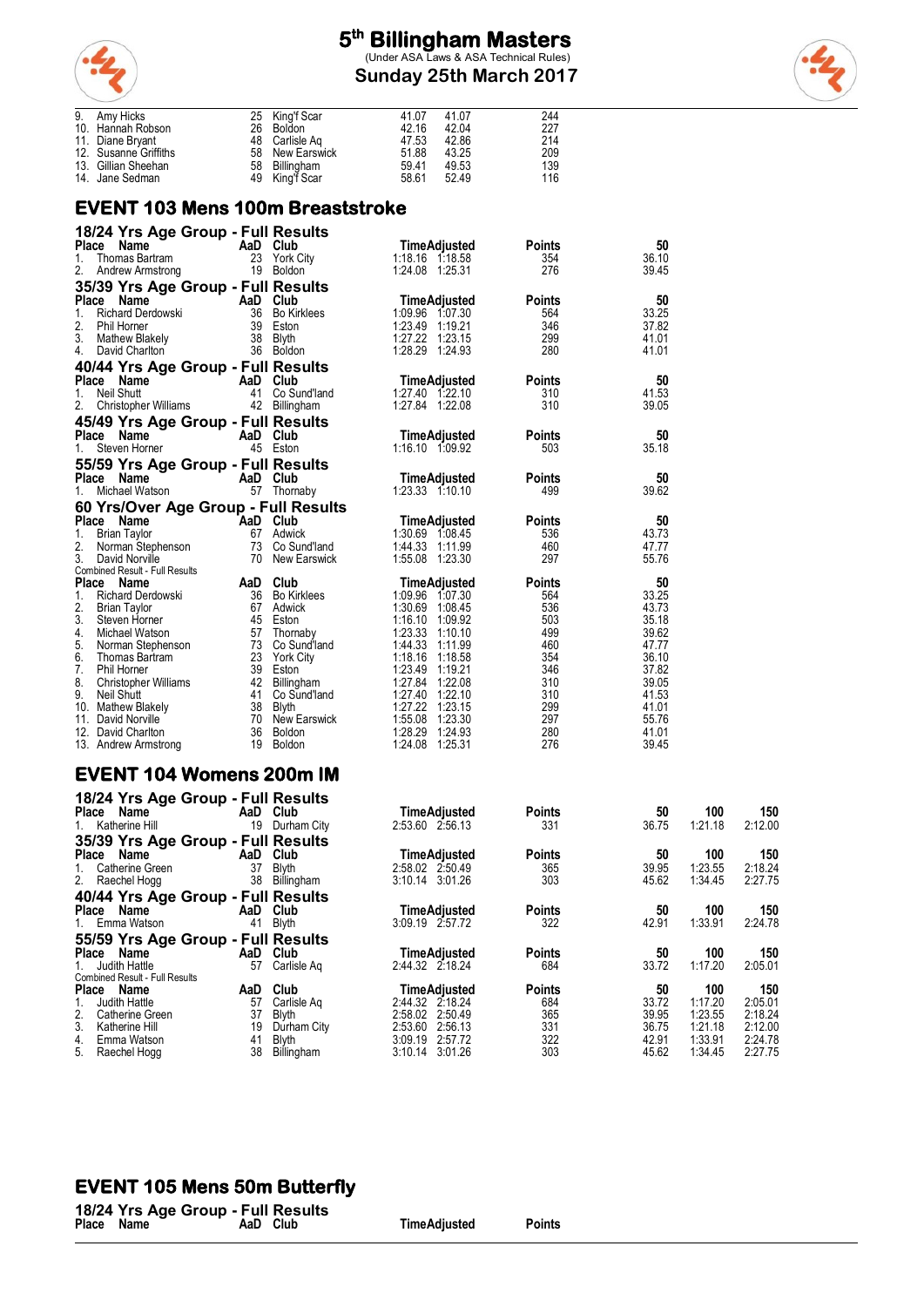

**Sunday 25th March 2017**



| 9. Amy Hicks          | 25 King'f Scar  | 41.07 | 41.07 | 244 |
|-----------------------|-----------------|-------|-------|-----|
| 10. Hannah Robson     | 26 Boldon       | 42.16 | 42.04 | 227 |
| 11. Diane Bryant      | 48 Carlisle Ag  | 47.53 | 42.86 | 214 |
| 12. Susanne Griffiths | 58 New Earswick | 51.88 | 43.25 | 209 |
| 13. Gillian Sheehan   | 58 Billingham   | 59.41 | 49.53 | 139 |
| 14. Jane Sedman       | 49 King'f Scar  | 58.61 | 52.49 | 116 |

#### **EVENT 103 Mens 100m Breaststroke**

| 18/24 Yrs Age Group - Full Results<br>Place Name       | AaD Club |                                  | <b>TimeAdjusted</b>                    | Points               | 50             |
|--------------------------------------------------------|----------|----------------------------------|----------------------------------------|----------------------|----------------|
| 1.<br>Thomas Bartram                                   |          | 23 York City                     | 1:18.16 1:18.58                        | 354                  | 36.10          |
| 2.<br>Andrew Armstrong                                 |          | 19 Boldon                        | 1:24.08 1:25.31                        | 276                  | 39.45          |
| 35/39 Yrs Age Group - Full Results                     |          |                                  |                                        |                      |                |
| Place Name                                             | AaD Club |                                  | <b>TimeAdjusted</b>                    | Points               | 50             |
| 1.<br>Richard Derdowski<br>2.<br>Phil Horner           |          | 36 Bo Kirklees<br>39 Eston       | 1:09.96 1:07.30<br>1:23.49 1:19.21     | 564<br>346           | 33.25<br>37.82 |
| 3.<br>Mathew Blakely                                   | 38       | Blyth                            | 1:27.22 1:23.15                        | 299                  | 41.01          |
| 4. David Charlton                                      |          | 36 Boldon                        | 1:28.29 1:24.93                        | 280                  | 41.01          |
| 40/44 Yrs Age Group - Full Results                     |          |                                  |                                        |                      |                |
| Place Name                                             | AaD Club |                                  | <b>TimeAdjusted</b>                    | <b>Points</b>        | 50             |
| 1.<br><b>Neil Shutt</b><br>2.<br>Christopher Williams  |          | 41 Co Sund'land<br>42 Billingham | 1:27.40 1:22.10<br>1:27.84 1:22.08     | 310<br>310           | 41.53<br>39.05 |
| 45/49 Yrs Age Group - Full Results                     |          |                                  |                                        |                      |                |
| Place Name                                             | AaD Club |                                  | TimeAdjusted                           | <b>Points</b>        | 50             |
| 1.<br>Steven Horner                                    |          | 45 Eston                         | 1:16.10 1:09.92                        | 503                  | 35.18          |
| 55/59 Yrs Age Group - Full Results                     |          |                                  |                                        |                      |                |
| Place Name                                             | AaD Club |                                  | <b>TimeAdjusted</b>                    | <b>Points</b>        | 50             |
| Michael Watson<br>1.                                   |          | 57 Thornaby                      | 1:23.33 1:10.10                        | 499                  | 39.62          |
| 60 Yrs/Over Age Group - Full Results                   |          |                                  |                                        |                      |                |
| Place Name<br><b>Brian Taylor</b><br>1.                |          | AaD Club<br>67 Adwick            | <b>TimeAdjusted</b><br>1:30.69 1:08.45 | <b>Points</b><br>536 | 50<br>43.73    |
| 2.<br>Norman Stephenson                                |          | 73 Co Sund'land                  | 1:44.33 1:11.99                        | 460                  | 47.77          |
| 3.<br>David Norville                                   | 70       | New Earswick                     | 1:55.08 1:23.30                        | 297                  | 55.76          |
| Combined Result - Full Results<br><b>Place</b><br>Name | AaD      | Club                             | <b>TimeAdjusted</b>                    | <b>Points</b>        | 50             |
| 1.<br>Richard Derdowski                                |          | 36 Bo Kirklees                   | 1:09.96 1:07.30                        | 564                  | 33.25          |
| 2.<br><b>Brian Taylor</b>                              |          | 67 Adwick                        | 1:30.69 1:08.45                        | 536                  | 43.73          |
| 3.<br>Steven Horner                                    |          | 45 Eston                         | 1:16.10 1:09.92                        | 503                  | 35.18          |
| 4.<br>Michael Watson<br>5.<br>Norman Stephenson        |          | 57 Thornaby<br>73 Co Sund'land   | 1:23.33 1:10.10<br>1:44.33 1:11.99     | 499<br>460           | 39.62<br>47.77 |
| 6.<br>Thomas Bartram                                   |          | 23 York City                     | 1:18.16 1:18.58                        | 354                  | 36.10          |
| 7.<br>Phil Horner                                      |          | 39 Eston                         | 1:23.49 1:19.21                        | 346                  | 37.82          |
| 8.<br>Christopher Williams                             |          | 42 Billingham                    | 1:27.84 1:22.08                        | 310                  | 39.05          |
| 9.<br>Neil Shutt<br>10. Mathew Blakely                 |          | 41 Co Sund'land<br>38 Blyth      | 1:27.40 1:22.10<br>1:27.22 1:23.15     | 310<br>299           | 41.53<br>41.01 |
| 11. David Norville                                     |          | 70 New Earswick                  | 1:55.08 1:23.30                        | 297                  | 55.76          |
| 12. David Charlton                                     |          | 36 Boldon                        | 1:28.29 1:24.93                        | 280                  | 41.01          |
| 13. Andrew Armstrong                                   |          | 19 Boldon                        | 1:24.08 1:25.31                        | 276                  | 39.45          |
| <b>EVENT 104 Womens 200m IM</b>                        |          |                                  |                                        |                      |                |
|                                                        |          |                                  |                                        |                      |                |
| 18/24 Yrs Age Group - Full Results                     |          |                                  |                                        |                      |                |
| Place Name AaD Club                                    |          |                                  | <b>TimeAdiusted</b>                    | <b>Points</b>        | 50             |

| - - - - -<br>Place Name                                                                                                                                      | AaD                               | Club                                                                      | <b>TimeAdjusted</b>                                                                                                      | <b>Points</b>                                    | 50                                              | 100                                                        | 150                                                        |
|--------------------------------------------------------------------------------------------------------------------------------------------------------------|-----------------------------------|---------------------------------------------------------------------------|--------------------------------------------------------------------------------------------------------------------------|--------------------------------------------------|-------------------------------------------------|------------------------------------------------------------|------------------------------------------------------------|
| 1. Katherine Hill                                                                                                                                            | 19                                | Durham City                                                               | 2:53.60 2:56.13                                                                                                          | 331                                              | 36.75                                           | 1:21.18                                                    | 2:12.00                                                    |
| 35/39 Yrs Age Group<br>Place Name<br>Catherine Green<br>1.<br>2. Raechel Hogg                                                                                | AaD<br>37<br>38                   | - Full Results<br>Club<br><b>Blyth</b><br>Billingham                      | <b>TimeAdiusted</b><br>2:58.02 2:50.49<br>3:10.14 3:01.26                                                                | <b>Points</b><br>365<br>303                      | 50<br>39.95<br>45.62                            | 100<br>1:23.55<br>1:34.45                                  | 150<br>2:18.24<br>2:27.75                                  |
| 40/44 Yrs Age Group - Full Results<br>Place Name<br>1. Emma Watson                                                                                           | AaD<br>41                         | Club<br>Blyth                                                             | <b>TimeAdjusted</b><br>3:09.19 2:57.72                                                                                   | <b>Points</b><br>322                             | 50<br>42.91                                     | 100<br>1:33.91                                             | 150<br>2:24.78                                             |
| 55/59 Yrs Age Group<br>Place<br>Name<br>1. Judith Hattle                                                                                                     | AaD<br>57                         | - Full Results<br>Club<br>Carlisle Ag                                     | <b>TimeAdjusted</b><br>2:44.32 2:18.24                                                                                   | <b>Points</b><br>684                             | 50<br>33.72                                     | 100<br>1:17.20                                             | 150<br>2:05.01                                             |
| Combined Result - Full Results<br>Place Name<br>Judith Hattle<br>1.<br>2.<br>Catherine Green<br>3.<br>Katherine Hill<br>4.<br>Emma Watson<br>5. Raechel Hogg | AaD<br>57<br>37<br>19<br>41<br>38 | Club<br>Carlisle Aq<br>Blyth<br>Durham City<br><b>Blyth</b><br>Billingham | <b>TimeAdiusted</b><br>2:44.32 2:18.24<br>2:58.02 2:50.49<br>2:53.60<br>2:56.13<br>3:09.19<br>2:57.72<br>3:10.14 3:01.26 | <b>Points</b><br>684<br>365<br>331<br>322<br>303 | 50<br>33.72<br>39.95<br>36.75<br>42.91<br>45.62 | 100<br>1:17.20<br>1:23.55<br>1:21.18<br>1:33.91<br>1:34.45 | 150<br>2:05.01<br>2:18.24<br>2:12.00<br>2:24.78<br>2:27.75 |

#### **EVENT 105 Mens 50m Butterfly**

|            | 18/24 Yrs Age Group - Full Results |  |
|------------|------------------------------------|--|
| Place Name | AaD Club                           |  |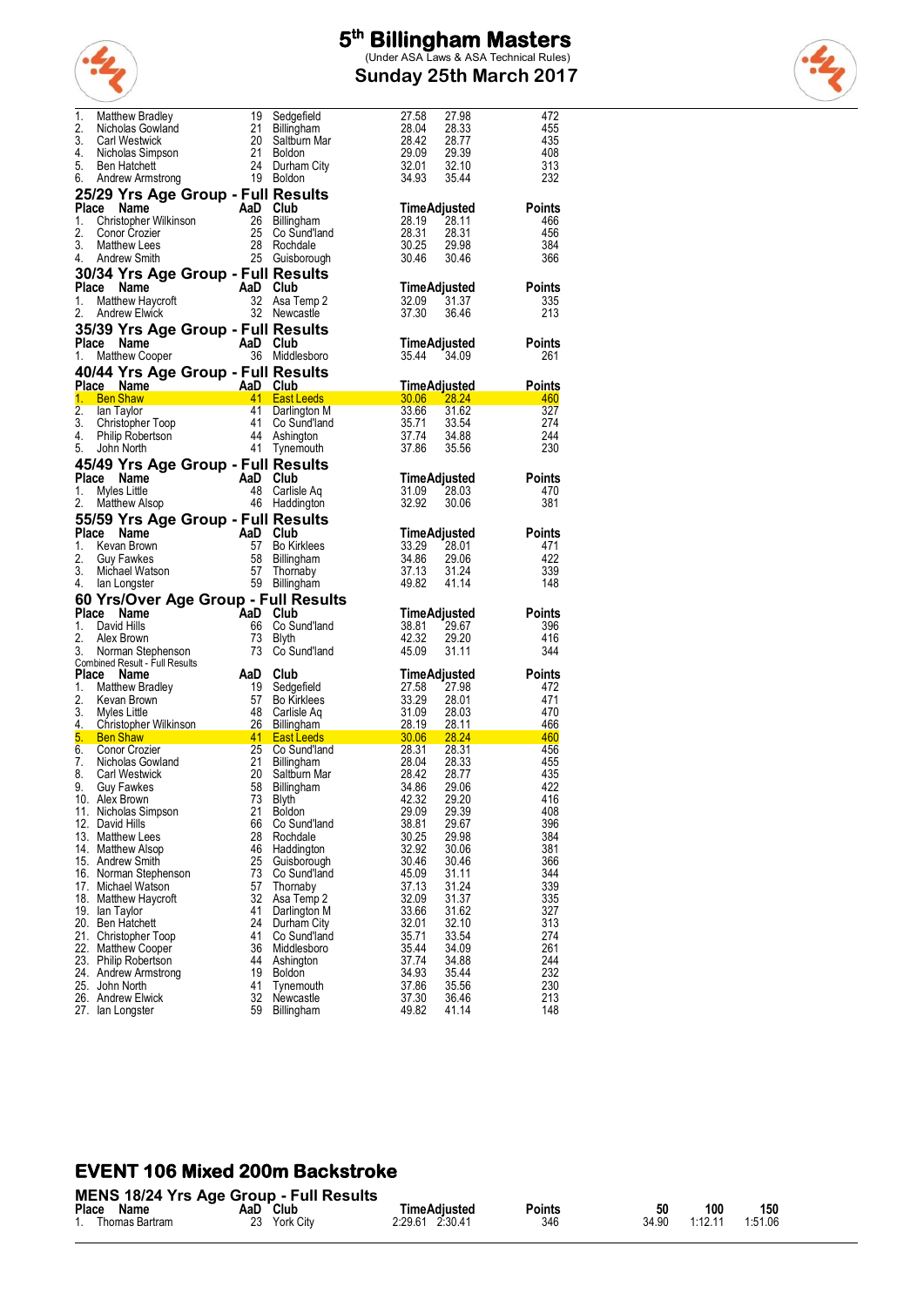

**Sunday 25th March 2017**



| 1.           | Matthew Bradley                                                                                                                                                                                                                                  | 19                                                                                                                                                          | Sedgefield                                                                                       | 27.58<br>27.98                   | 472           |
|--------------|--------------------------------------------------------------------------------------------------------------------------------------------------------------------------------------------------------------------------------------------------|-------------------------------------------------------------------------------------------------------------------------------------------------------------|--------------------------------------------------------------------------------------------------|----------------------------------|---------------|
| 2.           | Nicholas Gowland                                                                                                                                                                                                                                 | -21                                                                                                                                                         | Billingham                                                                                       | 28.04<br>28.33                   | 455           |
|              |                                                                                                                                                                                                                                                  |                                                                                                                                                             |                                                                                                  |                                  |               |
| 3.           | <b>Carl Westwick</b>                                                                                                                                                                                                                             | 20                                                                                                                                                          | Saltburn Mar                                                                                     | 28.42<br>28.77                   | 435           |
| 4.           | Nicholas Simpson                                                                                                                                                                                                                                 | -21                                                                                                                                                         | Boldon                                                                                           | 29.09<br>29.39                   | 408           |
| 5.           | <b>Ben Hatchett</b>                                                                                                                                                                                                                              |                                                                                                                                                             | 24 Durham City                                                                                   | 32.01<br>32.10                   | 313           |
|              |                                                                                                                                                                                                                                                  |                                                                                                                                                             |                                                                                                  |                                  |               |
| 6.           | Andrew Armstrong                                                                                                                                                                                                                                 |                                                                                                                                                             | 19 Boldon                                                                                        | 34.93<br>35.44                   | 232           |
|              | 25/29 Yrs Age Group - Full Results                                                                                                                                                                                                               | $\begin{array}{c} \begin{array}{c} \text{curl} \ \text{ReS} \\ \text{AlD} \end{array} \\ \begin{array}{c} \text{Club} \\ \text{26} \end{array} \end{array}$ |                                                                                                  |                                  |               |
|              |                                                                                                                                                                                                                                                  |                                                                                                                                                             |                                                                                                  |                                  |               |
| Place        | Name                                                                                                                                                                                                                                             |                                                                                                                                                             |                                                                                                  | <b>TimeAdjusted</b>              | <b>Points</b> |
| 1.           | Christopher Wilkinson                                                                                                                                                                                                                            |                                                                                                                                                             | Billingham                                                                                       | 28.19<br>28.11                   | 466           |
| 2.           | Conor Crozier                                                                                                                                                                                                                                    | 25                                                                                                                                                          | Co Sund'Iand                                                                                     | 28.31<br>28.31                   | 456           |
| 3.           |                                                                                                                                                                                                                                                  | -28                                                                                                                                                         |                                                                                                  |                                  |               |
|              | Matthew Lees                                                                                                                                                                                                                                     |                                                                                                                                                             | Rochdale                                                                                         | 30.25<br>29.98                   | 384           |
| 4.           | Andrew Smith                                                                                                                                                                                                                                     |                                                                                                                                                             | 25 Guisborough                                                                                   | 30.46<br>30.46                   | 366           |
|              | 30/34 Yrs Age Group - Full Results                                                                                                                                                                                                               |                                                                                                                                                             |                                                                                                  |                                  |               |
|              | $AaD$ Club<br>32 Asa T                                                                                                                                                                                                                           |                                                                                                                                                             |                                                                                                  |                                  |               |
|              | Place Name                                                                                                                                                                                                                                       |                                                                                                                                                             |                                                                                                  | TimeAdjusted                     | Points        |
| 1.           | Matthew Haycroft                                                                                                                                                                                                                                 |                                                                                                                                                             | Asa Temp 2                                                                                       | 32.09<br>31.37                   | 335           |
| 2.           |                                                                                                                                                                                                                                                  |                                                                                                                                                             | 32 Newcastle                                                                                     | 37.30<br>36.46                   | 213           |
|              | <b>Andrew Elwick</b>                                                                                                                                                                                                                             |                                                                                                                                                             |                                                                                                  |                                  |               |
|              | 35/39 Yrs Age Group - Full Results                                                                                                                                                                                                               |                                                                                                                                                             |                                                                                                  |                                  |               |
|              |                                                                                                                                                                                                                                                  | AaD Club                                                                                                                                                    |                                                                                                  |                                  |               |
|              | Place Name                                                                                                                                                                                                                                       |                                                                                                                                                             |                                                                                                  | TimeAdjusted                     | Points        |
| 1.           | Matthew Cooper                                                                                                                                                                                                                                   |                                                                                                                                                             | 36 Middlesboro                                                                                   | 35.44<br>34.09                   | 261           |
|              |                                                                                                                                                                                                                                                  |                                                                                                                                                             |                                                                                                  |                                  |               |
|              | 40/44 Yrs Age Group - Full Results                                                                                                                                                                                                               |                                                                                                                                                             |                                                                                                  |                                  |               |
|              | AaD Club<br>41 East Leeds<br>Place Name                                                                                                                                                                                                          |                                                                                                                                                             |                                                                                                  | <u>TimeAdjusted</u>              | <b>Points</b> |
|              | 1. Ben Shaw                                                                                                                                                                                                                                      |                                                                                                                                                             |                                                                                                  | 30.06 28.24                      | 460           |
| 2.           | lan Taylor                                                                                                                                                                                                                                       | 41                                                                                                                                                          | Darlington M                                                                                     | 33.66<br>31.62                   | 327           |
|              | lan Taylor<br>Christopher Toop<br>Philip Robertson<br>John North                                                                                                                                                                                 |                                                                                                                                                             |                                                                                                  |                                  |               |
| 3.           |                                                                                                                                                                                                                                                  | 41                                                                                                                                                          | Co Sund'land                                                                                     | 35.71<br>33.54                   | 274           |
| 4.           |                                                                                                                                                                                                                                                  |                                                                                                                                                             | 44 Ashington                                                                                     | 37.74<br>34.88                   | 244           |
| 5.           | John North                                                                                                                                                                                                                                       |                                                                                                                                                             | 41 Tynemouth                                                                                     | 37.86<br>35.56                   | 230           |
|              |                                                                                                                                                                                                                                                  |                                                                                                                                                             |                                                                                                  |                                  |               |
|              | 45/49 Yrs Age Group - Full Results                                                                                                                                                                                                               |                                                                                                                                                             |                                                                                                  |                                  |               |
| Place        | $\overline{A}$ a D Club<br>Name                                                                                                                                                                                                                  |                                                                                                                                                             |                                                                                                  | TimeAdjusted                     | Points        |
|              |                                                                                                                                                                                                                                                  |                                                                                                                                                             |                                                                                                  |                                  |               |
| 1.           | Myles Little                                                                                                                                                                                                                                     |                                                                                                                                                             | 48 Carlisle Aq                                                                                   | 31.09<br>28.03                   | 470           |
| 2.           | Matthew Alsop                                                                                                                                                                                                                                    |                                                                                                                                                             | 46 Haddington                                                                                    | 32.92<br>30.06                   | 381           |
|              |                                                                                                                                                                                                                                                  |                                                                                                                                                             |                                                                                                  |                                  |               |
|              | 55/59 Yrs Age Group - Full Results                                                                                                                                                                                                               |                                                                                                                                                             |                                                                                                  |                                  |               |
| Place        | Name                                                                                                                                                                                                                                             |                                                                                                                                                             |                                                                                                  | <b>TimeAdjusted</b>              | <b>Points</b> |
|              |                                                                                                                                                                                                                                                  |                                                                                                                                                             |                                                                                                  |                                  | 471           |
|              |                                                                                                                                                                                                                                                  |                                                                                                                                                             |                                                                                                  |                                  |               |
| 1.           | Kevan Brown                                                                                                                                                                                                                                      |                                                                                                                                                             | <b>Bo Kirklees</b>                                                                               | 33.29<br>28.01                   |               |
| 2.           | <b>Guy Fawkes</b>                                                                                                                                                                                                                                |                                                                                                                                                             | 58 Billingham                                                                                    | 34.86<br>29.06                   | 422           |
| 3.           | Michael Watson                                                                                                                                                                                                                                   |                                                                                                                                                             | Thornaby                                                                                         | 37.13<br>31.24                   | 339           |
| 4.           | AaD Club<br>57 Bo Kir<br>58 Billing<br>57 Thomas<br>lan Longster                                                                                                                                                                                 |                                                                                                                                                             |                                                                                                  | 49.82<br>41.14                   | 148           |
|              |                                                                                                                                                                                                                                                  |                                                                                                                                                             | 59 Billingham                                                                                    |                                  |               |
|              | 60 Yrs/Over Age Group - Full Results                                                                                                                                                                                                             |                                                                                                                                                             |                                                                                                  |                                  |               |
|              | Place Name                                                                                                                                                                                                                                       | AaD Club                                                                                                                                                    |                                                                                                  | TimeAdjusted                     | Points        |
|              |                                                                                                                                                                                                                                                  |                                                                                                                                                             |                                                                                                  |                                  |               |
| 1.           | David Hills                                                                                                                                                                                                                                      | 66                                                                                                                                                          | Co Sund'land                                                                                     | 29.67<br>38.81                   | 396           |
| 2.           | Alex Brown                                                                                                                                                                                                                                       | 73                                                                                                                                                          | Blyth                                                                                            | 42.32<br>29.20                   | 416           |
| 3.           | Norman Stephenson                                                                                                                                                                                                                                | 73                                                                                                                                                          | Co Sund'land                                                                                     | 45.09<br>31.11                   | 344           |
|              | Combined Result - Full Results                                                                                                                                                                                                                   |                                                                                                                                                             |                                                                                                  |                                  |               |
|              |                                                                                                                                                                                                                                                  |                                                                                                                                                             |                                                                                                  |                                  |               |
| <b>Place</b> | Name                                                                                                                                                                                                                                             | AaD                                                                                                                                                         | Club                                                                                             | TimeAdjusted                     | <b>Points</b> |
| 1.           | Matthew Bradley                                                                                                                                                                                                                                  |                                                                                                                                                             | Sedgefield                                                                                       | 27.98                            | 472           |
| 2.           | Kevan Brown                                                                                                                                                                                                                                      |                                                                                                                                                             | Bo Kirklees                                                                                      | 28.01                            | 471           |
| 3.           | Myles Little                                                                                                                                                                                                                                     | 19<br>57<br>48<br>- 48                                                                                                                                      | Carlisle Aq                                                                                      | 28.03                            | 470           |
|              |                                                                                                                                                                                                                                                  |                                                                                                                                                             |                                                                                                  |                                  |               |
|              |                                                                                                                                                                                                                                                  |                                                                                                                                                             |                                                                                                  | 28.11                            | 466           |
|              |                                                                                                                                                                                                                                                  |                                                                                                                                                             |                                                                                                  | 28.24                            | 460           |
|              |                                                                                                                                                                                                                                                  |                                                                                                                                                             | Co Sund'Iand                                                                                     | 28.31                            | 456           |
|              |                                                                                                                                                                                                                                                  |                                                                                                                                                             |                                                                                                  | 28.33                            | 455           |
|              |                                                                                                                                                                                                                                                  |                                                                                                                                                             | Saltburn Mar                                                                                     | 28.77                            | 435           |
|              |                                                                                                                                                                                                                                                  |                                                                                                                                                             |                                                                                                  |                                  |               |
|              | 3. William and Christopher Wilkinson<br>1. Christopher Wilkinson<br>5. Ben Shaw<br>1. Schoolas Gowland<br>7. Nicholas Gowland<br>8. Carl Westwick<br>9. Guy Farwhes 58 Billingham<br>1. Schoolas Sowland<br>1. Schoolas Sowland<br>1. Saliburn M |                                                                                                                                                             | $\frac{31.09}{28.19}$<br>$\frac{28.19}{28.31}$<br>$\frac{28.31}{28.42}$<br>$\frac{28.42}{34.86}$ | 29.06                            | 422           |
|              | 10. Alex Brown                                                                                                                                                                                                                                   |                                                                                                                                                             | 73 Blyth                                                                                         | 42.32<br>29.20                   | 416           |
|              | 11. Nicholas Simpson                                                                                                                                                                                                                             | 21                                                                                                                                                          | <b>Boldon</b>                                                                                    | 29.39<br>29.09                   | 408           |
|              | 12. David Hills                                                                                                                                                                                                                                  | 66                                                                                                                                                          |                                                                                                  | 38.81<br>29.67                   | 396           |
|              |                                                                                                                                                                                                                                                  |                                                                                                                                                             | Co Sund'land                                                                                     |                                  |               |
|              | 13. Matthew Lees                                                                                                                                                                                                                                 | 28                                                                                                                                                          | Rochdale                                                                                         | 30.25<br>29.98                   | 384           |
|              | 14. Matthew Alsop                                                                                                                                                                                                                                | 46                                                                                                                                                          | Haddington                                                                                       | 32.92<br>30.06                   | 381           |
|              | 15. Andrew Smith                                                                                                                                                                                                                                 | 25                                                                                                                                                          | Guisborouah                                                                                      | 30.46<br>30.46                   | 366           |
|              |                                                                                                                                                                                                                                                  | 73                                                                                                                                                          |                                                                                                  | 45.09<br>31.11                   | 344           |
|              | 16. Norman Stephenson                                                                                                                                                                                                                            |                                                                                                                                                             | Co Sund'land                                                                                     |                                  |               |
|              | 17. Michael Watson                                                                                                                                                                                                                               | 57                                                                                                                                                          | Thornaby                                                                                         | 37.13<br>31.24                   | 339           |
|              | 18. Matthew Haycroft                                                                                                                                                                                                                             | 32                                                                                                                                                          | Asa Temp 2                                                                                       | 32.09<br>31.37                   | 335           |
|              | 19. Ian Taylor                                                                                                                                                                                                                                   | 41                                                                                                                                                          | Darlington M                                                                                     | 33.66<br>31.62                   | 327           |
|              |                                                                                                                                                                                                                                                  | 24                                                                                                                                                          |                                                                                                  |                                  |               |
|              | 20. Ben Hatchett                                                                                                                                                                                                                                 |                                                                                                                                                             | Durham City                                                                                      | 32.01<br>32.10                   | 313           |
|              | 21. Christopher Toop                                                                                                                                                                                                                             | 41                                                                                                                                                          | Co Sund'land                                                                                     | 35.71<br>33.54                   | 274           |
|              | 22. Matthew Cooper                                                                                                                                                                                                                               | 36                                                                                                                                                          | Middlesboro                                                                                      | 35.44<br>34.09                   | 261           |
|              |                                                                                                                                                                                                                                                  | 44                                                                                                                                                          | Ashington                                                                                        | 37.74<br>34.88                   | 244           |
|              | 23. Philip Robertson                                                                                                                                                                                                                             |                                                                                                                                                             |                                                                                                  |                                  |               |
|              | 24. Andrew Armstrong                                                                                                                                                                                                                             | 19                                                                                                                                                          | <b>Boldon</b>                                                                                    | 34.93<br>35.44                   | 232           |
|              | 25. John North                                                                                                                                                                                                                                   | 41                                                                                                                                                          | Tynemouth                                                                                        | 37.86<br>35.56                   | 230           |
|              | 26. Andrew Elwick<br>27. Ian Longster                                                                                                                                                                                                            | 32<br>59                                                                                                                                                    | Newcastle<br>Billingham                                                                          | 37.30<br>36.46<br>49.82<br>41.14 | 213<br>148    |

#### **EVENT 106 Mixed 200m Backstroke**

|       | <b>MENS 18/24 Yrs Age Group - Full Results</b> |     |              |                     |        |       |         |         |  |  |
|-------|------------------------------------------------|-----|--------------|---------------------|--------|-------|---------|---------|--|--|
| Place | Name                                           | AaD | ์ Club       | <b>TimeAdiusted</b> | Points | 50    | 100     | 150     |  |  |
|       | Thomas Bartram                                 |     | 23 York City | 2:29.61 2:30.41     | 346    | 34.90 | 1:12.11 | 1.51.06 |  |  |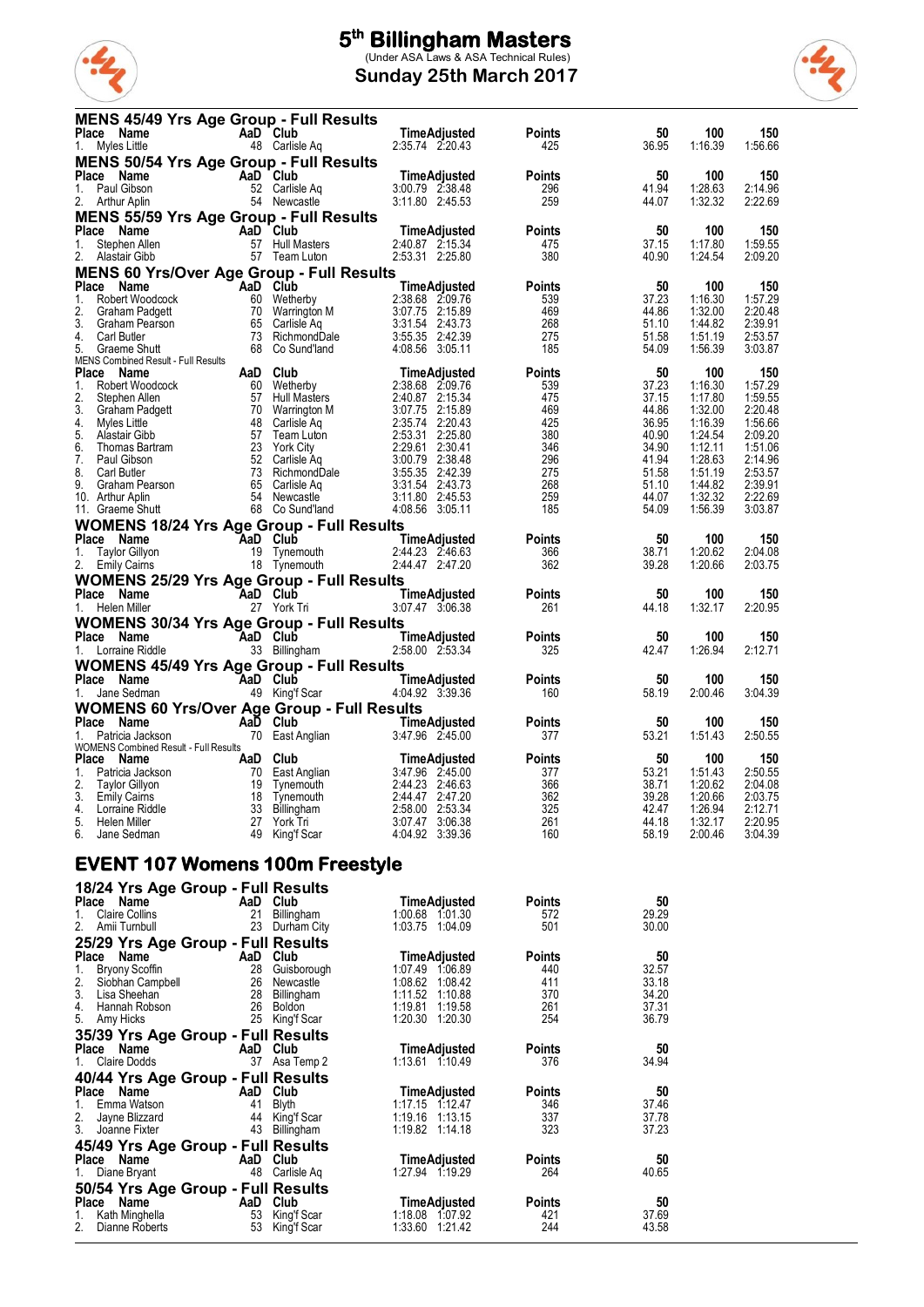

**Sunday 25th March 2017**



| <b>MENS 45/49 Yrs Age Group - Full Results</b><br>Place Name<br>1. Myles Little           |                                                                                                                 | AaD Club<br>48 Carlisle Aq                                                             | TimeAdjusted<br>2:35.74 2:20.43        | <b>Points</b><br>425 | 50<br>36.95    | 100<br>1:16.39     | 150<br>1:56.66     |
|-------------------------------------------------------------------------------------------|-----------------------------------------------------------------------------------------------------------------|----------------------------------------------------------------------------------------|----------------------------------------|----------------------|----------------|--------------------|--------------------|
| <b>MENS 50/54 Yrs Age Group - Full Results</b>                                            |                                                                                                                 |                                                                                        |                                        |                      |                |                    |                    |
| Place Name<br>1.<br>Paul Gibson                                                           | $\begin{array}{c}\n\overline{AD} - \Gamma \\ \overline{52} \quad \text{Carlisle} \\ \overline{52}\n\end{array}$ |                                                                                        | TimeAdjusted<br>3:00.79 2:38.48        | <b>Points</b>        | 50<br>41.94    | 100                | 150<br>2:14.96     |
| 2.<br>Arthur Aplin                                                                        |                                                                                                                 | 52 Carlisle Aq<br>54 Newcastle                                                         | 3:11.80 2:45.53                        | 296<br>259           | 44.07          | 1:28.63<br>1:32.32 | 2:22.69            |
| <b>MENS 55/59 Yrs Age Group - Full Results</b>                                            |                                                                                                                 |                                                                                        |                                        |                      |                |                    |                    |
| Place Name<br>AaD Club<br>57 Hull M<br>1.<br>Stephen Allen                                |                                                                                                                 | 57 Hull Masters                                                                        | <b>TimeAdjusted</b><br>2:40.87 2:15.34 | <b>Points</b><br>475 | 50<br>37.15    | 100<br>1:17.80     | 150<br>1:59.55     |
| 2. Alastair Gibb                                                                          |                                                                                                                 | 57 Team Luton                                                                          | 2:53.31 2:25.80                        | 380                  | 40.90          | 1:24.54            | 2:09.20            |
| <b>MENS 60 Yrs/Over Age Group - Full Results</b>                                          |                                                                                                                 |                                                                                        |                                        |                      |                |                    |                    |
| Place Name<br>1.<br>Robert Woodcock                                                       | AaD Club                                                                                                        | 60 Wetherby                                                                            | <b>TimeAdjusted</b><br>2:38.68 2:09.76 | <b>Points</b><br>539 | 50<br>37.23    | 100<br>1:16.30     | 150<br>1:57.29     |
| 2.<br>Graham Padgett                                                                      |                                                                                                                 | 70 Warrington M                                                                        | 3:07.75 2:15.89                        | 469                  | 44.86          | 1:32.00            | 2:20.48            |
| 3.<br>Graham Pearson<br>4.<br>Carl Butler                                                 |                                                                                                                 | 65 Carlisle Aq<br>73 RichmondDale                                                      | 3:31.54 2:43.73<br>3:55.35 2:42.39     | 268<br>275           | 51.10<br>51.58 | 1:44.82<br>1.51.19 | 2:39.91<br>2:53.57 |
| 5.<br>Graeme Shutt                                                                        |                                                                                                                 | 68 Co Sund'land                                                                        | 4:08.56 3:05.11                        | 185                  | 54.09          | 1:56.39            | 3:03.87            |
| MENS Combined Result - Full Results<br>Place Name                                         |                                                                                                                 | <b>AaD Club</b><br>60 Wetherby<br>57 Hull Masters<br>70 Warrington M<br>48 Carlisle An | TimeAdjusted                           | <b>Points</b>        | 50             | 100                | 150                |
| 1.<br>Robert Woodcock                                                                     |                                                                                                                 |                                                                                        | 2:38.68 2:09.76                        | 539                  | 37.23          | 1:16.30            | 1:57.29            |
| 2.<br>Stephen Allen<br>3.<br>Graham Padgett                                               |                                                                                                                 |                                                                                        | 2:40.87 2:15.34<br>3:07.75 2:15.89     | 475<br>469           | 37.15<br>44.86 | 1:17.80<br>1:32.00 | 1:59.55<br>2:20.48 |
| 4.<br>Myles Little                                                                        |                                                                                                                 |                                                                                        | 2:35.74 2:20.43                        | 425                  | 36.95          | 1:16.39            | 1:56.66            |
| 5.<br>Alastair Gibb                                                                       |                                                                                                                 | 23 York City                                                                           | 2:53.31 2:25.80<br>2:29.61 2:30.41     | 380<br>346           | 40.90<br>34.90 | 1:24.54<br>1:12.11 | 2:09.20<br>1:51.06 |
| 6.<br>Thomas Bartram<br>7.<br>Paul Gibson                                                 |                                                                                                                 | 52 Carlisle Aq                                                                         | 3:00.79 2:38.48                        | 296                  | 41.94          | 1:28.63            | 2:14.96            |
| 8.<br>Carl Butler                                                                         |                                                                                                                 | 52 Carlisle Aq<br>73 RichmondDale                                                      | 3:55.35 2:42.39                        | 275                  | 51.58          | 1:51.19            | 2:53.57            |
| 9.<br>Graham Pearson<br>10. Arthur Aplin                                                  |                                                                                                                 | 65 Carlisle Aq<br>54 Newcastle                                                         | 3:31.54 2:43.73<br>3:11.80 2:45.53     | 268<br>259           | 51.10<br>44.07 | 1:44.82<br>1:32.32 | 2:39.91<br>2:22.69 |
| 11. Graeme Shutt                                                                          |                                                                                                                 | 68 Co Sund'land                                                                        | 4:08.56 3:05.11                        | 185                  | 54.09          | 1:56.39            | 3:03.87            |
| WOMENS 18/24 Yrs Age Group - Full Results                                                 |                                                                                                                 |                                                                                        |                                        |                      |                |                    |                    |
| Place Name<br>1.<br>Taylor Gillyon                                                        | AaD Club                                                                                                        | 19 Tynemouth                                                                           | TimeAdjusted<br>2:44.23 2:46.63        | <b>Points</b><br>366 | 50<br>38.71    | 100<br>1:20.62     | 150<br>2:04.08     |
| 2. Emily Cairns                                                                           |                                                                                                                 | 18 Tynemouth                                                                           | 2:44.47 2:47.20                        | 362                  | 39.28          | 1:20.66            | 2:03.75            |
| <b>WOMENS 25/29 Yrs Age Group - Full Results</b>                                          |                                                                                                                 |                                                                                        |                                        |                      |                |                    |                    |
| Place Name<br>1. Helen Miller                                                             | AaD Club                                                                                                        | 27 York Tri                                                                            | TimeAdjusted<br>3:07.47 3:06.38        | <b>Points</b><br>261 | 50<br>44.18    | 100<br>1:32.17     | 150<br>2:20.95     |
| <b>WOMENS 30/34 Yrs Age Group - Full Results</b>                                          |                                                                                                                 |                                                                                        |                                        |                      |                |                    |                    |
|                                                                                           |                                                                                                                 |                                                                                        | TimeAdjusted                           | <b>Points</b>        | 50             | 100                | 150                |
|                                                                                           |                                                                                                                 |                                                                                        | 2:58.00 2:53.34                        | 325                  | 42.47          | 1:26.94            | 2:12.71            |
| <b>WOMENS 45/49 Yrs Age Group - Full Results</b><br>Place Name<br><b>Exalter AAD</b> Club |                                                                                                                 |                                                                                        | TimeAdjusted                           | <b>Points</b>        | 50             | 100                | 150                |
| 1. Jane Sedman                                                                            |                                                                                                                 | 49 King'f Scar                                                                         | 4.04.92 3.39.36                        | 160                  | 58.19          | 2:00.46            | 3:04.39            |
| <b>WOMENS 60 Yrs/Over Age Group - Full Results</b>                                        |                                                                                                                 |                                                                                        |                                        |                      |                |                    |                    |
| Place Name<br>1. Patricia Jackson                                                         | AaD Club                                                                                                        | 70 East Anglian                                                                        | TimeAdjusted<br>3:47.96 2:45.00        | <b>Points</b><br>377 | 50<br>53.21    | 100<br>1.51.43     | 150<br>2:50.55     |
| WOMENS Combined Result - Full Results                                                     |                                                                                                                 |                                                                                        |                                        |                      |                |                    |                    |
| Place Name<br>1.<br>Patricia Jackson                                                      |                                                                                                                 | AaD Club<br>70 East Anglian                                                            | TimeAdjusted<br>3:47.96 2:45.00        | <b>Points</b><br>377 | 50<br>53.21    | 100<br>1.51.43     | 150<br>2:50.55     |
| 2.<br><b>Taylor Gillyon</b>                                                               |                                                                                                                 | 19 Tynemouth                                                                           | 2:44.23 2:46.63                        | 366                  | 38.71          | 1:20.62            | 2:04.08            |
| 3. Emily Caims<br>4.<br>Lorraine Riddle                                                   | 33                                                                                                              | 18 Tynemouth<br>Billingham                                                             | 2:44.47 2:47.20<br>2:58.00 2:53.34     | 362<br>325           | 39.28<br>42.47 | 1:20.66<br>1:26.94 | 2:03.75<br>2:12.71 |
| 5.<br>Helen Miller                                                                        |                                                                                                                 | 27 York Tri                                                                            | 3:07.47 3:06.38                        | 261                  | 44.18          | 1:32.17            | 2:20.95            |
| 6.<br>Jane Sedman                                                                         |                                                                                                                 | 49 King'f Scar                                                                         | 4:04.92 3:39.36                        | 160                  | 58.19          | 2:00.46            | 3:04.39            |
| <b>EVENT 107 Womens 100m Freestyle</b>                                                    |                                                                                                                 |                                                                                        |                                        |                      |                |                    |                    |
| 18/24 Yrs Age Group - Full Results                                                        |                                                                                                                 |                                                                                        |                                        |                      |                |                    |                    |
| Place Name                                                                                |                                                                                                                 | AaD Club                                                                               | TimeAdjusted                           | Points               | 50             |                    |                    |
| 1.<br><b>Claire Collins</b><br>2.<br>Amii Turnbull                                        |                                                                                                                 | 21 Billingham<br>23 Durham City                                                        | 1:00.68 1:01.30<br>1:03.75 1:04.09     | 572<br>501           | 29.29<br>30.00 |                    |                    |
| 25/29 Yrs Age Group - Full Results                                                        |                                                                                                                 |                                                                                        |                                        |                      |                |                    |                    |
| Place Name                                                                                |                                                                                                                 | AaD Club                                                                               | TimeAdjusted                           | <b>Points</b>        | 50             |                    |                    |
| 1.<br><b>Bryony Scoffin</b><br>2.<br>Siobhan Campbell                                     | 28<br>26                                                                                                        | Guisborough<br>Newcastle                                                               | 1:07.49 1:06.89<br>1:08.62 1:08.42     | 440<br>411           | 32.57<br>33.18 |                    |                    |
| 3.<br>Lisa Sheehan                                                                        |                                                                                                                 | 28 Billingham                                                                          | 1:11.52 1:10.88                        | 370                  | 34.20          |                    |                    |
| 4.<br>Hannah Robson<br>5.<br>Amy Hicks                                                    |                                                                                                                 | 26 Boldon<br>25 King'f Scar                                                            | 1:19.81  1:19.58<br>1:20.30 1:20.30    | 261<br>254           | 37.31<br>36.79 |                    |                    |
| 35/39 Yrs Age Group - Full Results                                                        |                                                                                                                 |                                                                                        |                                        |                      |                |                    |                    |
| Place Name                                                                                |                                                                                                                 | AaD Club                                                                               | TimeAdjusted                           | Points               | 50             |                    |                    |
| Claire Dodds<br>1.                                                                        |                                                                                                                 | 37 Asa Temp 2                                                                          | 1:13.61 1:10.49                        | 376                  | 34.94          |                    |                    |
| 40/44 Yrs Age Group - Full Results<br>Place Name                                          |                                                                                                                 | AaD Club                                                                               | TimeAdjusted                           | <b>Points</b>        | 50             |                    |                    |
| Emma Watson<br>1.                                                                         |                                                                                                                 | 41 Blyth                                                                               | 1:17.15 1:12.47                        | 346                  | 37.46          |                    |                    |
| 2.<br>Jayne Blizzard                                                                      |                                                                                                                 | 44 King't Scar                                                                         | 1:19.16 1:13.15                        | 337                  | 37.78          |                    |                    |
| 3.<br>Joanne Fixter<br>45/49 Yrs Age Group - Full Results                                 |                                                                                                                 | 43 Billingham                                                                          | 1:19.82 1:14.18                        | 323                  | 37.23          |                    |                    |
| Place Name                                                                                |                                                                                                                 | AaD Club                                                                               | <b>TimeAdjusted</b>                    | <b>Points</b>        | 50             |                    |                    |
| 1. Diane Bryant                                                                           |                                                                                                                 | 48 Carlisle Aq                                                                         | 1:27.94 1:19.29                        | 264                  | 40.65          |                    |                    |
| 50/54 Yrs Age Group - Full Results                                                        |                                                                                                                 |                                                                                        |                                        |                      |                |                    |                    |

**Place Name Aan Aan Club 1.18.08 TimeAdjusted Points 50<br>1. Kath Minghella 1.53 King'f Scar 1:18.08 1:07.92 421 37.69** 2. Dianne Roberts 53 King'f Scar 1:33.60 1:21.42 244 43.58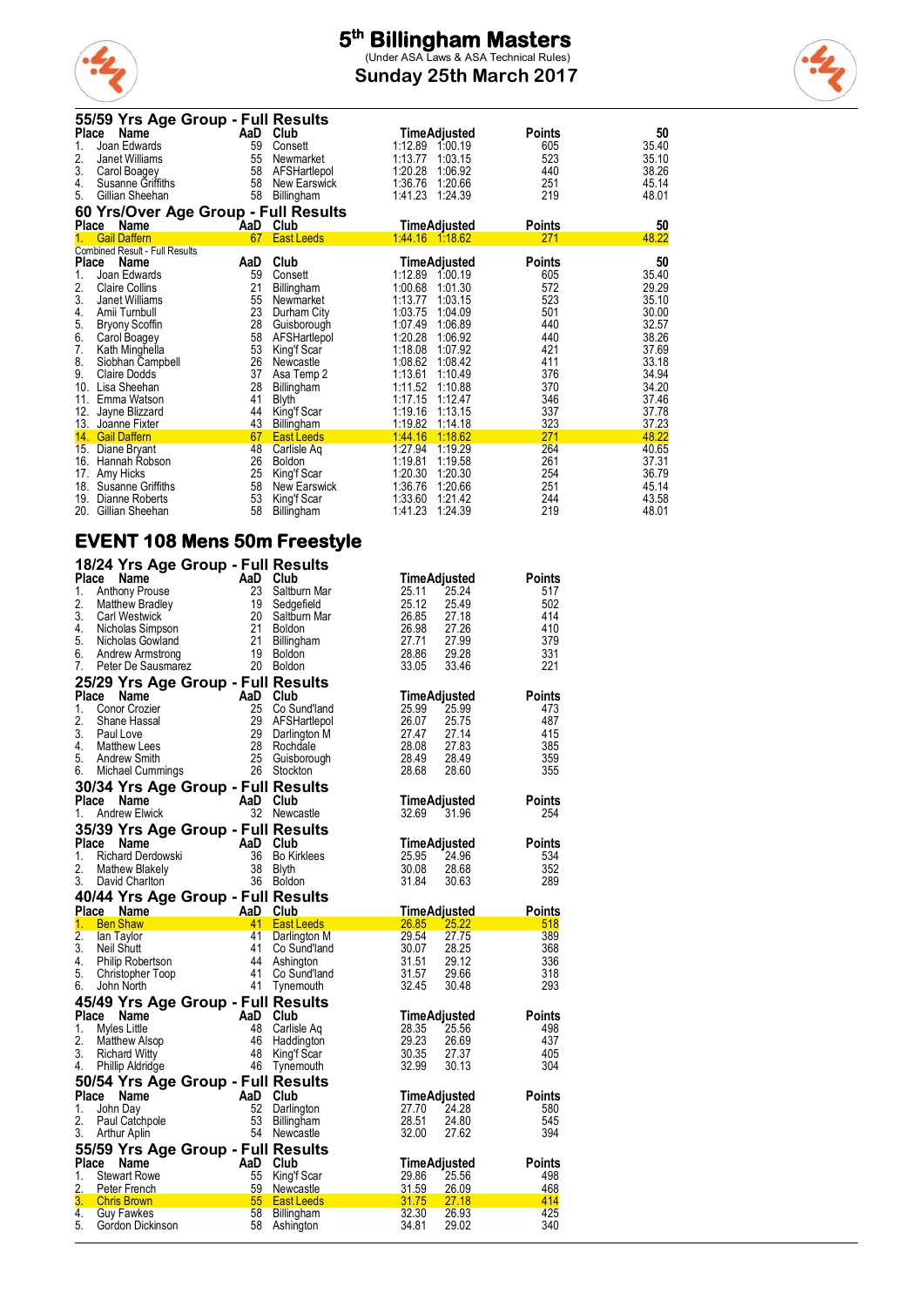

**Sunday 25th March 2017**



| 55/59 Yrs Age Group - Full Results    |                         |                     |               |       |
|---------------------------------------|-------------------------|---------------------|---------------|-------|
| Place<br>Name                         | AaD Club                | TimeAdjusted        | <b>Points</b> | 50    |
| 1.<br>Joan Edwards                    | 59<br>Consett           | 1:12.89<br>1:00.19  | 605           | 35.40 |
| 2.<br>Janet Williams                  | 55<br>Newmarket         | 1:13.77<br>1:03.15  | 523           | 35.10 |
| 3.<br>Carol Boagey                    | 58<br>AFSHartlepol      | 1:20.28<br>1:06.92  | 440           | 38.26 |
| 4.<br>Susanne Griffiths               | 58<br>New Earswick      | 1:36.76<br>1:20.66  | 251           | 45.14 |
| 5.<br>Gillian Sheehan                 | 58<br>Billingham        | 1:41.23<br>1:24.39  | 219           | 48.01 |
| 60 Yrs/Over Age Group - Full Results  |                         |                     |               |       |
| <b>Place</b><br>Name                  | Club<br>AaD             | <b>TimeAdjusted</b> | <b>Points</b> | 50    |
| <b>Gail Daffern</b>                   | <b>East Leeds</b><br>67 | 1:44.16 1:18.62     | 271           | 48.22 |
| <b>Combined Result - Full Results</b> |                         |                     |               |       |
| Place<br>Name                         | Club<br>AaD             | TimeAdjusted        | <b>Points</b> | 50    |
| 1.<br>Joan Edwards                    | 59<br>Consett           | 1:12.89<br>1:00.19  | 605           | 35.40 |
| 2.<br><b>Claire Collins</b>           | 21<br>Billingham        | 1:00.68<br>1:01.30  | 572           | 29.29 |
| 3.<br>Janet Williams                  | 55<br>Newmarket         | 1:13.77<br>1:03.15  | 523           | 35.10 |
| 4.<br>Amii Turnbull                   | 23<br>Durham City       | 1:03.75<br>1:04.09  | 501           | 30.00 |
| 5.<br><b>Bryony Scoffin</b>           | 28<br>Guisborough       | 1:07.49<br>1:06.89  | 440           | 32.57 |
| 6.<br>Carol Boagey                    | 58<br>AFSHartlepol      | 1:20.28<br>1:06.92  | 440           | 38.26 |
| 7.<br>Kath Minghella                  | 53<br>King'f Scar       | 1:18.08<br>1:07.92  | 421           | 37.69 |
| 8.<br>Siobhan Campbell                | 26<br>Newcastle         | 1:08.62<br>1:08.42  | 411           | 33.18 |
| 9.<br><b>Claire Dodds</b>             | 37<br>Asa Temp 2        | 1:13.61<br>1:10.49  | 376           | 34.94 |
| 10.<br>Lisa Sheehan                   | 28<br><b>Billingham</b> | 1:11.52<br>1:10.88  | 370           | 34.20 |
| 11.<br>Emma Watson                    | 41<br><b>Blyth</b>      | 1:17.15<br>1:12.47  | 346           | 37.46 |
| 12.<br>Jayne Blizzard                 | 44<br>King'f Scar       | 1:19.16<br>1:13.15  | 337           | 37.78 |
| 13. Joanne Fixter                     | 43<br>Billingham        | 1:19.82<br>1:14.18  | 323           | 37.23 |
| 14. Gail Daffern                      | 67<br><b>East Leeds</b> | 1.44.16<br>1:18.62  | 271           | 48.22 |
| 15.<br>Diane Bryant                   | 48<br>Carlisle Aq       | 1:27.94<br>1:19.29  | 264           | 40.65 |
| 16.<br>Hannah Robson                  | 26<br><b>Boldon</b>     | 1:19.81<br>1:19.58  | 261           | 37.31 |
| 17.<br>Amy Hicks                      | 25<br>King'f Scar       | 1:20.30<br>1:20.30  | 254           | 36.79 |
| 18.<br><b>Susanne Griffiths</b>       | 58<br>New Earswick      | 1:36.76<br>1:20.66  | 251           | 45.14 |
| 19.<br>Dianne Roberts                 | 53<br>King'f Scar       | 1:33.60<br>1:21.42  | 244           | 43.58 |
| 20.<br>Gillian Sheehan                | 58<br>Billingham        | 1:41.23<br>1:24.39  | 219           | 48.01 |

#### **EVENT 108 Mens 50m Freestyle**

|              | 18/24 Yrs Age Group - Full Results                                                                                                                                                                                                                                       |                                                                |                               |                |                       |                      |
|--------------|--------------------------------------------------------------------------------------------------------------------------------------------------------------------------------------------------------------------------------------------------------------------------|----------------------------------------------------------------|-------------------------------|----------------|-----------------------|----------------------|
| Place        | Name                                                                                                                                                                                                                                                                     | AaD Club                                                       |                               |                | <b>TimeAdjusted</b>   | <b>Points</b>        |
| 1.           | <b>Anthony Prouse</b>                                                                                                                                                                                                                                                    | 23                                                             | Saltburn Mar                  | 25.11          | 25.24                 | 517                  |
| 2.           | Matthew Bradley                                                                                                                                                                                                                                                          | 19                                                             | Sedgefield                    | 25.12          | 25.49                 | 502                  |
| 3.<br>4.     | <b>Carl Westwick</b><br>Nicholas Simpson                                                                                                                                                                                                                                 | 20                                                             | Saltburn Mar<br><b>Boldon</b> | 26.85<br>26.98 | 27.18<br>27.26        | 414<br>410           |
| 5.           | Nicholas Gowland                                                                                                                                                                                                                                                         |                                                                | Billingham                    | 27.71          | 27.99                 | 379                  |
| 6.           | Andrew Armstrong                                                                                                                                                                                                                                                         | $\begin{array}{c} 21 \\ 21 \\ 21 \\ 19 \\ z \\ 20 \end{array}$ | <b>Boldon</b>                 | 28.86          | 29.28                 | 331                  |
| 7.           | Peter De Sausmarez                                                                                                                                                                                                                                                       |                                                                | 20 Boldon                     | 33.05          | 33.46                 | 221                  |
|              | 25/29 Yrs Age Group - Full Results                                                                                                                                                                                                                                       |                                                                |                               |                |                       |                      |
| Place        | <b>Name</b>                                                                                                                                                                                                                                                              | AaD Club                                                       |                               |                | TimeAdjusted          | Points               |
| 1.           | Conor Crozier                                                                                                                                                                                                                                                            | 25                                                             | Co Sund'land                  | 25.99          | 25.99                 | 473                  |
| 2.<br>3.     | Shane Hassal<br>Paul Love                                                                                                                                                                                                                                                | 29<br>29                                                       | AFSHartlepol<br>Darlington M  | 26.07<br>27.47 | 25.75<br>27.14        | 487<br>415           |
| 4.           | <b>Matthew Lees</b>                                                                                                                                                                                                                                                      | -28                                                            | Rochdale                      | 28.08          | 27.83                 | 385                  |
| 5.           | Andrew Smith                                                                                                                                                                                                                                                             | $\begin{array}{r} 28 \\ 25 \\ 26 \end{array}$                  | Guisborough                   | 28.49          | 28.49                 | 359                  |
| 6.           | Michael Cummings                                                                                                                                                                                                                                                         |                                                                | 26 Stockton                   | 28.68          | 28.60                 | 355                  |
|              | 30/34 Yrs Age Group - Full Results                                                                                                                                                                                                                                       |                                                                |                               |                |                       |                      |
| <b>Place</b> | Name                                                                                                                                                                                                                                                                     | AaD Club                                                       |                               |                | TimeAdjusted          | <b>Points</b>        |
| 1.           | <b>Andrew Elwick</b>                                                                                                                                                                                                                                                     |                                                                | 32 Newcastle                  | 32.69          | 31.96                 | 254                  |
| Place        | 35/39 Yrs Age Group - Full Results                                                                                                                                                                                                                                       |                                                                | Club                          |                |                       |                      |
| 1.           |                                                                                                                                                                                                                                                                          |                                                                | <b>Bo Kirklees</b>            | 25.95          | TimeAdjusted<br>24.96 | <b>Points</b><br>534 |
| 2.           |                                                                                                                                                                                                                                                                          |                                                                | Blyth                         | 30.08          | 28.68                 | 352                  |
| 3.           | Nature 1<br>Richard Derdowski<br>Mathew Blakely<br>David Charlton<br>2<br>A M<br>Mathew Blakely<br>3<br>A M<br>Mathew Blakely<br>3<br>A Mathew Blakely<br>3<br>A Mathew Blakely<br>3<br>A Mathew Blakely<br>3<br>A Mathew Blakely<br>3<br>A Mathew Blakely<br>3<br>A Mat |                                                                | 36 Boldon                     | 31.84          | 30.63                 | 289                  |
|              |                                                                                                                                                                                                                                                                          |                                                                |                               |                |                       |                      |
|              |                                                                                                                                                                                                                                                                          |                                                                |                               |                |                       |                      |
|              | 40/44 Yrs Age Group - Full Results<br>Place Name AaD Club                                                                                                                                                                                                                |                                                                |                               |                | TimeAdjusted          | <b>Points</b>        |
| 1.           | <b>Ben Shaw</b>                                                                                                                                                                                                                                                          |                                                                | 41 East Leeds                 |                | 26.85 25.22           | 518                  |
| 2.           | lan Taylor                                                                                                                                                                                                                                                               | 41                                                             | Darlington M                  | 29.54          | 27.75                 | 389                  |
| 3.           | Neil Shutt                                                                                                                                                                                                                                                               | 41<br>44                                                       | Co Sund'land                  | 30.07          | 28.25                 | 368                  |
| 4.<br>5.     | Philip Robertson<br>Christopher Toop                                                                                                                                                                                                                                     | 41                                                             | Ashington<br>Co Sund'land     | 31.51<br>31.57 | 29.12<br>29.66        | 336<br>318           |
| 6.           | John North                                                                                                                                                                                                                                                               | 41                                                             | Tynemouth                     | 32.45          | 30.48                 | 293                  |
|              | 45/49 Yrs Age Group - Full Results                                                                                                                                                                                                                                       |                                                                |                               |                |                       |                      |
|              | Place Name                                                                                                                                                                                                                                                               | AaD                                                            | Club                          |                | TimeAdjusted          | <b>Points</b>        |
| 1.           | Myles Little                                                                                                                                                                                                                                                             | 48                                                             | Carlisle Ag                   | 28.35          | 25.56                 | 498                  |
| 2.           | <b>Matthew Alsop</b>                                                                                                                                                                                                                                                     | 46<br>48                                                       | Haddington                    | 29.23          | 26.69                 | 437<br>405           |
| 3.<br>4.     | <b>Richard Witty</b><br><b>Phillip Aldridge</b>                                                                                                                                                                                                                          | 46                                                             | King'f Scar<br>Tynemouth      | 30.35<br>32.99 | 27.37<br>30.13        | 304                  |
|              |                                                                                                                                                                                                                                                                          |                                                                |                               |                |                       |                      |
| Place        | 50/54 Yrs Age Group - Full Results<br>Name                                                                                                                                                                                                                               | AaD                                                            | Club                          |                | TimeAdjusted          | Points               |
| 1.           | John Day                                                                                                                                                                                                                                                                 | 52                                                             | Darlington                    | 27.70          | 24.28                 | 580                  |
| 2.           | Paul Catchpole                                                                                                                                                                                                                                                           | 53                                                             | Billingham                    | 28.51          | 24.80                 | 545                  |
| 3.           | Arthur Aplin                                                                                                                                                                                                                                                             |                                                                | 54 Newcastle                  | 32.00          | 27.62                 | 394                  |
|              | 55/59 Yrs Age Group - Full Results                                                                                                                                                                                                                                       |                                                                |                               |                |                       |                      |
| Place<br>1.  | Name<br><b>Stewart Rowe</b>                                                                                                                                                                                                                                              | AaD Club<br>55                                                 | King'f Scar                   | 29.86          | TimeAdjusted<br>25.56 | <b>Points</b><br>498 |
| 2.           | Peter French                                                                                                                                                                                                                                                             | 59                                                             | Newcastle                     | 31.59          | 26.09                 | 468                  |
| 3.           | <b>Chris Brown</b>                                                                                                                                                                                                                                                       | 55                                                             | <b>East Leeds</b>             | 31.75          | 27.18                 | 414                  |
| 4.<br>5.     | <b>Guy Fawkes</b><br>Gordon Dickinson                                                                                                                                                                                                                                    | 58<br>58                                                       | Billingham<br>Ashington       | 32.30<br>34.81 | 26.93<br>29.02        | 425<br>340           |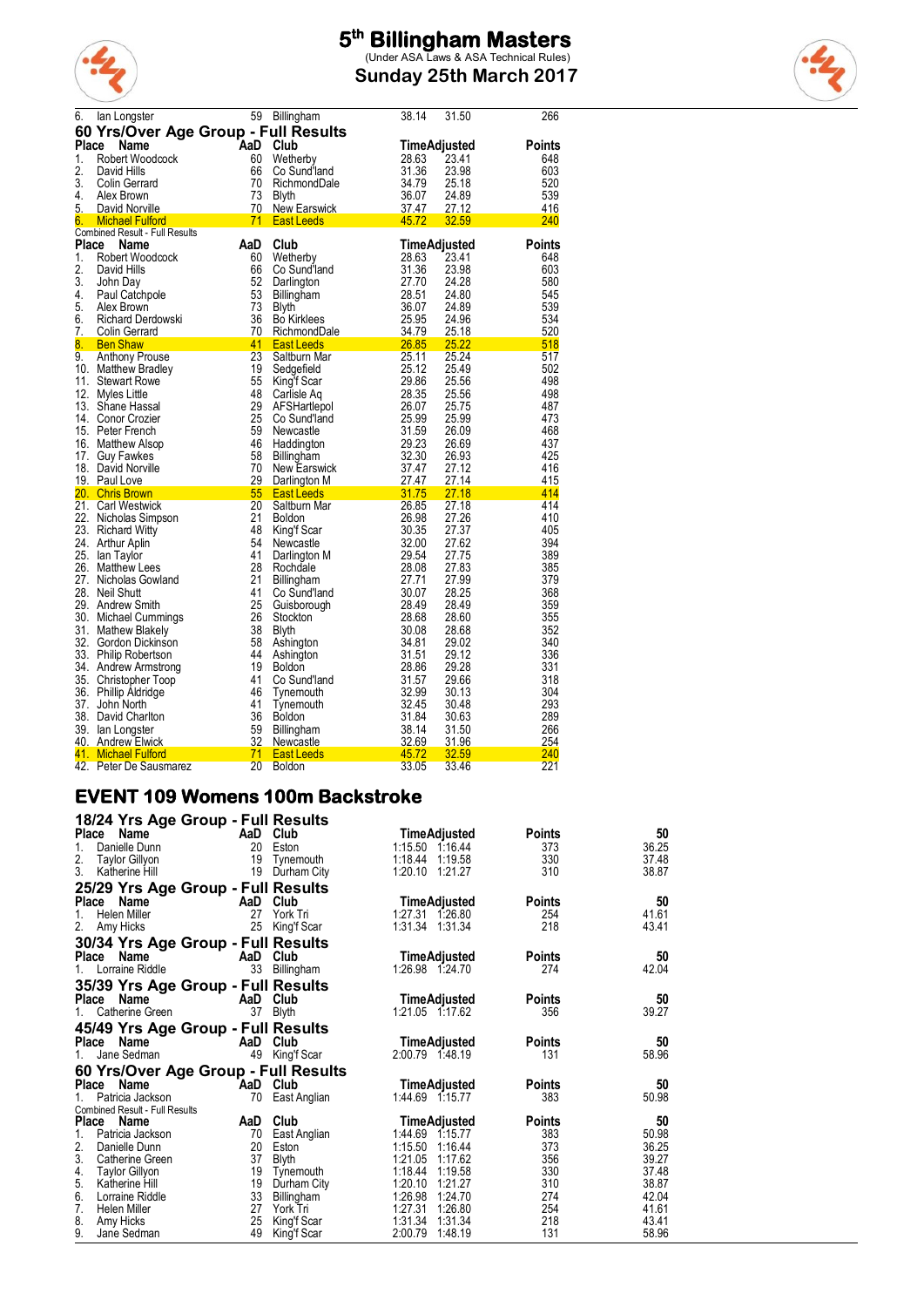

**Sunday 25th March 2017**



| 6.       | lan Longster                                             |          | 59 Billingham                                                                                                                                                                                                                                                    | 38.14                          | 31.50               | 266           |
|----------|----------------------------------------------------------|----------|------------------------------------------------------------------------------------------------------------------------------------------------------------------------------------------------------------------------------------------------------------------|--------------------------------|---------------------|---------------|
|          | 60 Yrs/Over Age Group - Full Results                     |          |                                                                                                                                                                                                                                                                  |                                |                     |               |
| Place    | Name                                                     | AaD      | Club                                                                                                                                                                                                                                                             |                                | <b>TimeAdjusted</b> | <b>Points</b> |
| 1.       | Robert Woodcock                                          | 60       | Wetherby                                                                                                                                                                                                                                                         | 28.63                          | 23.41               | 648           |
| 2.       | David Hills                                              | 66       | Co Sund'land                                                                                                                                                                                                                                                     | 31.36                          | 23.98               | 603           |
| 3.       | Colin Gerrard                                            |          |                                                                                                                                                                                                                                                                  |                                | 25.18               | 520           |
| 4.       | Alex Brown                                               |          | Formulation<br>10 RichmondDale<br>20 RichmondDale<br>20 Section<br>20 Section<br>20 Section<br>20 Section<br>20 Section<br>20 Section<br>20 Section<br>20 Section<br>20 Section<br>20 Section<br>20 Section<br>20 Section<br>20 Section<br>20 Section<br>20 Sect |                                | 24.89               | 539           |
| 5.<br>6. | $\frac{70}{20}$<br>David Norville                        |          |                                                                                                                                                                                                                                                                  |                                | 27.12               | 416           |
|          | <b>Michael Fulford</b><br>Combined Result - Full Results |          | <b>East Leeds</b>                                                                                                                                                                                                                                                | $\overline{45.72}$             | 32.59               | 240           |
| Place    | Name                                                     | AaD      | Club                                                                                                                                                                                                                                                             |                                | <b>TimeAdjusted</b> | <b>Points</b> |
| 1.       | Robert Woodcock                                          | 60       | Wetherby                                                                                                                                                                                                                                                         | 28.63                          | 23.41               | 648           |
| 2.       | David Hills                                              | 66       | Co Sund'land                                                                                                                                                                                                                                                     | 31.36                          | 23.98               | 603           |
| 3.       | John Day                                                 | 52       | Darlington                                                                                                                                                                                                                                                       | 27.70                          | 24.28               | 580           |
| 4.       | Paul Catchpole                                           | 53       | Billingham                                                                                                                                                                                                                                                       | 28.51                          | 24.80               | 545           |
| 5.       | Alex Brown                                               | 73       |                                                                                                                                                                                                                                                                  |                                | 24.89               | 539           |
| 6.       | Richard Derdowski                                        | 36       |                                                                                                                                                                                                                                                                  |                                | 24.96               | 534           |
| 7.       | Colin Gerrard                                            | 70       |                                                                                                                                                                                                                                                                  |                                | 25.18               | 520           |
| 8.       | <b>Ben Shaw</b>                                          | 41<br>23 | Billingnam<br>Bythe Bookinklees<br>Bookinklees<br>RichmondDale<br>East Leeds<br>Saltburn Mar<br>25.95<br>Saltburn Mar<br>25.11                                                                                                                                   |                                | 25.22               | 518           |
| 9.       | <b>Anthony Prouse</b>                                    | 19       | Sedgefield                                                                                                                                                                                                                                                       | 25.12                          | 25.24<br>25.49      | 517<br>502    |
|          | 10. Matthew Bradley<br>11. Stewart Rowe                  | 55       | King'f Scar                                                                                                                                                                                                                                                      | 29.86                          | 25.56               | 498           |
|          | 12. Myles Little                                         | 48       | Carlisle Ag                                                                                                                                                                                                                                                      | 28.35                          | 25.56               | 498           |
|          | 13. Shane Hassal                                         | 29       | AFSHartlepol                                                                                                                                                                                                                                                     | 26.07                          | 25.75               | 487           |
|          | 14. Conor Crozier                                        | 25       | Co Sund'land                                                                                                                                                                                                                                                     | 25.99                          | 25.99               | 473           |
|          | 15. Peter French                                         | 59       | Newcastle                                                                                                                                                                                                                                                        | 31.59                          | 26.09               | 468           |
|          | 16. Matthew Alsop                                        | 46       | Haddington                                                                                                                                                                                                                                                       | 29.23                          | 26.69               | 437           |
|          | 17. Guy Fawkes                                           | 58       | Billingham                                                                                                                                                                                                                                                       | 32.30                          | 26.93               | 425           |
|          | 18. David Norville                                       | 70       | New Earswick                                                                                                                                                                                                                                                     | 37.47                          | 27.12               | 416           |
|          | 19. Paul Love                                            | 29       | Darlington M                                                                                                                                                                                                                                                     | 27.47<br>$\frac{27.47}{31.75}$ | 27.14               | 415           |
|          | 20. Chris Brown                                          | 55       | <b>East Leeds</b>                                                                                                                                                                                                                                                |                                | 27.18               | 414           |
|          | 21. Carl Westwick                                        | 20       | Saltburn Mar                                                                                                                                                                                                                                                     | 26.85                          | 27.18               | 414           |
|          | 22. Nicholas Simpson                                     | 21<br>48 | <b>Boldon</b>                                                                                                                                                                                                                                                    | 26.98<br>30.35                 | 27.26<br>27.37      | 410<br>405    |
|          | 23. Richard Witty<br>24. Arthur Aplin                    | 54       | King'f Scar<br>Newcastle                                                                                                                                                                                                                                         | 32.00                          | 27.62               | 394           |
|          | 25. Ian Taylor                                           | 41       | Darlington M                                                                                                                                                                                                                                                     | 29.54                          | 27.75               | 389           |
|          | 26. Matthew Lees                                         | 28       | Rochdale                                                                                                                                                                                                                                                         | 28.08                          | 27.83               | 385           |
|          | 27. Nicholas Gowland                                     | 21       | Billingham                                                                                                                                                                                                                                                       | 27.71                          | 27.99               | 379           |
|          | 28. Neil Shutt                                           | 41       | Co Sund'land                                                                                                                                                                                                                                                     | 30.07                          | 28.25               | 368           |
|          | 29. Andrew Smith                                         | 25       | Guisborough                                                                                                                                                                                                                                                      | 28.49                          | 28.49               | 359           |
|          | 30. Michael Cummings                                     | 26       | Stockton                                                                                                                                                                                                                                                         | 28.68                          | 28.60               | 355           |
|          | 31. Mathew Blakely                                       | 38       | Blyth                                                                                                                                                                                                                                                            | 30.08                          | 28.68               | 352           |
|          | 32. Gordon Dickinson                                     | 58       | Ashington                                                                                                                                                                                                                                                        | 34.81                          | 29.02               | 340           |
|          | 33. Philip Robertson                                     | 44       | Ashington                                                                                                                                                                                                                                                        | 31.51                          | 29.12               | 336           |
|          | 34. Andrew Armstrong                                     | 19       | <b>Boldon</b>                                                                                                                                                                                                                                                    | 28.86                          | 29.28               | 331           |
|          | 35. Christopher Toop                                     | 41       | Co Sund'land                                                                                                                                                                                                                                                     | 31.57                          | 29.66               | 318           |
|          | 36. Phillip Aldridge<br>37. John North                   | 46<br>41 | Tynemouth                                                                                                                                                                                                                                                        | 32.99<br>32.45                 | 30.13<br>30.48      | 304<br>293    |
|          | 38. David Charlton                                       | 36       | Tynemouth<br>Boldon                                                                                                                                                                                                                                              | 31.84                          | 30.63               | 289           |
|          | 39. Ian Longster                                         | 59       | Billingham                                                                                                                                                                                                                                                       |                                | 31.50               | 266           |
|          | 40. Andrew Elwick                                        | 32       | Newcastle                                                                                                                                                                                                                                                        | $\frac{38.14}{32.69}$          | 31.96               | 254           |
|          | 41. Michael Fulford                                      | $-71$    | East Leeds                                                                                                                                                                                                                                                       | $\frac{45.72}{22.05}$          | 32.59               | 240           |
|          | 42. Peter De Sausmarez                                   | 20       | <b>Boldon</b>                                                                                                                                                                                                                                                    | 33.05                          | 33.46               | 221           |

#### **EVENT 109 Womens 100m Backstroke**

| 18/24 Yrs Age Group - Full Results           |                       |                                          |               |                |
|----------------------------------------------|-----------------------|------------------------------------------|---------------|----------------|
| Place<br><b>Name</b>                         | AaD Club              | TimeAdjusted                             | Points        | 50             |
| 20<br>1.<br>Danielle Dunn                    | Eston                 | 1:15.50 1:16.44                          | 373           | 36.25          |
| 2.<br>19<br><b>Taylor Gillyon</b>            | Tynemouth             | 1:18.44 1:19.58                          | 330           | 37.48          |
| 3.<br>19<br>Katherine Hill                   | Durham City           | 1:20.10<br>1:21.27                       | 310           | 38.87          |
| 25/29 Yrs Age Group - Full Results           |                       |                                          |               |                |
| <b>Place</b><br>Name<br>AaD                  | Club                  | <b>TimeAdjusted</b>                      | <b>Points</b> | 50             |
| 27<br>1.<br>Helen Miller                     | York Tri              | 1:27.31<br>1.26.80                       | 254           | 41.61          |
| 2.<br>25<br>Amy Hicks                        | King'f Scar           | 1:31.34 1:31.34                          | 218           | 43.41          |
| 30/34 Yrs Age Group - Full Results           |                       |                                          |               |                |
| Place<br>Name                                | AaD Club              | TimeAdjusted                             | Points        | 50             |
| 33<br>Lorraine Riddle<br>1.                  | Billingham            | 1:26.98 1:24.70                          | 274           | 42.04          |
| 35/39 Yrs Age Group - Full Results           |                       |                                          |               |                |
| <b>Place</b><br>Name<br>AaD                  | Club                  | <b>TimeAdjusted</b>                      | <b>Points</b> | 50             |
| 37<br>Catherine Green                        | Blyth                 | 1:21.05 1:17.62                          | 356           | 39.27          |
|                                              |                       |                                          |               |                |
| 45/49 Yrs Age Group - Full Results           |                       |                                          |               |                |
| Place<br>AaD<br><b>Name</b>                  | Club                  | <b>TimeAdjusted</b>                      | <b>Points</b> | 50             |
| Jane Sedman<br>49<br>1.                      | King'f Scar           | 2:00.79 1:48.19                          | 131           | 58.96          |
| 60 Yrs/Over Age Group - Full Results         |                       |                                          |               |                |
| Place<br><b>Name</b>                         | AaD Club              | <b>TimeAdjusted</b>                      | <b>Points</b> | 50             |
| Patricia Jackson<br>70                       | East Anglian          | 1:44.69 1:15.77                          | 383           | 50.98          |
| <b>Combined Result - Full Results</b>        |                       |                                          |               |                |
| <b>Place</b><br>AaD<br>Name                  | Club                  | TimeAdjusted                             | Points        | 50             |
| 1.<br>Patricia Jackson<br>70<br>2.<br>20     | East Anglian          | 1:44.69<br>1:15.77<br>1:15.50<br>1:16.44 | 383<br>373    | 50.98<br>36.25 |
| Danielle Dunn<br>3.<br>37<br>Catherine Green | Eston<br><b>Blyth</b> | 1:21.05<br>1:17.62                       | 356           | 39.27          |
| 4.<br>19<br>Taylor Gillyon                   | Tynemouth             | 1:18.44<br>1:19.58                       | 330           | 37.48          |
| 5.<br>19<br>Katherine Hill                   | Durham City           | 1:20.10<br>1:21.27                       | 310           | 38.87          |
| 6.<br>33<br>Lorraine Riddle                  | Billingham            | 1:26.98<br>1:24.70                       | 274           | 42.04          |
| 7.<br>27<br><b>Helen Miller</b>              | York Tri              | 1:26.80<br>1:27.31                       | 254           | 41.61          |
| 25<br>8.<br>Amy Hicks                        | King'f Scar           | 1:31.34<br>1:31.34                       | 218           | 43.41          |
| 9.<br>49<br>Jane Sedman                      | King'f Scar           | 2:00.79<br>1:48.19                       | 131           | 58.96          |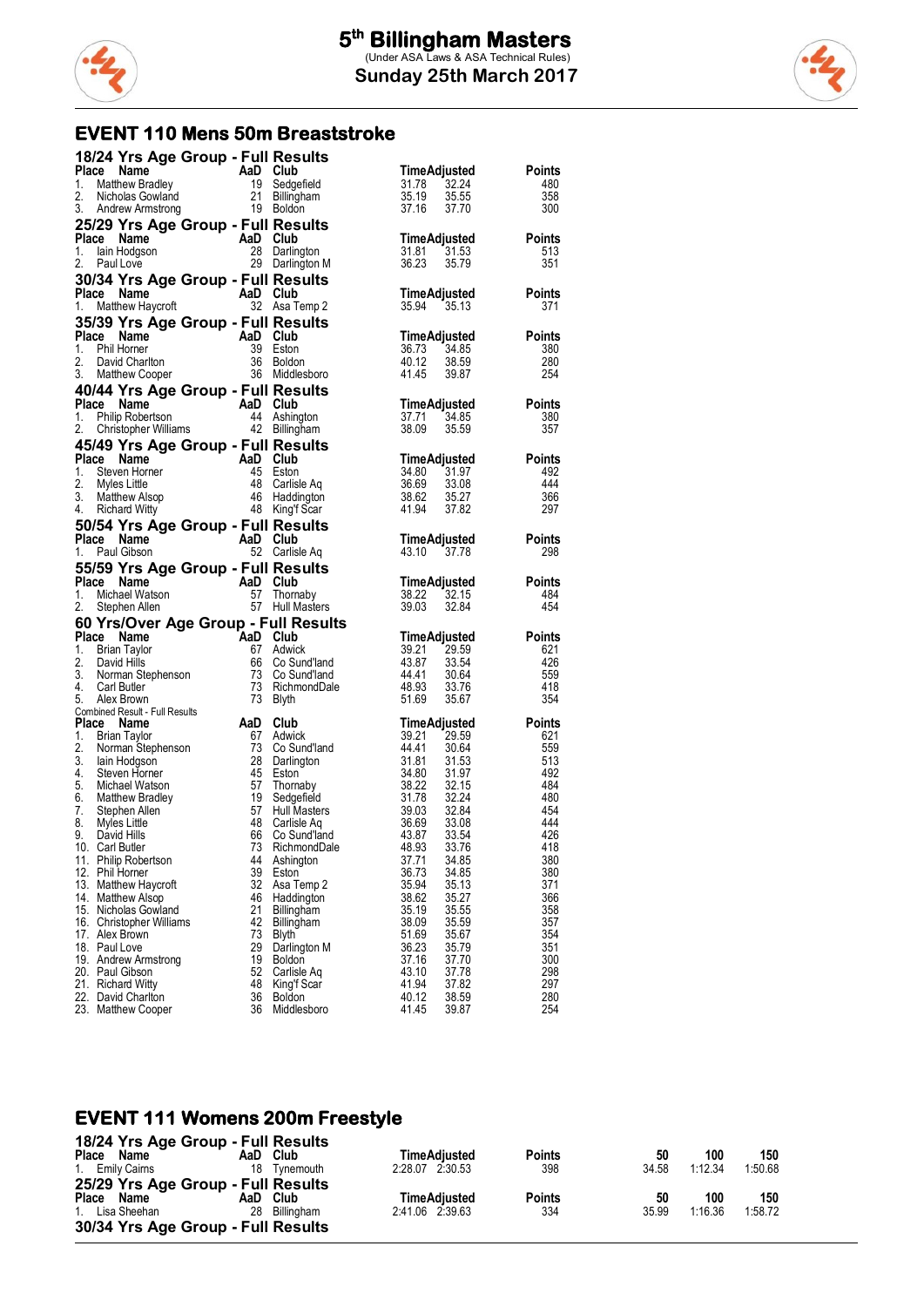



### **EVENT 110 Mens 50m Breaststroke**

| 18/24 Yrs Age Group - Full Results                                                                                                                                                                                                         |                                                                                                                                                                                                                                                   |                                                                                                                                                                                                                                                                                              |                      |
|--------------------------------------------------------------------------------------------------------------------------------------------------------------------------------------------------------------------------------------------|---------------------------------------------------------------------------------------------------------------------------------------------------------------------------------------------------------------------------------------------------|----------------------------------------------------------------------------------------------------------------------------------------------------------------------------------------------------------------------------------------------------------------------------------------------|----------------------|
| Place Name                                                                                                                                                                                                                                 |                                                                                                                                                                                                                                                   | TimeAdjusted                                                                                                                                                                                                                                                                                 | <b>Points</b>        |
| Comparison of the Marine Marine Marine Marine Marine Marine Marine Marine Marine Marine Marine Marine Marine Marine Marine Marine Marine Marine Marine Marine Marine Marine Marine Marine Marine Marine Marine Marine Marine M<br>1.       |                                                                                                                                                                                                                                                   | 32.24<br>31.78                                                                                                                                                                                                                                                                               | 480                  |
| 2.                                                                                                                                                                                                                                         |                                                                                                                                                                                                                                                   | 35.19<br>35.55                                                                                                                                                                                                                                                                               | 358                  |
| 3. Andrew Armstrong                                                                                                                                                                                                                        |                                                                                                                                                                                                                                                   | 37.16<br>37.70                                                                                                                                                                                                                                                                               | 300                  |
| 25/29 Yrs Age Group - Full Results                                                                                                                                                                                                         |                                                                                                                                                                                                                                                   |                                                                                                                                                                                                                                                                                              |                      |
| Place Name                                                                                                                                                                                                                                 | AaD Club                                                                                                                                                                                                                                          | TimeAdjusted                                                                                                                                                                                                                                                                                 | Points               |
| 1.<br>lain Hodgson                                                                                                                                                                                                                         | 28 Darlington                                                                                                                                                                                                                                     | 31.81<br>31.53                                                                                                                                                                                                                                                                               | 513                  |
| 2.<br>Paul Love                                                                                                                                                                                                                            | 29 Darlington M                                                                                                                                                                                                                                   | 36.23<br>35.79                                                                                                                                                                                                                                                                               | 351                  |
| 30/34 Yrs Age Group - Full Results                                                                                                                                                                                                         |                                                                                                                                                                                                                                                   |                                                                                                                                                                                                                                                                                              |                      |
|                                                                                                                                                                                                                                            |                                                                                                                                                                                                                                                   |                                                                                                                                                                                                                                                                                              |                      |
| Place Name<br>Matthew Haycroft                                                                                                                                                                                                             | AaD Club                                                                                                                                                                                                                                          | TimeAdjusted                                                                                                                                                                                                                                                                                 | <b>Points</b>        |
| 1.                                                                                                                                                                                                                                         | 32 Asa Temp 2                                                                                                                                                                                                                                     | 35.94 35.13                                                                                                                                                                                                                                                                                  | 371                  |
| 35/39 Yrs Age Group - Full Results                                                                                                                                                                                                         |                                                                                                                                                                                                                                                   |                                                                                                                                                                                                                                                                                              |                      |
|                                                                                                                                                                                                                                            |                                                                                                                                                                                                                                                   | TimeAdjusted                                                                                                                                                                                                                                                                                 | Points               |
|                                                                                                                                                                                                                                            |                                                                                                                                                                                                                                                   | 36.73 34.85<br>40.12 38.59<br>34.85<br>38.59<br>39.87                                                                                                                                                                                                                                        | 380                  |
|                                                                                                                                                                                                                                            | 36 Boldon                                                                                                                                                                                                                                         |                                                                                                                                                                                                                                                                                              | 280                  |
| Place Name<br>1. Phil Horner<br>2. David Charlton<br>3. Matthew Cooper<br>3. Matthew Cooper<br>3. Matthew Cooper<br>3. Matthew Cooper<br>3. Middle                                                                                         | 36 Middlesboro                                                                                                                                                                                                                                    | 41.45 39.87                                                                                                                                                                                                                                                                                  | 254                  |
| 40/44 Yrs Age Group - Full Results                                                                                                                                                                                                         |                                                                                                                                                                                                                                                   |                                                                                                                                                                                                                                                                                              |                      |
| Place Name                                                                                                                                                                                                                                 |                                                                                                                                                                                                                                                   | <b>TimeAdjusted</b>                                                                                                                                                                                                                                                                          | <b>Points</b>        |
| 1.                                                                                                                                                                                                                                         |                                                                                                                                                                                                                                                   | 37.71<br>34.85                                                                                                                                                                                                                                                                               | 380                  |
| <b>Ce Name Community Community Community Community Community Community Community Community Community Community Community Community Community Community Community Community Community Community Community Community Community Com</b><br>2. |                                                                                                                                                                                                                                                   | 38.09<br>35.59                                                                                                                                                                                                                                                                               | 357                  |
|                                                                                                                                                                                                                                            |                                                                                                                                                                                                                                                   |                                                                                                                                                                                                                                                                                              |                      |
| 45/49 Yrs Age Group - Full Results<br>Place Name<br>Contract of the Maintenance of Aart Club<br>Steven Homer<br>Myles Little 48 Carlisle Aq<br>Matthew Alsop 46 Haddington<br>Richard Witty 48 King'f Scar                                 |                                                                                                                                                                                                                                                   |                                                                                                                                                                                                                                                                                              | <b>Points</b>        |
|                                                                                                                                                                                                                                            |                                                                                                                                                                                                                                                   | TimeAdjusted                                                                                                                                                                                                                                                                                 |                      |
| 1.                                                                                                                                                                                                                                         |                                                                                                                                                                                                                                                   | 34.80 31.97                                                                                                                                                                                                                                                                                  | 492                  |
| 2.                                                                                                                                                                                                                                         |                                                                                                                                                                                                                                                   |                                                                                                                                                                                                                                                                                              | 444                  |
| 3.                                                                                                                                                                                                                                         |                                                                                                                                                                                                                                                   | 36.69 33.08<br>38.62 35.27<br>41.94 37.82                                                                                                                                                                                                                                                    | 366                  |
| 4. Richard Witty                                                                                                                                                                                                                           |                                                                                                                                                                                                                                                   |                                                                                                                                                                                                                                                                                              | 297                  |
| <b>50/54 Yrs Age Group - Full Results<br/>Place Name AaD Club<br/>1 Paul Gibson 62 Garlisle Ag</b>                                                                                                                                         |                                                                                                                                                                                                                                                   |                                                                                                                                                                                                                                                                                              |                      |
|                                                                                                                                                                                                                                            |                                                                                                                                                                                                                                                   | <b>TimeAdjusted</b>                                                                                                                                                                                                                                                                          | Points               |
| Paul Gibson<br>1.                                                                                                                                                                                                                          | 52 Carlisle Aq                                                                                                                                                                                                                                    | 43.10 37.78                                                                                                                                                                                                                                                                                  | 298                  |
|                                                                                                                                                                                                                                            |                                                                                                                                                                                                                                                   |                                                                                                                                                                                                                                                                                              |                      |
|                                                                                                                                                                                                                                            |                                                                                                                                                                                                                                                   |                                                                                                                                                                                                                                                                                              |                      |
| 55/59 Yrs Age Group - Full Results                                                                                                                                                                                                         |                                                                                                                                                                                                                                                   |                                                                                                                                                                                                                                                                                              |                      |
| Place Name<br>1.                                                                                                                                                                                                                           |                                                                                                                                                                                                                                                   | <b>TimeAdjusted</b>                                                                                                                                                                                                                                                                          | <b>Points</b><br>484 |
|                                                                                                                                                                                                                                            |                                                                                                                                                                                                                                                   | 38.22 32.15                                                                                                                                                                                                                                                                                  |                      |
| <b>30 Name COVERTS And Club</b><br>Michael Watson 57 Thomaby<br>Stephen Allen 57 Hull Masters<br>2.                                                                                                                                        |                                                                                                                                                                                                                                                   | 39.03<br>32.84                                                                                                                                                                                                                                                                               | 454                  |
| 60 Yrs/Over Age Group - Full Results                                                                                                                                                                                                       |                                                                                                                                                                                                                                                   |                                                                                                                                                                                                                                                                                              |                      |
| Place                                                                                                                                                                                                                                      |                                                                                                                                                                                                                                                   | TimeAdjusted                                                                                                                                                                                                                                                                                 | <b>Points</b>        |
| 1.                                                                                                                                                                                                                                         |                                                                                                                                                                                                                                                   |                                                                                                                                                                                                                                                                                              | 621                  |
| 2.                                                                                                                                                                                                                                         | 66 Co Sund'land                                                                                                                                                                                                                                   |                                                                                                                                                                                                                                                                                              | 426                  |
| 3.                                                                                                                                                                                                                                         |                                                                                                                                                                                                                                                   |                                                                                                                                                                                                                                                                                              | 559                  |
| Comment of the Community of Carl Community of Carl Community of Community Community Community Community Community Community Community Community Community Community Community Community Community Community Community Communit<br>4.       | RichmondDale                                                                                                                                                                                                                                      | 39.21 29.59<br>43.87 33.54<br>44.41 30.64<br>48.93 33.76                                                                                                                                                                                                                                     | 418                  |
| 5.<br>Alex Brown                                                                                                                                                                                                                           | 73 Blyth                                                                                                                                                                                                                                          | 51.69<br>35.67                                                                                                                                                                                                                                                                               | 354                  |
| Combined Result - Full Results                                                                                                                                                                                                             |                                                                                                                                                                                                                                                   |                                                                                                                                                                                                                                                                                              |                      |
| Place Name                                                                                                                                                                                                                                 | AaD Club                                                                                                                                                                                                                                          | TimeAdjusted                                                                                                                                                                                                                                                                                 | <b>Points</b>        |
| 1.                                                                                                                                                                                                                                         |                                                                                                                                                                                                                                                   | 39.21 29.59                                                                                                                                                                                                                                                                                  | 621                  |
| 2.                                                                                                                                                                                                                                         |                                                                                                                                                                                                                                                   |                                                                                                                                                                                                                                                                                              | 559                  |
| 3. lain Hodgson                                                                                                                                                                                                                            |                                                                                                                                                                                                                                                   | 44.41<br>31.81                                                                                                                                                                                                                                                                               | 513                  |
| 4.                                                                                                                                                                                                                                         |                                                                                                                                                                                                                                                   |                                                                                                                                                                                                                                                                                              | 492                  |
| 5.                                                                                                                                                                                                                                         |                                                                                                                                                                                                                                                   |                                                                                                                                                                                                                                                                                              | 484                  |
| 6. Matthew Bradley                                                                                                                                                                                                                         |                                                                                                                                                                                                                                                   |                                                                                                                                                                                                                                                                                              | 480                  |
| 7.                                                                                                                                                                                                                                         |                                                                                                                                                                                                                                                   |                                                                                                                                                                                                                                                                                              | 454                  |
| 8.                                                                                                                                                                                                                                         |                                                                                                                                                                                                                                                   |                                                                                                                                                                                                                                                                                              | 444                  |
| 9.                                                                                                                                                                                                                                         |                                                                                                                                                                                                                                                   |                                                                                                                                                                                                                                                                                              | 426                  |
| 10. Carl Butler                                                                                                                                                                                                                            | Francisco Companies Companies Companies Companies Companies Companies Companies Companies Companies Companies Companies Companies Companies Companies Companies Companies Companies Companies Companies Companies Companies Co<br>73 RichmondDale |                                                                                                                                                                                                                                                                                              | 418                  |
| 11. Philip Robertson                                                                                                                                                                                                                       | 44                                                                                                                                                                                                                                                |                                                                                                                                                                                                                                                                                              | 380                  |
| 12. Phil Horner                                                                                                                                                                                                                            | 39<br>Eston<br>32                                                                                                                                                                                                                                 | 30.64<br>31.81 31.53<br>34.80 31.97<br>34.22 32.24<br>Hull Masters<br>Carlisle Aq<br>Carlisle Aq<br>6.69 33.08<br>Carlisle Aq<br>6.69 33.08<br>AbhimpdDale<br>Ashington<br>Eston Constants<br>Constants 43.87<br>2.78<br>AbhimpdDale<br>Ashington<br>Eston Eston Constants<br>34.85<br>36.73 | 380<br>371           |
| 13. Matthew Haycroft                                                                                                                                                                                                                       | Asa Temp 2<br>46                                                                                                                                                                                                                                  | 35.94<br>35.13<br>38.62<br>35.27                                                                                                                                                                                                                                                             | 366                  |
| 14. Matthew Alsop                                                                                                                                                                                                                          | Haddington<br>21                                                                                                                                                                                                                                  |                                                                                                                                                                                                                                                                                              |                      |
| 15. Nicholas Gowland                                                                                                                                                                                                                       | Billingham<br>42                                                                                                                                                                                                                                  | 35.19<br>35.55                                                                                                                                                                                                                                                                               | 358<br>357           |
| 16. Christopher Williams<br>17. Alex Brown                                                                                                                                                                                                 | Billingham<br>73                                                                                                                                                                                                                                  | 38.09<br>35.59<br>35.67                                                                                                                                                                                                                                                                      | 354                  |
|                                                                                                                                                                                                                                            | Blyth<br>29                                                                                                                                                                                                                                       | 51.69                                                                                                                                                                                                                                                                                        | 351                  |
| 18. Paul Love                                                                                                                                                                                                                              | Darlington M                                                                                                                                                                                                                                      | 36.23<br>35.79                                                                                                                                                                                                                                                                               |                      |
| 19. Andrew Armstrong                                                                                                                                                                                                                       | 19<br><b>Boldon</b><br>52                                                                                                                                                                                                                         | 37.16<br>37.70<br>43.10<br>37.78                                                                                                                                                                                                                                                             | 300<br>298           |
| 20. Paul Gibson<br>21. Richard Witty                                                                                                                                                                                                       | Carlisle Aq<br>48                                                                                                                                                                                                                                 |                                                                                                                                                                                                                                                                                              | 297                  |
| 22. David Charlton                                                                                                                                                                                                                         | King'f Scar<br>36<br><b>Boldon</b>                                                                                                                                                                                                                | 41.94<br>37.82<br>38.59<br>40.12                                                                                                                                                                                                                                                             | 280                  |

#### **EVENT 111 Womens 200m Freestyle**

| 18/24 Yrs Age Group - Full Results<br>Place Name<br>1. Emily Cairns                                       | AaD<br>18 | Club<br>Tynemouth  | <b>TimeAdiusted</b><br>2:28.07 2:30.53 | <b>Points</b><br>398 | 50<br>34.58 | 100<br>1:12.34 | 150<br>1:50.68 |
|-----------------------------------------------------------------------------------------------------------|-----------|--------------------|----------------------------------------|----------------------|-------------|----------------|----------------|
| 25/29 Yrs Age Group - Full Results<br>Place Name<br>1. Lisa Sheehan<br>30/34 Yrs Age Group - Full Results | AaD<br>28 | Club<br>Billingham | <b>TimeAdiusted</b><br>2:41.06 2:39.63 | <b>Points</b><br>334 | 50<br>35.99 | 100<br>1:16.36 | 150<br>1:58.72 |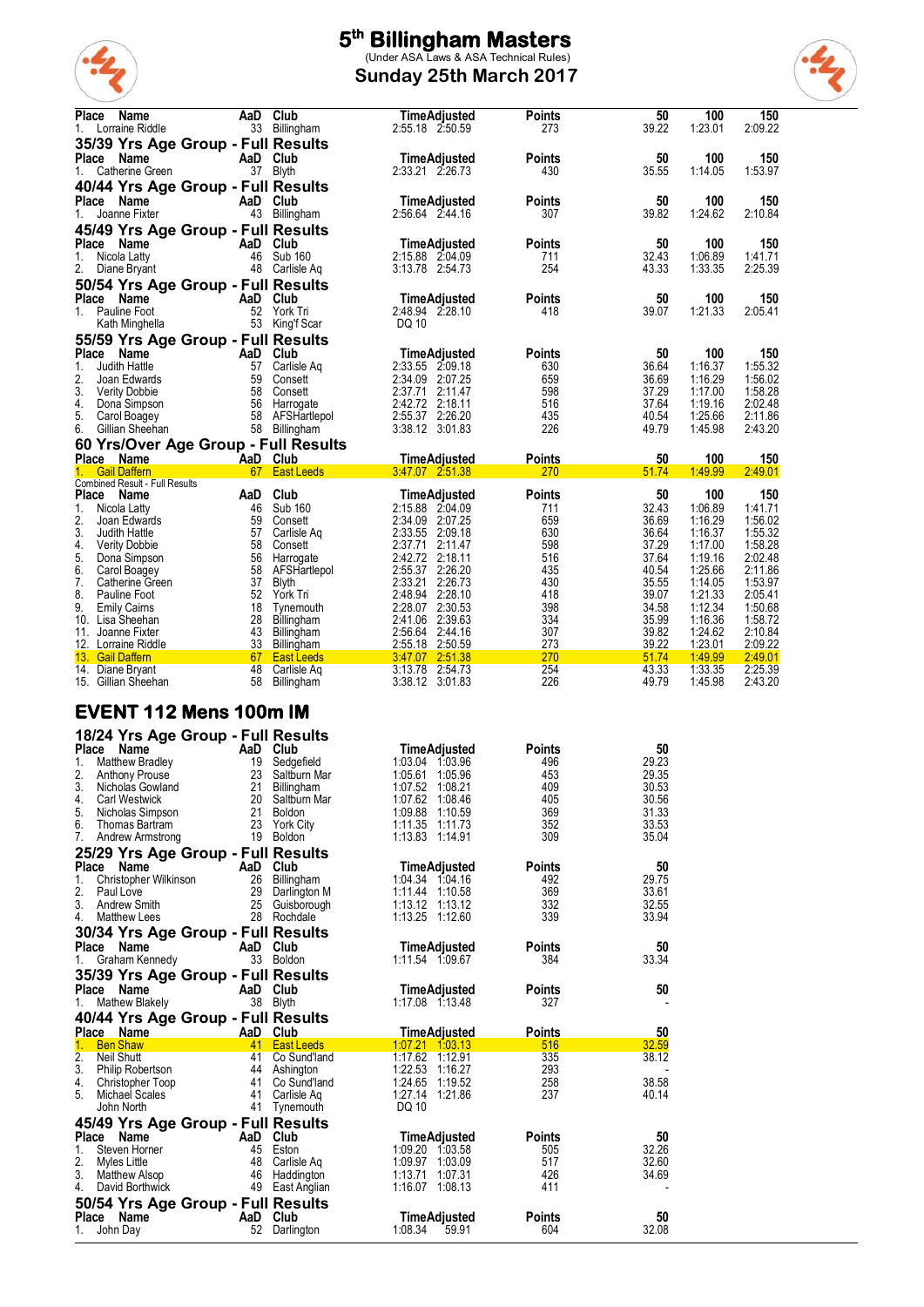

**Sunday 25th March 2017**



| <b>Place</b><br>Name<br>Lorraine Riddle<br>1.                           | AaD       | Club<br>33 Billingham             | <b>TimeAdjusted</b><br>2:55.18 2:50.59 | <b>Points</b><br>273 | 50<br>39.22              | 100<br>1:23.01     | 150<br>2:09.22     |
|-------------------------------------------------------------------------|-----------|-----------------------------------|----------------------------------------|----------------------|--------------------------|--------------------|--------------------|
| 35/39 Yrs Age Group - Full Results<br>Place Name                        | AaD Club  |                                   | TimeAdjusted                           | <b>Points</b>        | 50                       | 100                | 150                |
| Catherine Green<br>1.                                                   |           | 37 Blyth                          | 2:33.21 2:26.73                        | 430                  | 35.55                    | 1:14.05            | 1:53.97            |
| 40/44 Yrs Age Group - Full Results<br>Place Name<br>Joanne Fixter<br>1. | AaD Club  | 43 Billingham                     | <b>TimeAdjusted</b><br>2:56.64 2:44.16 | Points<br>307        | 50<br>39.82              | 100<br>1:24.62     | 150<br>2:10.84     |
| 45/49 Yrs Age Group - Full Results                                      |           |                                   |                                        |                      |                          |                    |                    |
| Place Name<br>Nicola Latty<br>1.                                        | AaD<br>46 | Club<br>Sub 160                   | TimeAdjusted<br>2:15.88 2:04.09        | <b>Points</b><br>711 | 50<br>32.43              | 100<br>1:06.89     | 150<br>1:41.71     |
| 2.<br>Diane Bryant<br>50/54 Yrs Age Group - Full Results                |           | 48 Carlisle Aq                    | 3:13.78 2:54.73                        | 254                  | 43.33                    | 1:33.35            | 2:25.39            |
| Place Name<br>Pauline Foot<br>1.                                        | AaD Club  | 52 York Tri                       | TimeAdjusted<br>2:48.94 2:28.10        | <b>Points</b><br>418 | 50<br>39.07              | 100<br>1:21.33     | 150<br>2:05.41     |
| Kath Minghella<br>55/59 Yrs Age Group - Full Results                    |           | 53 King'f Scar                    | DQ 10                                  |                      |                          |                    |                    |
| Place Name                                                              | AaD Club  |                                   | <b>TimeAdjusted</b>                    | <b>Points</b>        | 50                       | 100                | 150                |
| 1.<br>Judith Hattle<br>2.<br>Joan Edwards                               | 57<br>59  | Carlisle Aq<br>Consett            | 2:33.55 2:09.18<br>2:34.09 2:07.25     | 630<br>659           | 36.64<br>36.69           | 1:16.37<br>1:16.29 | 1:55.32<br>1:56.02 |
| 3.<br><b>Verity Dobbie</b>                                              | 58        | Consett                           | 2:37.71 2:11.47                        | 598                  | 37.29                    | 1:17.00            | 1:58.28            |
| 4.<br>Dona Simpson<br>5.<br>Carol Boagey                                |           | 56 Harrogate<br>58 AFSHartlepol   | 2:42.72 2:18.11<br>2:55.37 2:26.20     | 516<br>435           | 37.64<br>40.54           | 1:19.16<br>1:25.66 | 2:02.48<br>2:11.86 |
| Gillian Sheehan<br>6.                                                   |           | 58 Billingham                     | 3:38.12 3:01.83                        | 226                  | 49.79                    | 1:45.98            | 2:43.20            |
| 60 Yrs/Over Age Group - Full Results                                    |           |                                   |                                        |                      |                          |                    |                    |
| Place Name<br><b>Gail Daffern</b>                                       | AaD Club  | 67 East Leeds                     | <u>TimeAdjusted</u>                    | <b>Points</b><br>270 | 50<br>51.74              | 100<br>1:49.99     | 150<br>2.49.01     |
| Combined Result - Full Results                                          |           |                                   |                                        |                      |                          |                    |                    |
| Place Name<br>1.<br>Nicola Latty                                        | AaD<br>46 | Club<br>Sub 160                   | <b>TimeAdjusted</b><br>2:15.88 2:04.09 | <b>Points</b><br>711 | 50<br>32.43              | 100<br>1:06.89     | 150<br>1.41.71     |
| 2.<br>Joan Edwards                                                      | 59        | Consett                           | 2:34.09 2:07.25                        | 659                  | 36.69                    | 1:16.29            | 1:56.02            |
| 3.<br>Judith Hattle<br>4.<br><b>Verity Dobbie</b>                       | 57<br>58  | Carlisle Aq<br>Consett            | 2:33.55 2:09.18<br>2:37.71<br>2:11.47  | 630<br>598           | 36.64<br>37.29           | 1:16.37<br>1:17.00 | 1:55.32<br>1:58.28 |
| 5.<br>Dona Simpson                                                      | 56        | Harrogate                         | 2:42.72 2:18.11                        | 516                  | 37.64                    | 1:19.16            | 2:02.48            |
| 6.<br>Carol Boagey<br>7.<br>Catherine Green                             | 58<br>37  | AFSHartlepol<br>Blyth             | 2:55.37 2:26.20<br>2:33.21<br>2:26.73  | 435<br>430           | 40.54<br>35.55           | 1:25.66<br>1:14.05 | 2:11.86<br>1:53.97 |
| 8.<br>Pauline Foot                                                      | 52        | York Tri                          | 2:48.94 2:28.10                        | 418                  | 39.07                    | 1:21.33            | 2:05.41            |
| 9.<br><b>Emily Cairns</b>                                               | 18<br>28  | Tynemouth                         | 2:28.07 2:30.53                        | 398                  | 34.58<br>35.99           | 1:12.34<br>1:16.36 | 1:50.68            |
| Lisa Sheehan<br>10.<br>11.<br>Joanne Fixter                             | 43        | Billingham<br>Billingham          | 2:41.06 2:39.63<br>2:56.64 2:44.16     | 334<br>307           | 39.82                    | 1:24.62            | 1:58.72<br>2:10.84 |
| 12. Lorraine Riddle                                                     | 33        | Billingham                        | 2:55.18 2:50.59                        | 273                  | 39.22                    | 1:23.01            | 2:09.22            |
| 13. Gail Daffern<br>14. Diane Bryant                                    | 67<br>48  | <b>East Leeds</b><br>Carlisle Aq  | 3.47.07 2.51.38<br>3:13.78 2:54.73     | 270<br>254           | 51.74<br>43.33           | 1.49.99<br>1:33.35 | 2:49.01<br>2:25.39 |
| 15. Gillian Sheehan                                                     | 58        | Billingham                        | 3:38.12 3:01.83                        | 226                  | 49.79                    | 1:45.98            | 2:43.20            |
| <b>EVENT 112 Mens 100m IM</b>                                           |           |                                   |                                        |                      |                          |                    |                    |
| 18/24 Yrs Age Group - Full Results<br>Place Name                        | AaD Club  |                                   |                                        |                      | 50                       |                    |                    |
| 1.<br><b>Matthew Bradley</b>                                            | 19        | Sedgefield                        | TimeAdjusted<br>1:03.04 1:03.96        | <b>Points</b><br>496 | 29.23                    |                    |                    |
| 2.<br>Anthony Prouse                                                    | 23        | Saltburn Mar                      | 1:05.61 1:05.96                        | 453                  | 29.35                    |                    |                    |
| 3.<br>Nicholas Gowland<br><b>Carl Westwick</b><br>4.                    |           | 21 Billingham<br>20 Saltburn Mar  | 1:07.52 1:08.21<br>1:07.62 1:08.46     | 409<br>405           | 30.53<br>30.56           |                    |                    |
| 5. Nicholas Simpson                                                     |           | 21 Boldon                         | 1:09.88 1:10.59                        | 369                  | 31.33                    |                    |                    |
| 6. Thomas Bartram<br>7. Andrew Armstrong                                |           | 23 York City<br>19 Boldon         | 1:11.35 1:11.73<br>1:13.83 1:14.91     | 352<br>309           | 33.53<br>35.04           |                    |                    |
| 25/29 Yrs Age Group - Full Results                                      |           |                                   |                                        |                      |                          |                    |                    |
| Place Name                                                              | AaD Club  |                                   | <b>TimeAdiusted</b>                    | <b>Points</b>        | 50                       |                    |                    |
| Christopher Wilkinson<br>1.<br>2.<br>Paul Love                          |           | 26 Billingham<br>29 Darlington M  | 1:04.34 1:04.16<br>1:11.44 1:10.58     | 492<br>369           | 29.75<br>33.61           |                    |                    |
| 3.<br><b>Andrew Smith</b>                                               |           | 25 Guisborough                    | $1:13.12$ $1:13.12$                    | 332                  | 32.55                    |                    |                    |
| <b>Matthew Lees</b><br>4.<br>30/34 Yrs Age Group - Full Results         |           | 28 Rochdale                       | 1:13.25 1:12.60                        | 339                  | 33.94                    |                    |                    |
| Place Name                                                              | AaD Club  |                                   | <b>TimeAdjusted</b>                    | <b>Points</b>        | 50                       |                    |                    |
| Graham Kennedy<br>1.                                                    |           | 33 Boldon                         | 1:11.54 1:09.67                        | 384                  | 33.34                    |                    |                    |
| 35/39 Yrs Age Group - Full Results                                      |           |                                   |                                        |                      |                          |                    |                    |
| Place Name<br>Mathew Blakely<br>1.                                      | AaD Club  | 38 Blyth                          | <b>TimeAdjusted</b><br>1:17.08 1:13.48 | <b>Points</b><br>327 | 50                       |                    |                    |
| 40/44 Yrs Age Group - Full Results                                      |           |                                   |                                        |                      |                          |                    |                    |
| Place Name<br>1. Ben Shaw                                               | AaD Club  | 41 East Leeds                     | TimeAdjusted<br>1.07.21 1.03.13        | <b>Points</b><br>516 | 50<br>32.59              |                    |                    |
|                                                                         |           |                                   |                                        |                      | 38.12                    |                    |                    |
| 2.<br>Neil Shutt                                                        |           | 41 Co Sund'land                   | 1:17.62 1:12.91                        | 335                  |                          |                    |                    |
| 3. Philip Robertson                                                     |           | 44 Ashington                      | 1:22.53 1:16.27                        | 293                  | $\overline{\phantom{a}}$ |                    |                    |
| 4. Christopher Toop<br>5. Michael Scales                                |           | 41 Co Sund'land<br>41 Carlisle Aq | 1:24.65 1:19.52<br>1:27.14 1:21.86     | 258<br>237           | 38.58<br>40.14           |                    |                    |
| John North                                                              |           | 41 Tynemouth                      | DQ 10                                  |                      |                          |                    |                    |
| 45/49 Yrs Age Group - Full Results                                      |           |                                   |                                        |                      |                          |                    |                    |
| Place Name<br>1.                                                        | AaD Club  |                                   | <b>TimeAdjusted</b>                    | <b>Points</b>        | 50                       |                    |                    |
| Steven Horner<br>2.<br>Myles Little                                     |           | 45 Eston<br>48 Carlisle Ag        | 1:09.20 1:03.58<br>1:09.97 1:03.09     | 505<br>517           | 32.26<br>32.60           |                    |                    |
| 3. Matthew Alsop                                                        |           | 46 Haddington                     | 1:13.71 1:07.31                        | 426                  | 34.69                    |                    |                    |
| 4. David Borthwick                                                      |           | 49 East Anglian                   | 1:16.07 1:08.13                        | 411                  |                          |                    |                    |
| 50/54 Yrs Age Group - Full Results<br>Place Name<br>1. John Day         | AaD Club  | 52 Darlington                     | <b>TimeAdjusted</b><br>1:08.34 59.91   | <b>Points</b><br>604 | 50<br>32.08              |                    |                    |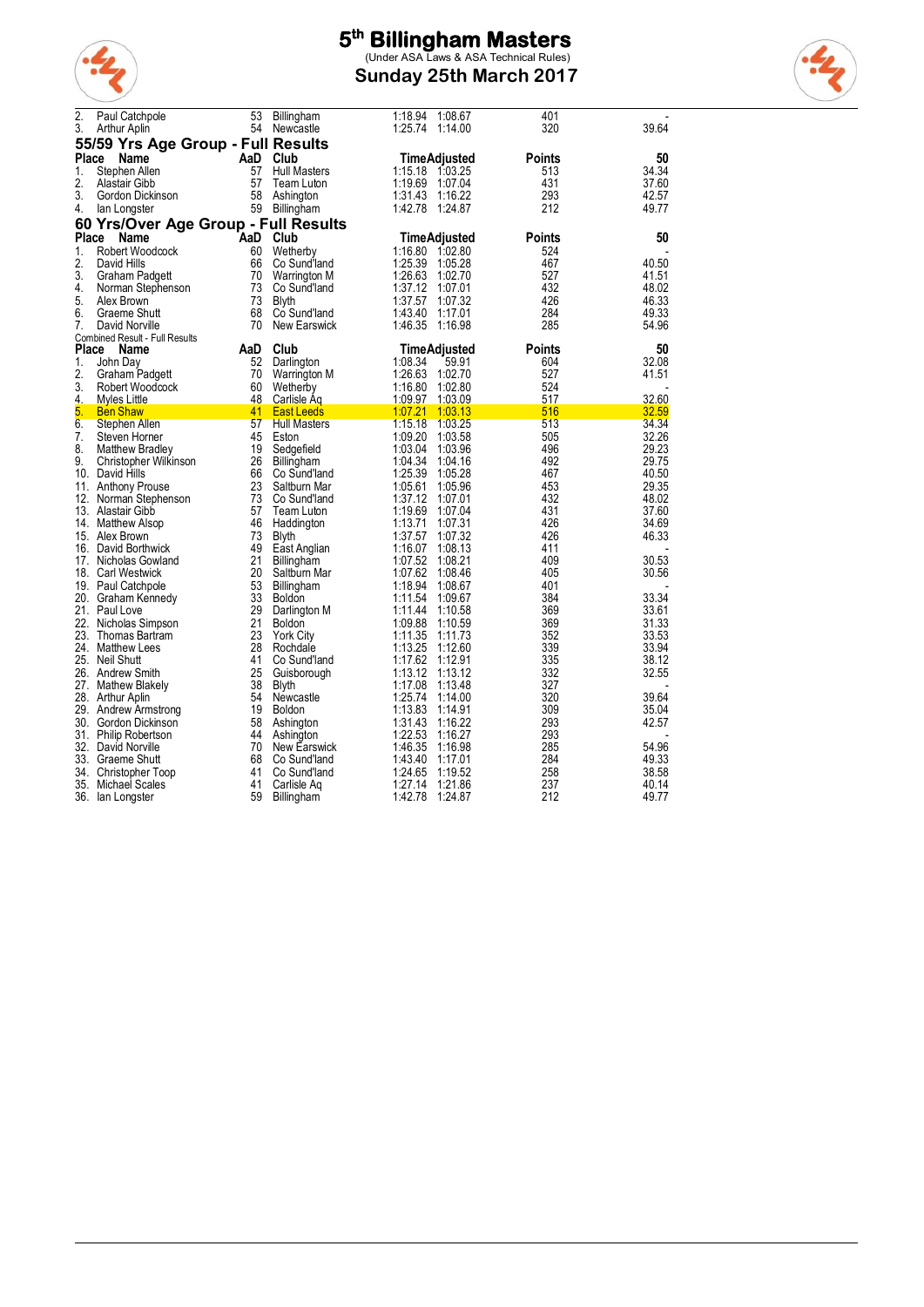

**Sunday 25th March 2017**



| 2.<br>3.     | Paul Catchpole<br>Arthur Aplin       | 53<br>54 | Billingham<br>Newcastle      | 1:18.94<br>1:08.67<br>1:25.74 1:14.00 | 401<br>320 | 39.64          |
|--------------|--------------------------------------|----------|------------------------------|---------------------------------------|------------|----------------|
|              | 55/59 Yrs Age Group - Full Results   |          |                              |                                       |            |                |
| Place        | Name                                 | AaD      | <b>Club</b>                  | TimeAdjusted                          | Points     | 50             |
| 1.           | Stephen Allen                        | 57       | <b>Hull Masters</b>          | 1:15.18 1:03.25                       | 513        | 34.34          |
| 2.           | Alastair Gibb                        | 57       | Team Luton                   | 1:19.69<br>1:07.04                    | 431        | 37.60          |
| 3.           | Gordon Dickinson                     | 58       | Ashington                    | 1:31.43<br>1:16.22                    | 293        | 42.57          |
| 4.           | lan Longster                         |          | 59 Billingham                | 1:42.78<br>1:24.87                    | 212        | 49.77          |
|              | 60 Yrs/Over Age Group - Full Results |          |                              |                                       |            |                |
| Place        | Name                                 | AaD      | Club                         | <b>TimeAdjusted</b>                   | Points     | 50             |
| 1.           | Robert Woodcock                      | 60       | Wetherby                     | 1:16.80 1:02.80                       | 524        |                |
| 2.           | David Hills                          | 66       | Co Sund'land                 | 1:25.39<br>1:05.28                    | 467        | 40.50          |
| 3.           | Graham Padgett                       | 70       | Warrington M                 | 1:26.63<br>1:02.70                    | 527        | 41.51          |
| 4.           | Norman Stephenson                    | 73       | Co Sund'land                 | 1:37.12<br>1:07.01                    | 432        | 48.02          |
| 5.           | Alex Brown                           | 73       | <b>Blyth</b>                 | 1:37.57<br>1:07.32                    | 426        | 46.33          |
| 6.           | Graeme Shutt                         | 68       | Co Sund'land                 | 1:43.40<br>1:17.01                    | 284        | 49.33          |
| 7.           | David Norville                       | 70       | New Earswick                 | 1:46.35<br>1:16.98                    | 285        | 54.96          |
|              | Combined Result - Full Results       |          |                              |                                       |            |                |
| <b>Place</b> | <b>Name</b>                          | AaD      | Club                         | TimeAdjusted                          | Points     | 50             |
| 1.           | John Day                             | 52       | Darlington                   | 1:08.34<br>59.91                      | 604        | 32.08          |
| 2.           | Graham Padgett                       | 70       | Warrington M                 | 1:26.63<br>1:02.70                    | 527        | 41.51          |
| 3.           | Robert Woodcock                      | 60       | Wetherby                     | 1:16.80<br>1:02.80                    | 524        |                |
| 4.           | Myles Little                         | 48       | Carlisle Aq                  | <u>1:09.97</u><br>1:03.09             | 517        | 32.60          |
| 5.           | <b>Ben Shaw</b>                      | 41       | <b>East Leeds</b>            | 1.07.21<br><u> 1:03.13</u>            | 516        | 32.59          |
| 6.           | Stephen Allen                        | 57       | <b>Hull Masters</b>          | 1:15.18<br>1:03.25                    | 513        | 34.34          |
| 7.           | Steven Horner                        | 45       | Eston                        | 1:09.20<br>1:03.58                    | 505        | 32.26          |
| 8.           | <b>Matthew Bradley</b>               | 19       | Sedgefield                   | 1:03.04<br>1:03.96                    | 496        | 29.23          |
| 9.           | Christopher Wilkinson                | 26       | Billingham                   | 1:04:34<br>1:04.16                    | 492        | 29.75          |
|              | 10. David Hills                      | 66       | Co Sund'land                 | 1:25.39<br>1:05.28                    | 467        | 40.50          |
|              | 11. Anthony Prouse                   | 23       | Saltburn Mar                 | 1:05.61<br>1:05.96                    | 453        | 29.35          |
| 12.          | Norman Stephenson                    | 73       | Co Sund'land                 | 1:37.12<br>1:07.01                    | 432        | 48.02          |
|              | 13. Alastair Gibb                    | 57<br>46 | Team Luton                   | 1:19.69<br>1:07.04<br>1:13.71         | 431<br>426 | 37.60<br>34.69 |
|              | 14. Matthew Alsop<br>15. Alex Brown  | 73       | Haddington                   | 1:07.31<br>1:07.32                    | 426        | 46.33          |
|              | 16. David Borthwick                  | 49       | <b>Blyth</b><br>East Anglian | 1:37.57<br>1:16.07<br>1:08.13         | 411        |                |
|              | 17. Nicholas Gowland                 | 21       | Billingham                   | 1:07.52<br>1:08.21                    | 409        | 30.53          |
|              | 18. Carl Westwick                    | 20       | Saltburn Mar                 | 1:07.62<br>1:08.46                    | 405        | 30.56          |
|              | 19. Paul Catchpole                   | 53       | Billingham                   | 1:18.94<br>1:08.67                    | 401        |                |
|              | 20. Graham Kennedy                   | 33       | <b>Boldon</b>                | 1:11.54<br>1:09.67                    | 384        | 33.34          |
|              | 21. Paul Love                        | 29       | Darlington M                 | 1:11.44<br>1:10.58                    | 369        | 33.61          |
|              | 22. Nicholas Simpson                 | 21       | <b>Boldon</b>                | 1:09.88<br>1:10.59                    | 369        | 31.33          |
|              | 23. Thomas Bartram                   | 23       | <b>York City</b>             | 1:11.35<br>1:11.73                    | 352        | 33.53          |
|              | 24. Matthew Lees                     | 28       | Rochdale                     | 1:13.25<br>1:12.60                    | 339        | 33.94          |
|              | 25. Neil Shutt                       | 41       | Co Sund'land                 | 1:17.62<br>1:12.91                    | 335        | 38.12          |
|              | 26. Andrew Smith                     | 25       | Guisborough                  | 1:13.12<br>1:13.12                    | 332        | 32.55          |
| 27.          | Mathew Blakely                       | 38       | Blyth                        | 1:17.08<br>1:13.48                    | 327        |                |
|              | 28. Arthur Aplin                     | 54       | Newcastle                    | 1:25.74<br>1:14.00                    | 320        | 39.64          |
|              | 29. Andrew Armstrong                 | 19       | Boldon                       | 1:13.83<br>1:14.91                    | 309        | 35.04          |
|              | 30. Gordon Dickinson                 | 58       | Ashington                    | 1:31.43<br>1:16.22                    | 293        | 42.57          |
|              | 31. Philip Robertson                 | 44       | Ashington                    | 1:22.53<br>1:16.27                    | 293        |                |
|              | 32. David Norville                   | 70       | New Earswick                 | 1.46.35<br>1:16.98                    | 285        | 54.96          |
|              | 33. Graeme Shutt                     | 68       | Co Sund'land                 | 1:43.40<br>1:17.01                    | 284        | 49.33          |
|              | 34. Christopher Toop                 | 41       | Co Sund'land                 | 1:24.65<br>1:19.52                    | 258        | 38.58          |
|              | 35. Michael Scales                   | 41       | Carlisle Ag                  | 1:27.14<br>1:21.86                    | 237        | 40.14          |
|              | 36. Ian Longster                     | 59       | Billingham                   | 1:42.78<br>1:24.87                    | 212        | 49.77          |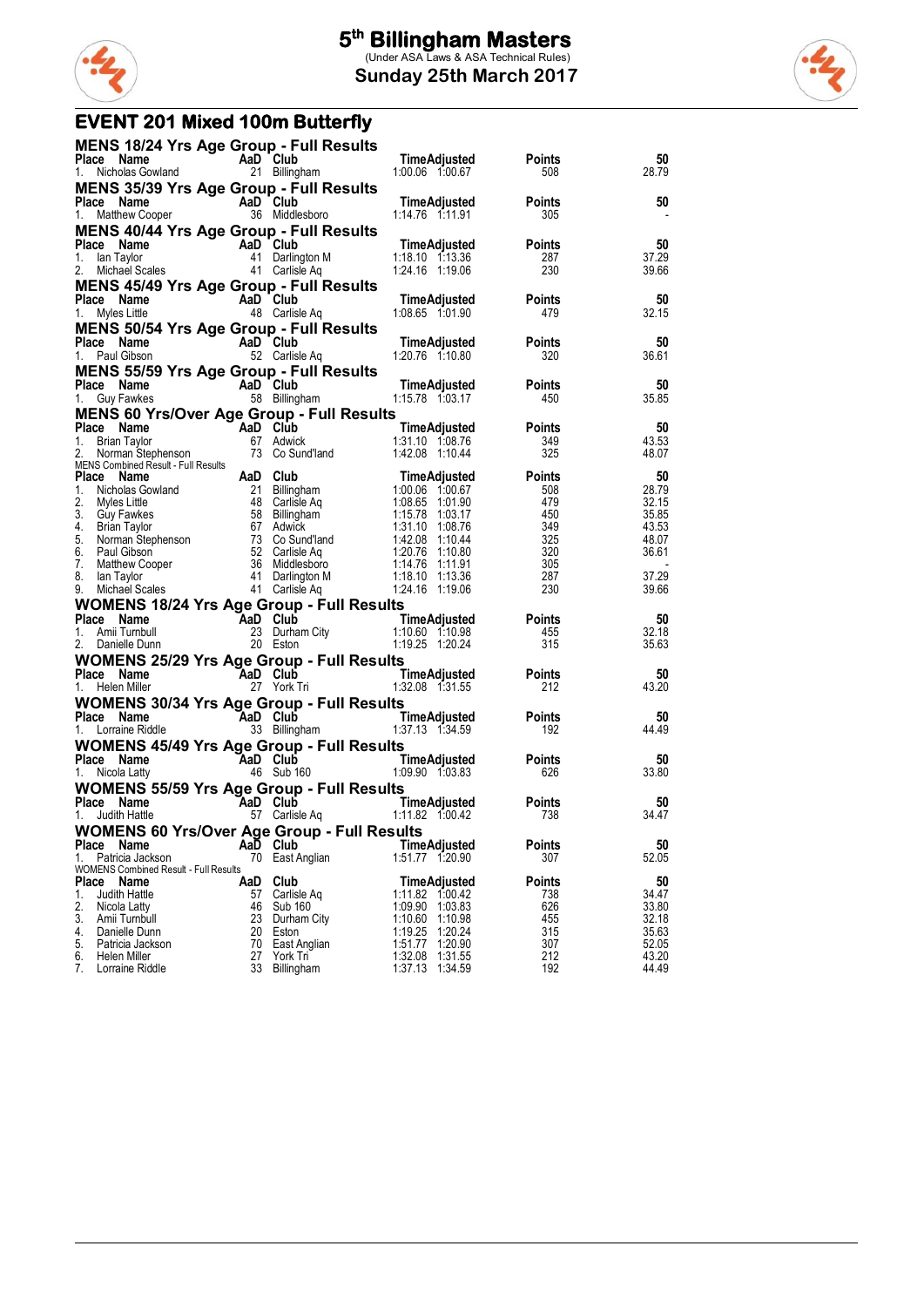

### **EVENT 201 Mixed 100m Butterfly**

| MENS 18/24 Yrs Age Group - Full Results                          |     |                          |                                                                                                                                                                                                                                                   |                                                                               |                |
|------------------------------------------------------------------|-----|--------------------------|---------------------------------------------------------------------------------------------------------------------------------------------------------------------------------------------------------------------------------------------------|-------------------------------------------------------------------------------|----------------|
|                                                                  |     |                          | Place Name<br>21 Billingham 1.00.06 1:00.67 508<br>1. Nicholas Gowland 21 Billingham 1:00.06 1:00.67 508                                                                                                                                          |                                                                               | 50<br>28.79    |
| <b>MENS 35/39 Yrs Age Group - Full Results</b>                   |     |                          |                                                                                                                                                                                                                                                   |                                                                               |                |
| <b>Place Name</b><br>1. Matthew Cooper <b>COM</b> 36 Middlesboro |     |                          |                                                                                                                                                                                                                                                   |                                                                               | 50             |
|                                                                  |     |                          |                                                                                                                                                                                                                                                   |                                                                               |                |
| <b>MENS 40/44 Yrs Age Group - Full Results</b>                   |     |                          |                                                                                                                                                                                                                                                   |                                                                               | 50             |
|                                                                  |     |                          |                                                                                                                                                                                                                                                   |                                                                               | 37.29          |
|                                                                  |     |                          | Place Name 113 Ago Civity 111 1224.16 111 123.36<br>1. Ian Taylor 1128.287<br>2. Michael Scales 41 Carlisle Aquality 1124.16 119.06 230                                                                                                           |                                                                               | 39.66          |
| <b>MENS 45/49 Yrs Age Group - Full Results</b>                   |     |                          |                                                                                                                                                                                                                                                   |                                                                               |                |
| <b>Place Name</b><br>1. Myles Little 48 Carlisle Aq              |     |                          | TimeAdjusted Points<br>1:08.65  1:01.90  479                                                                                                                                                                                                      |                                                                               | 50             |
|                                                                  |     |                          |                                                                                                                                                                                                                                                   |                                                                               | 32.15          |
| MENS 50/54 Yrs Age Group - Full Results                          |     |                          |                                                                                                                                                                                                                                                   |                                                                               |                |
|                                                                  |     |                          | Place Name AaD Club TimeAdjusted Points<br>1. Paul Gibson 52 Carlisle Aq 1:20.76 1:10.80 320                                                                                                                                                      |                                                                               | 50<br>36.61    |
|                                                                  |     |                          |                                                                                                                                                                                                                                                   |                                                                               |                |
|                                                                  |     |                          | <b>MENS 55/59 Yrs Age Group - Full Results<br/>Place Name AaD Club TimeAdjusted Points<br/>1. Guy Fawkes 58 Billingham 1.15.78 1:03.17 450</b>                                                                                                    |                                                                               | 50             |
|                                                                  |     |                          |                                                                                                                                                                                                                                                   |                                                                               | 35.85          |
| <b>MENS 60 Yrs/Over Age Group - Full Results</b>                 |     |                          |                                                                                                                                                                                                                                                   |                                                                               |                |
|                                                                  |     |                          | Place Name <b>Additional Club</b><br>1. Brian Taylor <b>67 Additional Club</b><br>2. Norman Stephenson 73 Co Sund'land 1:42.08 1:10.44 325                                                                                                        |                                                                               | 50             |
|                                                                  |     |                          |                                                                                                                                                                                                                                                   |                                                                               | 43.53<br>48.07 |
|                                                                  |     |                          |                                                                                                                                                                                                                                                   |                                                                               |                |
|                                                                  |     |                          | 2. Norman Stephenson<br>MENS Contained Result - Full Results<br>MENS Contained Result - Full Results<br>1. Nicholas Gowland<br>2. Myles Little<br>4. Brillingham<br>4. Guy Fawkes<br>4. Brillingham<br>4. Guy Fawkes<br>4. Guy Fawkes<br>5. Norma | oints<br>$508$<br>$479$<br>$349$<br>$325$<br>$320$<br>$305$<br>$287$<br>$290$ | 50             |
|                                                                  |     |                          |                                                                                                                                                                                                                                                   |                                                                               | 28.79          |
|                                                                  |     |                          |                                                                                                                                                                                                                                                   |                                                                               | 32.15<br>35.85 |
|                                                                  |     |                          |                                                                                                                                                                                                                                                   |                                                                               | 43.53          |
|                                                                  |     |                          |                                                                                                                                                                                                                                                   |                                                                               | 48.07          |
|                                                                  |     |                          |                                                                                                                                                                                                                                                   |                                                                               | 36.61          |
|                                                                  |     |                          |                                                                                                                                                                                                                                                   |                                                                               |                |
|                                                                  |     |                          |                                                                                                                                                                                                                                                   |                                                                               | 37.29          |
|                                                                  |     |                          |                                                                                                                                                                                                                                                   |                                                                               | 39.66          |
|                                                                  |     |                          | WOMENS 18/24 Yrs Age Group - Full Results<br>Place Name Aan Club TimeAdjusted Points<br>1. Amii Tumbull 23 Durham City 1:10.60 1:10.98 455<br>2. Daniele Dunn 20 Eston<br>2. Daniele Dunn 20 Eston                                                |                                                                               | 50             |
|                                                                  |     |                          |                                                                                                                                                                                                                                                   |                                                                               | 32.18          |
|                                                                  |     |                          |                                                                                                                                                                                                                                                   |                                                                               | 35.63          |
|                                                                  |     |                          | <b>WOMENS 25/29 Yrs Age Group - Full Results<br/>Place Name Aad Club TimeAdjusted Points<br/>1. Helen Miller 27 York Tri 1.32.08 1:31.55 212</b>                                                                                                  |                                                                               |                |
|                                                                  |     |                          |                                                                                                                                                                                                                                                   |                                                                               | 50             |
|                                                                  |     |                          |                                                                                                                                                                                                                                                   |                                                                               | 43.20          |
|                                                                  |     |                          | <b>WOMENS 30/34 Yrs Age Group - Full Results<br/>Place Name Manne Aad Club TimeAdjusted Points<br/>1. Lorraine Riddle 33 Billingham 1.37.13 1.34.59 192</b>                                                                                       |                                                                               | 50             |
|                                                                  |     |                          |                                                                                                                                                                                                                                                   |                                                                               | 44.49          |
| <b>WOMENS 45/49 Yrs Age Group - Full Results</b>                 |     |                          |                                                                                                                                                                                                                                                   |                                                                               |                |
|                                                                  |     |                          |                                                                                                                                                                                                                                                   |                                                                               | 50             |
|                                                                  |     |                          | <b>Place Name Cap Club Time Adjusted Points</b><br>1. Nicola Latty 46 Sub 160 1.09.90 1.03.83 626                                                                                                                                                 |                                                                               | 33.80          |
|                                                                  |     |                          | IN COMENS 55/59 Yrs Age Group - Full Results<br>Place Name AaD Club TimeAdjusted Points<br>1. Judith Hattle 57 Carlisle Aq 1.11.82 1.00.42 738                                                                                                    |                                                                               |                |
|                                                                  |     |                          |                                                                                                                                                                                                                                                   |                                                                               | 50             |
|                                                                  |     |                          |                                                                                                                                                                                                                                                   |                                                                               | 34.47          |
| <b>WOMENS 60 Yrs/Over Age Group - Full Results</b>               |     |                          |                                                                                                                                                                                                                                                   |                                                                               |                |
| Place Name                                                       |     | AaD Club                 | <b>TimeAdjusted</b>                                                                                                                                                                                                                               | <b>Points</b>                                                                 | 50             |
| 1.<br>Patricia Jackson<br>WOMENS Combined Result - Full Results  | 70  | East Anglian             | 1:51.77 1:20.90                                                                                                                                                                                                                                   | 307                                                                           | 52.05          |
| Place<br>Name                                                    | AaD | Club                     | <b>TimeAdjusted</b>                                                                                                                                                                                                                               | Points                                                                        | 50             |
| Judith Hattle<br>1.                                              | 57  | Carlisle Aq              | 1:11.82 1:00.42                                                                                                                                                                                                                                   | 738                                                                           | 34.47          |
| 2.<br>Nicola Latty                                               | 46  | Sub 160                  | 1:09.90 1:03.83                                                                                                                                                                                                                                   | 626                                                                           | 33.80          |
| 3.<br>Amii Turnbull                                              |     | 23 Durham City           | 1:10.60 1:10.98                                                                                                                                                                                                                                   | 455                                                                           | 32.18          |
| 4.<br>Danielle Dunn<br>5.                                        | 70  | 20 Eston<br>East Anglian | 1:19.25<br>1:20.24<br>1:51.77 1:20.90                                                                                                                                                                                                             | 315<br>307                                                                    | 35.63<br>52.05 |
| Patricia Jackson<br>6.<br>Helen Miller                           | 27  | York Tri                 | 1:32.08 1:31.55                                                                                                                                                                                                                                   | 212                                                                           | 43.20          |
| 7.<br>Lorraine Riddle                                            | 33  | Billingham               | 1:37.13 1:34.59                                                                                                                                                                                                                                   | 192                                                                           | 44.49          |

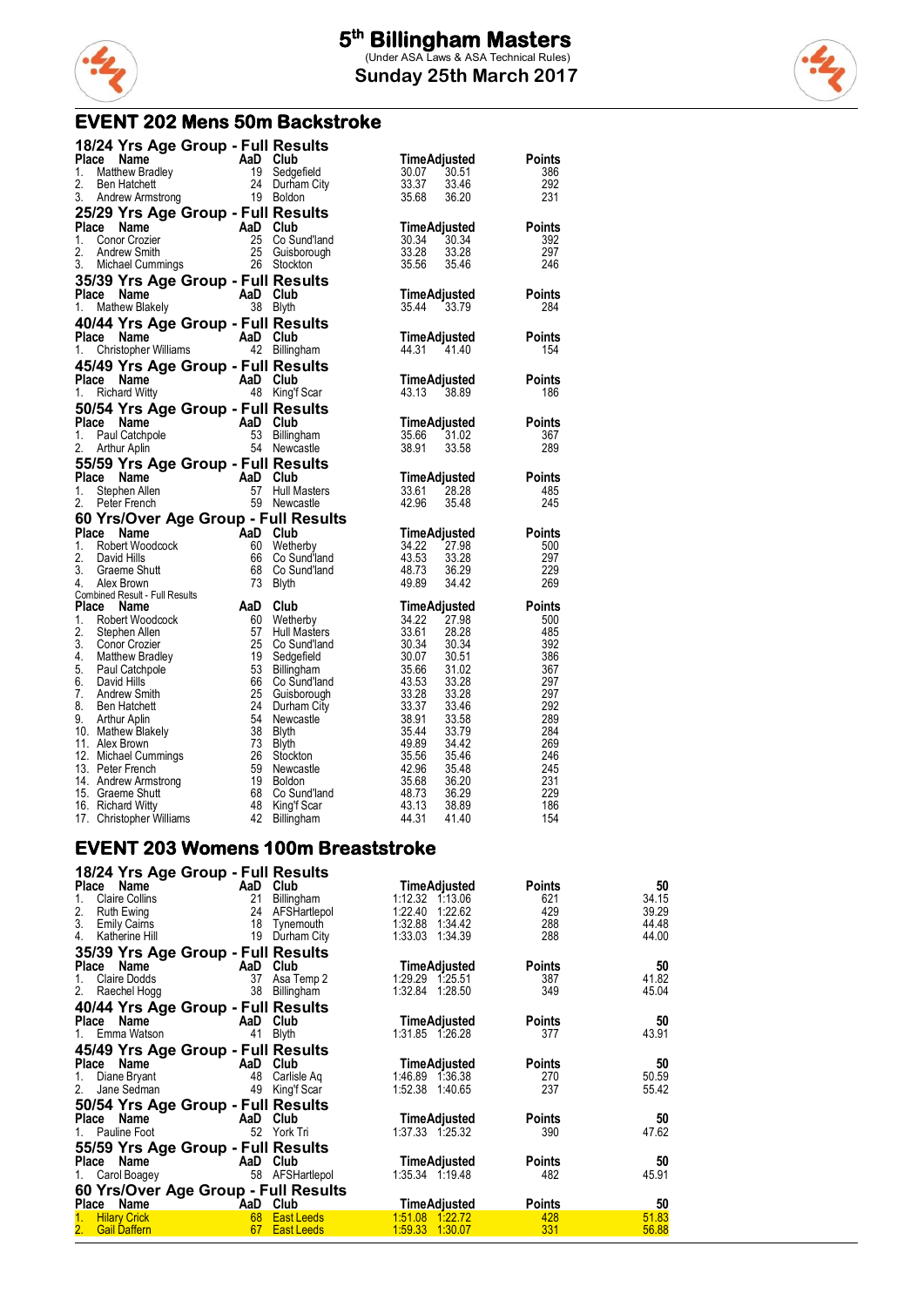

#### **EVENT 202 Mens 50m Backstroke**

|       | 18/24 Yrs Age Group - Full Results                                                                                                                                      |          |                                              |                                    |                      |
|-------|-------------------------------------------------------------------------------------------------------------------------------------------------------------------------|----------|----------------------------------------------|------------------------------------|----------------------|
|       | Place Name<br>Comparison of the Main Club<br>Matthew Bradley<br>Ben Hatchett Main Club<br>Codge                                                                         |          |                                              | TimeAdjusted                       | <b>Points</b>        |
| 1.    |                                                                                                                                                                         |          | 19 Sedgefield                                | 30.07<br>30.51                     | 386                  |
| 2.    | Ben Hatchett                                                                                                                                                            |          |                                              | 33.37<br>33.46                     | 292                  |
| 3.    | Andrew Armstrong                                                                                                                                                        |          | ייטושיט 19 ביטומאט<br>19 Boldon<br>19 Boldon | 35.68<br>36.20                     | 231                  |
|       | 25/29 Yrs Age Group - Full Results                                                                                                                                      |          |                                              |                                    |                      |
|       | Place Name                                                                                                                                                              |          |                                              | TimeAdjusted                       | <b>Points</b>        |
| 1.    | Conor Crozier                                                                                                                                                           |          | 25 Co Sund'land                              | 30.34<br>30.34                     | 392                  |
| 2.    | Andrew Smith                                                                                                                                                            |          |                                              | 33.28<br>33.28                     | 297                  |
|       | AaD Club<br>25 Co Sund'land<br>25 Guisborough<br>1913 26 Stockton<br>3. Michael Cummings                                                                                |          |                                              | 35.56<br>35.46                     | 246                  |
|       | 35/39 Yrs Age Group - Full Results                                                                                                                                      |          |                                              |                                    |                      |
|       | $AaD$ Club<br>Place Name                                                                                                                                                |          |                                              | TimeAdjusted                       | <b>Points</b>        |
| 1.    | Mathew Blakely                                                                                                                                                          |          |                                              | 35.44 33.79                        | 284                  |
|       | 40/44 Yrs Age Group - Full Results                                                                                                                                      |          |                                              |                                    |                      |
|       | Place Name                                                                                                                                                              | AaD Club |                                              | TimeAdjusted                       | <b>Points</b>        |
| 1.    | <b>Le Name</b><br>Christopher Williams                                                                                                                                  |          | 42 Billingham                                | 44.31 41.40                        | 154                  |
|       |                                                                                                                                                                         |          |                                              |                                    |                      |
|       | 45/49 Yrs Age Group - Full Results<br>Place Name                                                                                                                        |          |                                              |                                    |                      |
|       | AaD Club<br>48 Kinet                                                                                                                                                    |          |                                              | TimeAdjusted<br>43.13 38.89        | <b>Points</b><br>186 |
| 1.    | <b>Richard Witty</b>                                                                                                                                                    |          | 48 King'f Scar                               |                                    |                      |
|       | 50/54 Yrs Age Group - Full Results<br>AaD Club<br>53 Billing                                                                                                            |          |                                              |                                    |                      |
| Place | Name                                                                                                                                                                    |          |                                              | <b>TimeAdjusted</b><br>35.66 31.02 | <b>Points</b>        |
| 1.    | Paul Catchpole                                                                                                                                                          |          | 53 Billingham                                |                                    | 367                  |
| 2.    | Arthur Aplin                                                                                                                                                            |          | 54 Newcastle                                 | 38.91<br>33.58                     | 289                  |
|       | 55/59 Yrs Age Group - Full Results                                                                                                                                      |          |                                              |                                    |                      |
|       | Place Name<br>$AaD \text{ Club}$<br>57 Hull M                                                                                                                           |          |                                              | <b>TimeAdjusted</b>                | <b>Points</b>        |
| 1.    | Stephen Allen                                                                                                                                                           |          | <b>Hull Masters</b>                          | 33.61<br>28.28                     | 485                  |
| 2.    | Peter French                                                                                                                                                            |          | 59 Newcastle                                 | 42.96<br>35.48                     | 245                  |
|       | 60 Yrs/Over Age Group - Full Results<br>From High Club<br>David Hills 60 Wether<br>David Hills 66 Co Surface<br>Graene Shutt 68 Co Surface<br>Alex Brown<br>Died Result |          |                                              |                                    |                      |
|       | Place                                                                                                                                                                   |          |                                              | TimeAdjusted                       | <b>Points</b>        |
| 1.    |                                                                                                                                                                         |          | Wetherby                                     | 34.22<br>27.98                     | 500                  |
| 2.    |                                                                                                                                                                         |          | Co Sund'land                                 | 43.53<br>33.28                     | 297                  |
| 3.    |                                                                                                                                                                         |          | Co Sund'land                                 | 48.73<br>36.29                     | 229                  |
| 4.    | <b>Combined Result - Full Results</b>                                                                                                                                   |          |                                              | 49.89<br>34.42                     | 269                  |
| Place | Name                                                                                                                                                                    | AaD      | Club                                         | TimeAdjusted                       | <b>Points</b>        |
| 1.    | Robert Woodcock                                                                                                                                                         | 60       | Wetherby                                     | 34.22<br>27.98                     | 500                  |
| 2.    | Stephen Allen                                                                                                                                                           | 57       | Hull Masters                                 | 33.61 28.28                        | 485                  |
| 3.    | <b>Conor Crozier</b>                                                                                                                                                    | -25      | Co Sund'Iand                                 | $\frac{30.34}{30.07}$<br>30.34     | 392                  |
| 4.    | Matthew Bradley                                                                                                                                                         | 19       | Sedgefield                                   | 30.07<br>30.51                     | 386                  |
| 5.    | Paul Catchpole                                                                                                                                                          | 53       | Billingham                                   | 35.66<br>31.02                     | 367                  |
| 6.    | David Hills                                                                                                                                                             | 66       | Co Sund'land                                 | 43.53<br>33.28                     | 297                  |
|       | 7. Andrew Smith                                                                                                                                                         | 25       | Guisborough                                  | 33.28<br>33.28                     | 297                  |
| 8.    | <b>Ben Hatchett</b>                                                                                                                                                     | 24       | Durham City                                  | 33.37<br>33.46                     | 292                  |
| 9.    | Arthur Aplin                                                                                                                                                            | 54       | Newcastle                                    | 38.91<br>33.58                     | 289                  |
|       | 10. Mathew Blakely                                                                                                                                                      | 38       | Blyth                                        | 35.44<br>33.79                     | 284                  |
|       | 11. Alex Brown                                                                                                                                                          | 73       | <b>Blyth</b>                                 | 49.89<br>34.42                     | 269                  |
|       | 12. Michael Cummings                                                                                                                                                    | 26<br>59 | Stockton<br>Newcastle                        | 35.56<br>35.46<br>42.96<br>35.48   | 246<br>245           |
|       | 13. Peter French<br>14. Andrew Armstrong                                                                                                                                | 19       | Boldon                                       | 35.68<br>36.20                     | 231                  |
|       | 15. Graeme Shutt                                                                                                                                                        | 68       | Co Sund'land                                 | 48.73<br>36.29                     | 229                  |
|       | 16. Richard Witty                                                                                                                                                       | - 48     | King'f Scar                                  | 43.13<br>38.89                     | 186                  |
|       | 17. Christopher Williams                                                                                                                                                | 42       | Billingham                                   | 44.31<br>41.40                     | 154                  |

#### **EVENT 203 Womens 100m Breaststroke**

| 18/24 Yrs Age Group - Full Results   |     |              |                     |               |       |
|--------------------------------------|-----|--------------|---------------------|---------------|-------|
| Place Name                           |     | AaD Club     | <b>TimeAdjusted</b> | <b>Points</b> | 50    |
| <b>Claire Collins</b><br>1.          | 21  | Billingham   | 1:12.32 1:13.06     | 621           | 34.15 |
| 2.<br>Ruth Ewing                     | 24  | AFSHartlepol | 1:22.40<br>1:22.62  | 429           | 39.29 |
| 3.<br>Emily Cairns                   | 18  | Tynemouth    | 1:32.88<br>1.34.42  | 288           | 44.48 |
| 4.<br>Katherine Hill                 | 19  | Durham City  | 1:33.03<br>1:34.39  | 288           | 44.00 |
| 35/39 Yrs Age Group - Full Results   |     |              |                     |               |       |
| Name<br>Place                        | AaD | Club         | <b>TimeAdjusted</b> | <b>Points</b> | 50    |
| Claire Dodds<br>1.                   | 37  | Asa Temp 2   | 1:29.29 1:25.51     | 387           | 41.82 |
| Raechel Hogg<br>2.                   | 38  | Billingham   | 1:32.84<br>1:28.50  | 349           | 45.04 |
| 40/44 Yrs Age Group - Full Results   |     |              |                     |               |       |
| Name<br>Place                        | AaD | Club         | <b>TimeAdjusted</b> | <b>Points</b> | 50    |
| Emma Watson<br>1.                    | 41  | <b>Blyth</b> | 1:31.85 1:26.28     | 377           | 43.91 |
| 45/49 Yrs Age Group - Full Results   |     |              |                     |               |       |
| Place Name                           | AaD | Club         | <b>TimeAdjusted</b> | <b>Points</b> | 50    |
| Diane Bryant                         | 48  | Carlisle Aq  | 1:46.89 1:36.38     | 270           | 50.59 |
| 2.<br>Jane Sedman                    | 49  | King'f Scar  | 1:52.38 1:40.65     | 237           | 55.42 |
|                                      |     |              |                     |               |       |
| 50/54 Yrs Age Group - Full Results   |     |              |                     |               |       |
| Place Name                           | AaD | Club         | <b>TimeAdjusted</b> | <b>Points</b> | 50    |
| Pauline Foot                         | 52  | York Tri     | 1:37.33 1:25.32     | 390           | 47.62 |
| 55/59 Yrs Age Group - Full Results   |     |              |                     |               |       |
| Name<br>Place                        | AaD | Club         | <b>TimeAdjusted</b> | <b>Points</b> | 50    |
| Carol Boagey<br>1.                   | 58  | AFSHartlepol | 1:35.34 1:19.48     | 482           | 45.91 |
| 60 Yrs/Over Age Group - Full Results |     |              |                     |               |       |
| Place Name                           | AaD | <b>Club</b>  | <b>TimeAdjusted</b> | <b>Points</b> | 50    |
| <b>Hilary Crick</b>                  | 68  | East Leeds   | 1:51.08<br>1:22.72  | 428           | 51.83 |
| 2.<br><b>Gail Daffern</b>            | 67  | East Leeds   | 1:59.33 1:30.07     | 331           | 56.88 |

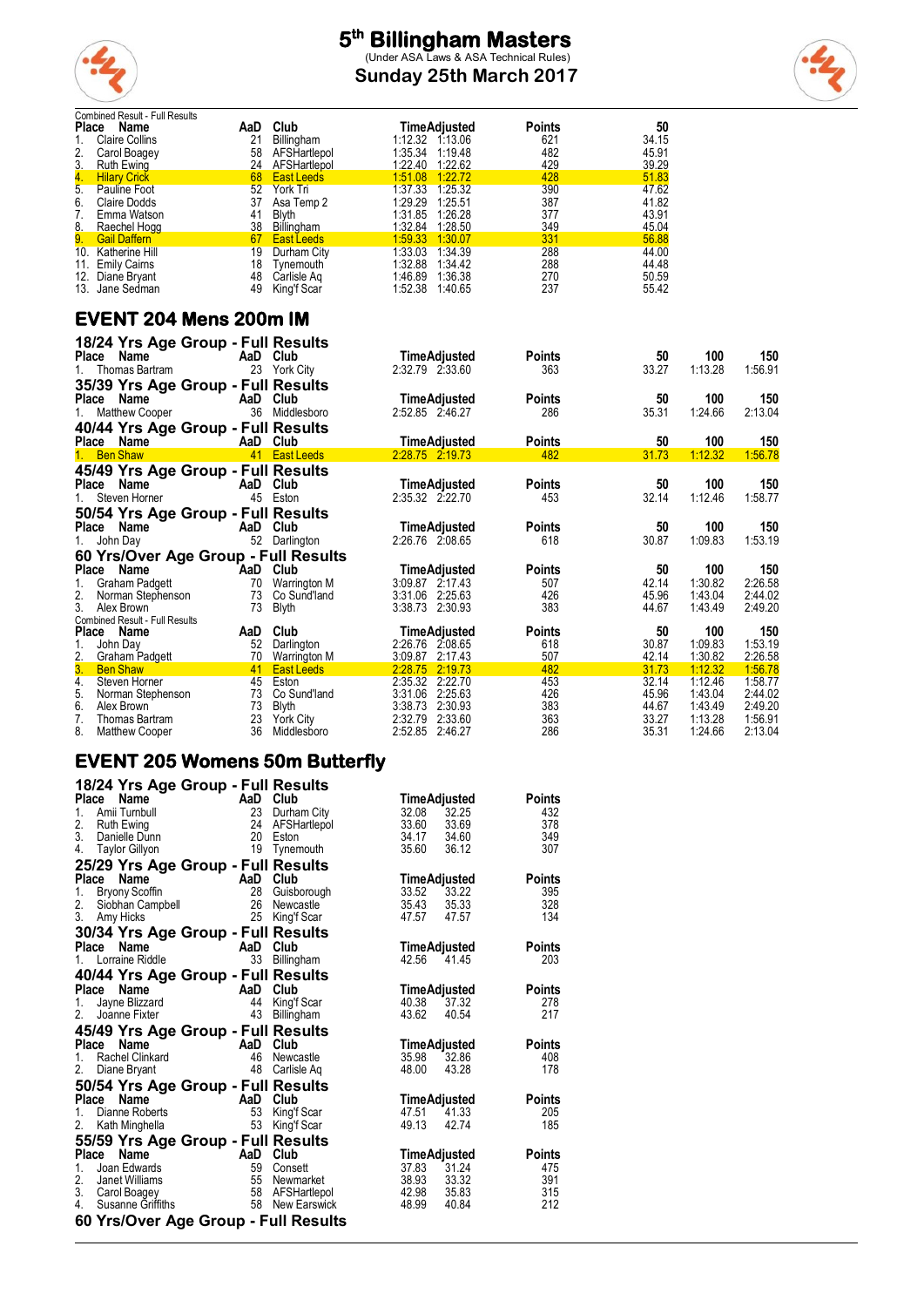

**Sunday 25th March 2017**



| Combined Result - Full Results                         |     |                                  |                                    |               |                |                    |                    |
|--------------------------------------------------------|-----|----------------------------------|------------------------------------|---------------|----------------|--------------------|--------------------|
| Place<br>Name                                          | AaD | Club                             | <b>TimeAdjusted</b>                | <b>Points</b> | 50             |                    |                    |
| 1.<br><b>Claire Collins</b>                            | 21  | Billingham                       | 1:12.32 1:13.06                    | 621           | 34.15          |                    |                    |
| 2.<br>Carol Boagey                                     |     | 58 AFSHartlepol                  | 1:35.34 1:19.48                    | 482<br>429    | 45.91<br>39.29 |                    |                    |
| 3.<br><b>Ruth Ewing</b>                                |     | 24 AFSHartlepol<br>68 East Leeds | 1:22.40 1:22.62<br>1:51.08 1:22.72 | 428           | 51.83          |                    |                    |
| 4.<br><b>Hilary Crick</b><br>5.<br><b>Pauline Foot</b> | 52  | York Tri                         | 1:37.33 1:25.32                    | 390           | 47.62          |                    |                    |
| 6.<br>Claire Dodds                                     |     | 37 Asa Temp 2                    | 1:29.29 1:25.51                    | 387           | 41.82          |                    |                    |
| 7.<br>Emma Watson                                      | 41  | <b>Blyth</b>                     | 1:31.85 1:26.28                    | 377           | 43.91          |                    |                    |
| 8.<br>Raechel Hogg                                     |     | 38 Billingham                    | 1:32.84 1:28.50                    | 349           | 45.04          |                    |                    |
| 9.<br><b>Gail Daffern</b>                              |     | 67 East Leeds                    | 1:59.33 1:30.07                    | 331           | 56.88          |                    |                    |
| 10. Katherine Hill                                     |     | 19 Durham City                   | 1:33.03 1:34.39                    | 288           | 44.00          |                    |                    |
| 11. Emily Caims                                        |     | 18 Tynemouth                     | 1:32.88 1:34.42                    | 288           | 44.48          |                    |                    |
| 12. Diane Bryant                                       |     | 48 Carlisle Aq                   | 1:46.89 1:36.38                    | 270           | 50.59          |                    |                    |
| 13. Jane Sedman                                        |     | 49 King'f Scar                   | 1:52.38 1:40.65                    | 237           | 55.42          |                    |                    |
| <b>EVENT 204 Mens 200m IM</b>                          |     |                                  |                                    |               |                |                    |                    |
| 18/24 Yrs Age Group - Full Results                     |     |                                  |                                    |               |                |                    |                    |
| Place Name                                             |     | AaD Club                         | <b>TimeAdjusted</b>                | <b>Points</b> | 50             | 100                | 150                |
| Thomas Bartram<br>$1_{-}$                              |     | 23 York City                     | 2:32.79 2:33.60                    | 363           | 33.27          | 1:13.28            | 1:56.91            |
| 35/39 Yrs Age Group - Full Results                     |     |                                  |                                    |               |                |                    |                    |
| Place Name                                             |     | AaD Club                         | <b>TimeAdjusted</b>                | <b>Points</b> | 50             | 100                | 150                |
|                                                        |     |                                  |                                    | 286           |                |                    | 2:13.04            |
| <b>Matthew Cooper</b><br>1.                            |     | 36 Middlesboro                   | 2:52.85 2:46.27                    |               | 35.31          | 1:24.66            |                    |
|                                                        |     |                                  |                                    |               |                |                    |                    |
| 40/44 Yrs Age Group - Full Results                     |     |                                  |                                    |               |                |                    |                    |
| Place Name                                             |     | AaD Club                         | <b>TimeAdjusted</b>                | <b>Points</b> | 50             | 100                | 150                |
| 1. Ben Shaw                                            |     | 41 East Leeds                    | 2.28.75 2.19.73                    | 482           | 31.73          | 1:12.32            | 1:56.78            |
|                                                        |     |                                  |                                    |               |                |                    |                    |
| 45/49 Yrs Age Group - Full Results<br>Place<br>Name    |     |                                  |                                    |               |                | 100                |                    |
|                                                        |     | AaD Club                         | <b>TimeAdjusted</b>                | <b>Points</b> | 50             |                    | 150                |
| Steven Horner<br>1.                                    |     | 45 Eston                         | 2:35.32 2:22.70                    | 453           | 32.14          | 1:12.46            | 1:58.77            |
| 50/54 Yrs Age Group - Full Results                     |     |                                  |                                    |               |                |                    |                    |
| Place Name                                             |     | AaD Club                         | <b>TimeAdjusted</b>                | <b>Points</b> | 50             | 100                | 150                |
| John Day<br>1.                                         |     | 52 Darlington                    | 2:26.76 2:08.65                    | 618           | 30.87          | 1:09.83            | 1:53.19            |
| 60 Yrs/Over Age Group - Full Results                   |     |                                  |                                    |               |                |                    |                    |
| Place Name                                             |     | AaD Club                         | <b>TimeAdjusted</b>                | <b>Points</b> | 50             | 100                | 150                |
| 1.<br>Graham Padgett                                   |     | 70 Warrington M                  | 3:09.87 2:17.43                    | 507           | 42.14          | 1:30.82            | 2.26.58            |
| 2.<br>Norman Stephenson                                |     | 73 Co Sund'land                  | 3:31.06 2:25.63                    | 426           | 45.96          | 1:43.04            | 2:44.02            |
| 3.<br>Alex Brown                                       |     | 73 Blyth                         | 3:38.73 2:30.93                    | 383           | 44.67          | 1.43.49            | 2:49.20            |
| Combined Result - Full Results                         |     |                                  |                                    |               |                |                    |                    |
|                                                        |     | AaD Club                         | <b>TimeAdjusted</b>                | <b>Points</b> | 50             | 100                | 150                |
| 1.<br>John Day                                         |     | 52 Darlington                    | 2:26.76 2:08.65                    | 618           | 30.87          | 1:09.83            | 1:53.19            |
| Place Name<br>2.<br><b>Graham Padgett</b>              |     | 70 Warrington M                  | 3:09.87 2:17.43                    | 507           | 42.14          | 1:30.82            | 2:26.58            |
| 3.<br><b>Ben Shaw</b>                                  |     | 41 East Leeds                    | 2:28.75 2:19.73                    | 482           | 31.73          | 1:12.32            | 1:56.78            |
| 4.<br>Steven Horner                                    |     | 45 Eston                         | 2:35.32 2:22.70                    | 453           | 32.14          | 1:12.46            | 1:58.77            |
| 5.<br>Norman Stephenson                                |     | 73 Co Sund'land                  | 3:31.06 2:25.63                    | 426           | 45.96          | 1:43.04            | 2:44.02            |
| 6.<br>Alex Brown                                       |     | 73 Blyth                         | 3:38.73 2:30.93                    | 383           | 44.67          | 1:43.49            | 2:49.20            |
| 7.<br>Thomas Bartram<br>8.<br><b>Matthew Cooper</b>    | 36  | 23 York City<br>Middlesboro      | 2:32.79 2:33.60<br>2:52.85 2:46.27 | 363<br>286    | 33.27<br>35.31 | 1:13.28<br>1:24.66 | 1:56.91<br>2:13.04 |

#### **EVENT 205 Womens 50m Butterfly**

| 18/24 Yrs Age Group - Full Results                                                                                            |    |                                                    |              |                            |               |
|-------------------------------------------------------------------------------------------------------------------------------|----|----------------------------------------------------|--------------|----------------------------|---------------|
| <b>Ce Name And Club</b><br>Amii Tumbull 23 Durha<br>Ruth Ewing 24 AFSH:<br><b>Place</b>                                       |    |                                                    | TimeAdjusted |                            | <b>Points</b> |
| 1.                                                                                                                            |    | 23 Durham City                                     | 32.08        | 32.25                      | 432           |
| 2.                                                                                                                            |    | AFSHartlepol                                       | 33.60        | 33.69                      | 378           |
| 3.                                                                                                                            |    |                                                    |              | 34.17 34.60                | 349           |
| Ruth Ewing<br>Danielle Dunn (20 Eston)<br>All Citting (19 Tynemouth)<br>4. Taylor Gillyon                                     |    |                                                    | 35.60 36.12  |                            | 307           |
| 25/29 Yrs Age Group - Full Results                                                                                            |    |                                                    |              |                            |               |
| Place<br><b>Place Name AaD Club</b><br>1. Bryony Scoffin 28 Guisborough<br>2. Siobhan Campbell<br>3. Amy Hicks 25 King'f Scar |    |                                                    | TimeAdjusted |                            | <b>Points</b> |
|                                                                                                                               |    |                                                    | 33.52 33.22  |                            | 395           |
|                                                                                                                               |    |                                                    |              | 35.43 35.33<br>47.57 47.57 | 328           |
|                                                                                                                               |    |                                                    |              |                            | 134           |
| 30/34 Yrs Age Group - Full Results                                                                                            |    |                                                    |              |                            |               |
| <b>Place Name</b><br>1. Lorraine Riddle<br>1. Lorraine Riddle<br>33 Billing                                                   |    |                                                    |              | TimeAdjusted               | Points        |
|                                                                                                                               |    | 33 Billingham                                      | 42.56 41.45  |                            | 203           |
| 40/44 Yrs Age Group - Full Results                                                                                            |    |                                                    |              |                            |               |
| Place Name<br><b>Ce Name</b><br>Jayne Blizzard<br>Jayne Fixter 43 Billingham<br>Joanne Fixter 43 Billingham                   |    |                                                    | TimeAdjusted |                            | Points        |
| 1.                                                                                                                            |    |                                                    | 40.38        | 37.32                      | 278           |
| 2.                                                                                                                            |    |                                                    | 43.62        | 40.54                      | 217           |
| 45/49 Yrs Age Group - Full Results                                                                                            |    |                                                    |              |                            |               |
| <b>Example 2</b> AaD Club<br>Place<br>Name                                                                                    |    |                                                    | TimeAdjusted |                            | <b>Points</b> |
| Rachel Clinkard<br>1.                                                                                                         | 46 | Newcastle                                          | 35.98        | 32.86                      | 408           |
| 2.<br>$\sim$ 48<br>Diane Bryant                                                                                               |    | Carlisle Aq                                        | 48.00        | 43.28                      | 178           |
| 50/54 Yrs Age Group - Full Results                                                                                            |    |                                                    |              |                            |               |
| Place<br><b>Community</b><br>Dianne Roberts<br>53 King'f Scar                                                                 |    |                                                    |              | TimeAdjusted               | <b>Points</b> |
| 1.                                                                                                                            |    |                                                    |              | 47.51 41.33                | 205           |
| Kath Minghella 53 King'f Scar<br>2.                                                                                           |    |                                                    | 49.13        | 42.74                      | 185           |
| 55/59 Yrs Age Group - Full Results                                                                                            |    |                                                    |              |                            |               |
| Place<br>Name<br><b>Example 2</b> AaD Club                                                                                    |    |                                                    | TimeAdjusted |                            | <b>Points</b> |
| 1.<br>Joan Edwards                                                                                                            |    | 59 Consett                                         | 37.83 31.24  |                            | 475           |
| 2.<br>Janet Williams                                                                                                          |    | 55 Newmarket<br>58 AFSHartlepol<br>58 New Earswick | 38.93 33.32  |                            | 391           |
| 3. Carol Boagey                                                                                                               |    |                                                    | 42.98 35.83  |                            | 315           |
| 4.<br>Susanne Griffiths                                                                                                       |    |                                                    | 48.99        | 40.84                      | 212           |
| 60 Yrs/Over Age Group - Full Results                                                                                          |    |                                                    |              |                            |               |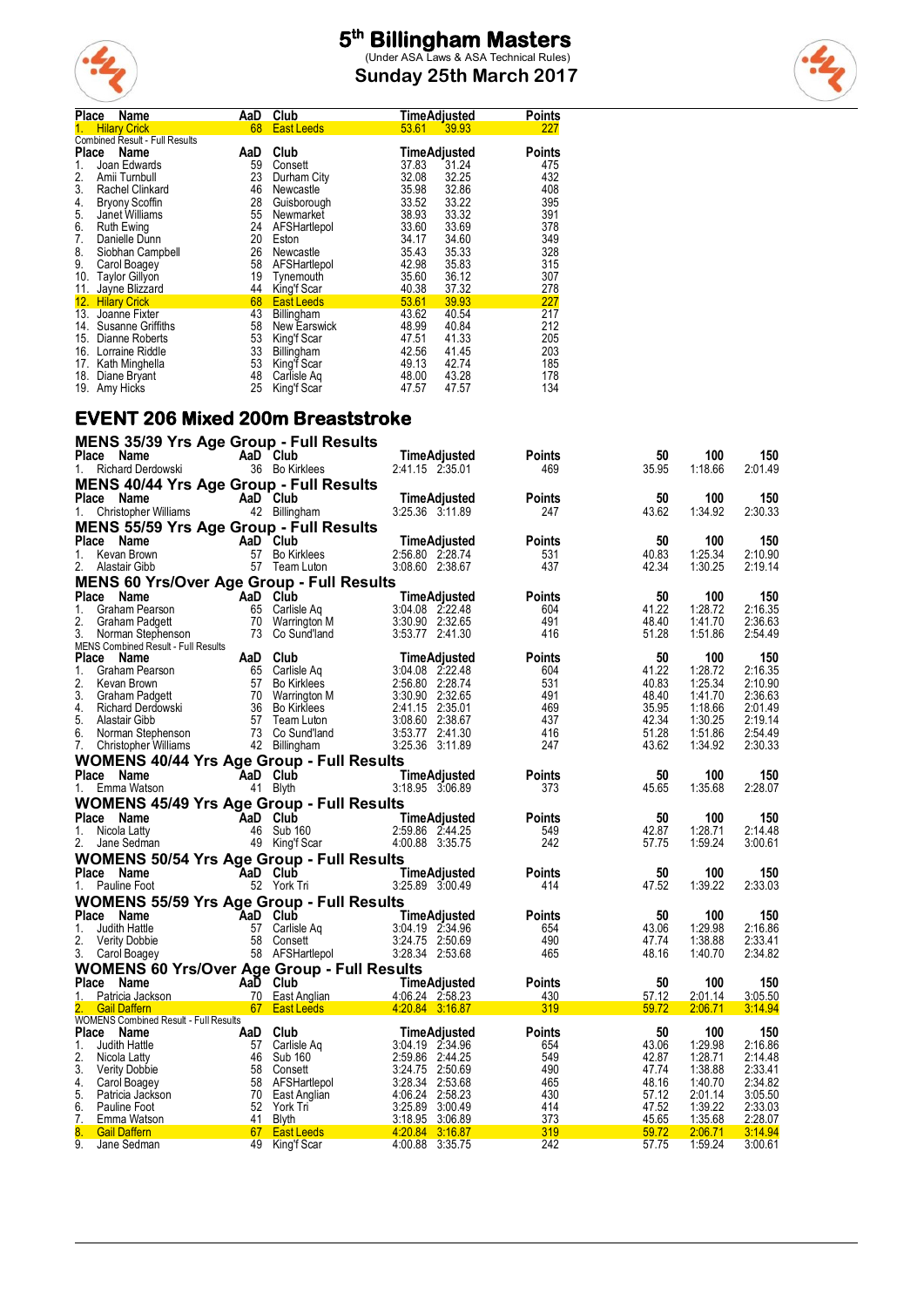

**Sunday 25th March 2017**



| <b>Place</b> | Name                                  | AaD | Club              | TimeAdjusted        | <b>Points</b> |
|--------------|---------------------------------------|-----|-------------------|---------------------|---------------|
|              | <b>Hilary Crick</b>                   | 68  | <b>East Leeds</b> | 53.61<br>39.93      | 227           |
|              | <b>Combined Result - Full Results</b> |     |                   |                     |               |
| <b>Place</b> | Name                                  | AaD | Club              | <b>TimeAdjusted</b> | <b>Points</b> |
| 1.           | Joan Edwards                          | 59  | Consett           | 37.83<br>31.24      | 475           |
| 2.           | Amii Turnbull                         | 23  | Durham City       | 32.08<br>32.25      | 432           |
| 3.           | Rachel Clinkard                       | 46  | Newcastle         | 32.86<br>35.98      | 408           |
| 4.           | <b>Bryony Scoffin</b>                 | 28  | Guisborough       | 33.52<br>33.22      | 395           |
| 5.           | Janet Williams                        | 55  | Newmarket         | 33.32<br>38.93      | 391           |
| 6.           | Ruth Ewing                            | 24  | AFSHartlepol      | 33.69<br>33.60      | 378           |
| 7.           | Danielle Dunn                         | 20  | Eston             | 34.60<br>34.17      | 349           |
| 8.           | Siobhan Campbell                      | 26  | Newcastle         | 35.43<br>35.33      | 328           |
| 9.           | Carol Boagey                          | 58  | AFSHartlepol      | 42.98<br>35.83      | 315           |
| 10.          | <b>Taylor Gillyon</b>                 | 19  | Tynemouth         | 35.60<br>36.12      | 307           |
| 11.          | Jayne Blizzard                        | 44  | King'f Scar       | 40.38<br>37.32      | 278           |
|              | 12. Hilary Crick                      | 68  | <b>East Leeds</b> | 53.61<br>39.93      | 227           |
| 13.          | Joanne Fixter                         | 43  | Billingham        | 43.62<br>40.54      | 217           |
| 14.          | Susanne Griffiths                     | 58  | New Earswick      | 48.99<br>40.84      | 212           |
| 15.          | Dianne Roberts                        | 53  | King'f Scar       | 41.33<br>47.51      | 205           |
| 16.          | Lorraine Riddle                       | 33  | Billingham        | 42.56<br>41.45      | 203           |
| 17.          | Kath Minghella                        | 53  | King'f Scar       | 49.13<br>42.74      | 185           |
| 18.          | Diane Bryant                          | 48  | Carlisle Ag       | 43.28<br>48.00      | 178           |
|              | 19. Amy Hicks                         | 25  | King'f Scar       | 47.57<br>47.57      | 134           |

#### **EVENT 206 Mixed 200m Breaststroke**

| MENS 35/39 Yrs Age Group - Full Results                 |                                                 |                                                                                             |                                                                                                                             |               |                |                    |                    |
|---------------------------------------------------------|-------------------------------------------------|---------------------------------------------------------------------------------------------|-----------------------------------------------------------------------------------------------------------------------------|---------------|----------------|--------------------|--------------------|
| Place<br>Name                                           |                                                 | AaD Club                                                                                    | TimeAdjusted                                                                                                                | <b>Points</b> | 50             | 100                | 150                |
| Richard Derdowski<br>$1_{\ldots}$                       |                                                 | 36 Bo Kirklees                                                                              | 2:41.15 2:35.01                                                                                                             | 469           | 35.95          | 1.18.66            | 2:01.49            |
| MENS 40/44 Yrs Age Group - Full Results                 |                                                 |                                                                                             |                                                                                                                             |               |                |                    |                    |
| Place Name                                              |                                                 | AaD Club                                                                                    | TimeAdjusted                                                                                                                | <b>Points</b> | 50             | 100                | 150                |
| 1. Christopher Williams                                 |                                                 | 42 Billingham                                                                               | 3:25.36 3:11.89                                                                                                             | 247           | 43.62          | 1:34.92            | 2:30.33            |
| <b>MENS 55/59 Yrs Age Group - Full Results</b>          |                                                 |                                                                                             |                                                                                                                             |               |                |                    |                    |
| Place Name                                              |                                                 | AaD Club                                                                                    | TimeAdjusted                                                                                                                | <b>Points</b> | 50             | 100                | 150                |
| 1.<br>Kevan Brown                                       |                                                 | 57 Bo Kirklees                                                                              | 2:56.80 2:28.74                                                                                                             | 531           | 40.83          | 1:25.34            | 2:10.90            |
| 2.<br>Alastair Gibb                                     |                                                 | 57 Team Luton                                                                               | 3:08.60 2:38.67                                                                                                             | 437           | 42.34          | 1:30.25            | 2:19.14            |
|                                                         |                                                 |                                                                                             |                                                                                                                             |               |                |                    |                    |
| MENS 60 Yrs/Over Age Group - Full Results<br>Place Name | AaD Club                                        |                                                                                             | TimeAdjusted                                                                                                                | <b>Points</b> | 50             | 100                | 150                |
| 1.                                                      |                                                 |                                                                                             | 3:04.08 2:22.48                                                                                                             | 604           | 41.22          | 1:28.72            | 2:16.35            |
| 2.                                                      |                                                 | 70 Warrington M                                                                             | 3:30.90 2:32.65                                                                                                             | 491           | 48.40          | 1:41.70            | 2:36.63            |
| 3.                                                      |                                                 |                                                                                             | 3.53.77 2.41.30                                                                                                             | 416           | 51.28          | 1:51.86            | 2:54.49            |
| MENS Combined Result - Full Results                     |                                                 |                                                                                             |                                                                                                                             |               |                |                    |                    |
| Place Name                                              | AaD Club                                        |                                                                                             | TimeAdjusted                                                                                                                | <b>Points</b> | 50             | 100                | 150                |
| 1.<br>Graham Pearson                                    |                                                 |                                                                                             | 3:04.08 2:22.48                                                                                                             | 604           | 41.22          | 1:28.72            | 2:16.35            |
| 2.<br>Kevan Brown                                       |                                                 |                                                                                             | 2:56.80 2:28.74                                                                                                             | 531           | 40.83          | 1:25.34            | 2:10.90            |
| 3.<br>Graham Padgett                                    |                                                 | France Carlisle Aq<br>57 Bo Kirklees<br>70 Warrington M<br>36 Bo Kirklees<br>57 Team Lution | 3:30.90 2:32.65                                                                                                             | 491           | 48.40          | 1:41.70            | 2:36.63            |
| 4.<br>Richard Derdowski                                 |                                                 |                                                                                             | 2:41.15 2:35.01                                                                                                             | 469           | 35.95          | 1:18.66            | 2:01.49            |
| 5.<br>Alastair Gibb                                     |                                                 |                                                                                             | 3.08.60 2:38.67                                                                                                             | 437           | 42.34          | 1:30.25            | 2:19.14            |
| 6.<br>Norman Stephenson                                 |                                                 |                                                                                             | 3:53.77 2:41.30                                                                                                             | 416           | 51.28          | 1:51.86            | 2:54.49            |
| 7.<br><b>Christopher Williams</b>                       |                                                 | 73 Co Sund'land<br>42 Billingham                                                            | 3:25.36 3:11.89                                                                                                             | 247           | 43.62          | 1:34.92            | 2:30.33            |
| WOMENS 40/44 Yrs Age Group - Full Results               |                                                 |                                                                                             |                                                                                                                             |               |                |                    |                    |
| Place Name                                              | AaD Club                                        |                                                                                             | <b>TimeAdjusted</b>                                                                                                         | <b>Points</b> | 50             | 100                | 150                |
| Emma Watson<br>1.                                       |                                                 | 41 Blyth                                                                                    | 3:18.95 3:06.89                                                                                                             | 373           | 45.65          | 1:35.68            | 2:28.07            |
| <b>WOMENS 45/49 Yrs Age Group - Full Results</b>        |                                                 |                                                                                             |                                                                                                                             |               |                |                    |                    |
| Place Name                                              |                                                 |                                                                                             |                                                                                                                             | <b>Points</b> | 50             | 100                | 150                |
| 1.<br>Nicola Latty                                      |                                                 |                                                                                             |                                                                                                                             | 549           | 42.87          | 1:28.71            | 2:14.48            |
| 2.<br>Jane Sedman                                       | <b>AaD</b> Club<br>46 Sub 160<br>49 King'f Scar |                                                                                             | <b>TimeAdjusted</b><br>2:59.86 2:44.25<br>4:00.88 3:35.75<br>4.00.88 3.35.75                                                | 242           | 57.75          | 1:59.24            | 3:00.61            |
|                                                         |                                                 |                                                                                             |                                                                                                                             |               |                |                    |                    |
| <b>WOMENS 50/54 Yrs Age Group - Full Results</b>        |                                                 |                                                                                             |                                                                                                                             |               |                |                    |                    |
| Place Name                                              | AaD Club                                        |                                                                                             | TimeAdjusted                                                                                                                | <b>Points</b> | 50             | 100                | 150                |
| 1. Pauline Foot                                         |                                                 | 52 York Tri                                                                                 | 3:25.89 3:00.49                                                                                                             | 414           | 47.52          | 1.39.22            | 2:33.03            |
| <b>WOMENS 55/59 Yrs Age Group - Full Results</b>        |                                                 |                                                                                             |                                                                                                                             |               |                |                    |                    |
| Place Name                                              |                                                 | AaD Club<br>57 Carlisle Aq<br>58 Consett                                                    | TimeAdjusted                                                                                                                | <b>Points</b> | 50             | 100                | 150                |
| Judith Hattle<br>1.                                     |                                                 |                                                                                             | 3.04.19 2.34.96                                                                                                             | 654           | 43.06          | 1:29.98            | 2:16.86            |
| 2.<br><b>Verity Dobbie</b>                              | AaD Club<br>57 Carlisl<br>58 Conse<br>58 AFSH:  |                                                                                             | 3:24.75 2:50.69                                                                                                             | 490           | 47.74          | 1:38.88            | 2:33.41            |
| 3. Carol Boagey                                         |                                                 | 58 AFSHartlepol                                                                             | 3:28.34 2:53.68                                                                                                             | 465           | 48.16          | 1:40.70            | 2:34.82            |
| <b>WOMENS 60 Yrs/Over Age Group - Full Results</b>      |                                                 |                                                                                             |                                                                                                                             |               |                |                    |                    |
| Place Name                                              |                                                 |                                                                                             | <b>AaD Club</b><br><b>70</b> East Anglian <b>1.06.24 2.58.23</b><br><b>67 East Leeds 62 4.20.84 3.16.87</b><br>TimeAdjusted | <b>Points</b> | 50             | 100                | 150                |
| Patricia Jackson<br>1.                                  |                                                 |                                                                                             |                                                                                                                             | 430           | 57.12          | 2:01.14            | 3:05.50            |
| <b>Gail Daffern</b>                                     |                                                 |                                                                                             |                                                                                                                             | 319           | 59.72          | 2:06.71            | 3:14.94            |
| <b>WOMENS Combined Result - Full Results</b>            |                                                 |                                                                                             |                                                                                                                             |               |                |                    |                    |
| Place Name                                              |                                                 | AaD Club                                                                                    | TimeAdjusted                                                                                                                | <b>Points</b> | 50             | 100                | 150                |
| 1.<br>Judith Hattle                                     |                                                 | 57 Carlisle Aq                                                                              | 3:04.19 2:34.96                                                                                                             | 654           | 43.06          | 1:29.98            | 2:16.86            |
| 2.<br>Nicola Latty                                      |                                                 | 46 Sub 160                                                                                  | 2:59.86 2:44.25                                                                                                             | 549           | 42.87          | 1:28.71            | 2:14.48            |
| 3.<br><b>Verity Dobbie</b>                              |                                                 | 58 Consett                                                                                  | 3:24.75 2:50.69                                                                                                             | 490           | 47.74          | 1:38.88            | 2:33.41            |
| 4.<br>Carol Boagey                                      |                                                 | 58 AFSHartlepol                                                                             | 3:28.34 2:53.68                                                                                                             | 465           | 48.16          | 1:40.70            | 2:34.82            |
| 5.<br>Patricia Jackson<br>6.                            |                                                 | 70 East Anglian                                                                             | 4:06.24 2:58.23                                                                                                             | 430           | 57.12          | 2:01.14            | 3:05.50            |
| Pauline Foot<br>7.<br>Emma Watson                       |                                                 | 52 York Tri                                                                                 | 3:25.89 3:00.49<br>3:18.95 3:06.89                                                                                          | 414<br>373    | 47.52<br>45.65 | 1:39.22<br>1:35.68 | 2:33.03<br>2:28.07 |
| 8.<br><b>Gail Daffern</b>                               |                                                 | 41 Blyth                                                                                    | 4.20.84 3.16.87                                                                                                             | 319           | 59.72          | 2:06.71            | 3:14.94            |
| 9.<br>Jane Sedman                                       | <mark>67 East Leeds</mark><br>49 King'f Scar    | 49 King'f Scar                                                                              | 4:00.88 3:35.75                                                                                                             | 242           | 57.75          | 1:59.24            | 3:00.61            |
|                                                         |                                                 |                                                                                             |                                                                                                                             |               |                |                    |                    |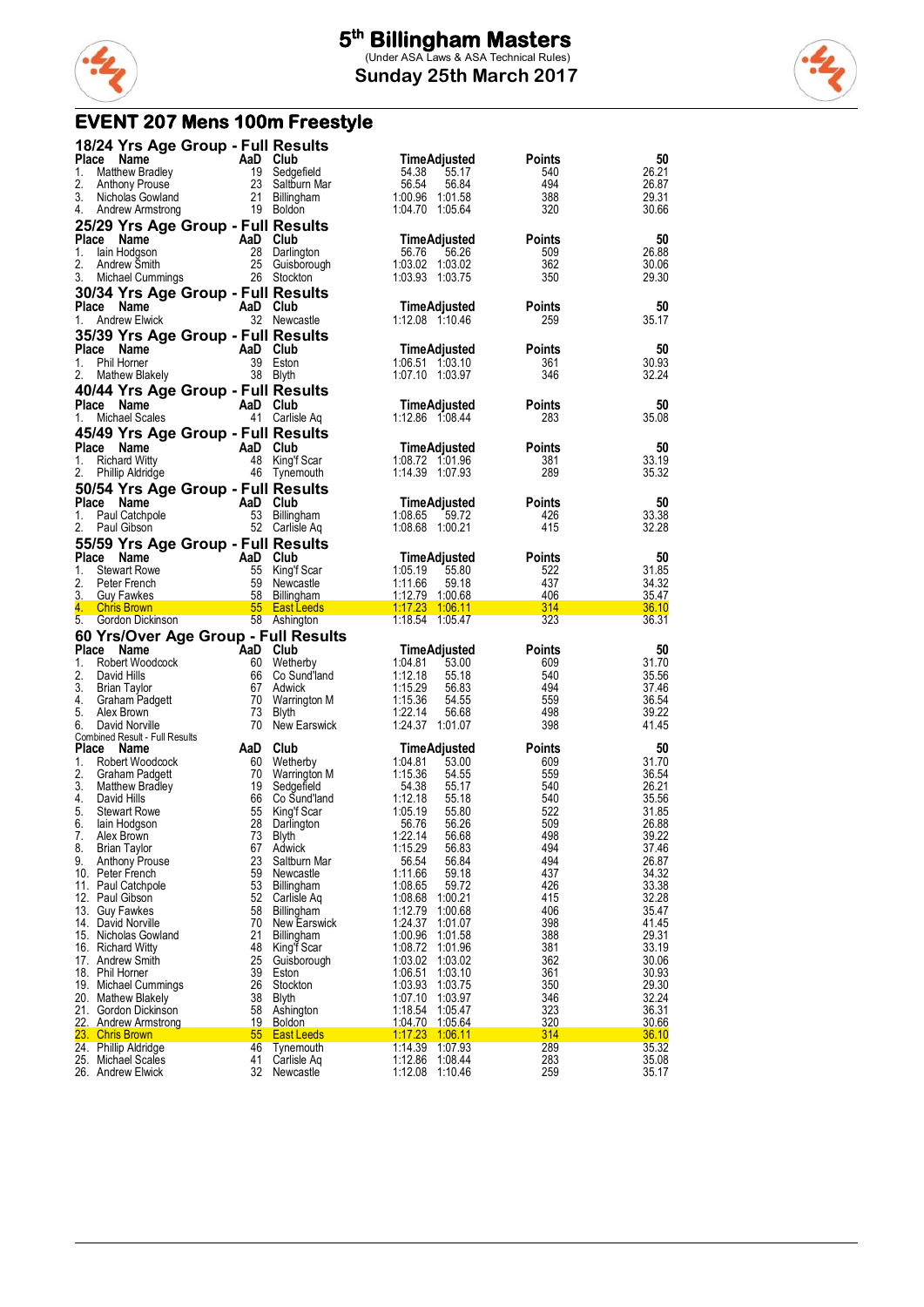

### **EVENT 207 Mens 100m Freestyle**

| Place<br>AaD Club<br>Points<br>Name<br>Matthew Bradley<br>19 Sedgefield<br>54.38<br>26.21<br>1.<br>55.17<br>540<br>494<br>2.<br>23 Saltburn Mar<br>56.54<br>56.84<br>26.87<br><b>Anthony Prouse</b><br>3.<br>21<br>1:00.96 1:01.58<br>388<br>29.31<br>Nicholas Gowland<br><b>Billingham</b><br>1:04.70 1:05.64<br>320<br>30.66<br>4.<br>19 Boldon<br>Andrew Armstrong<br>25/29 Yrs Age Group - Full Results<br>Place Name<br>50<br>AaD Club<br>TimeAdjusted<br>Points<br>26.88<br>1.<br>28 Darlington<br>56.76<br>56.26<br>509<br>lain Hodgson<br>25 Guisborough<br>2.<br>1:03.02 1:03.02<br>362<br>30.06<br>Andrew Smith<br>3.<br>26 Stockton<br>350<br>29.30<br>Michael Cummings<br>1:03.93 1:03.75<br>30/34 Yrs Age Group - Full Results<br>Place Name<br>AaD Club<br>50<br>TimeAdjusted<br>Points<br><b>Andrew Elwick</b><br>32 Newcastle<br>259<br>35.17<br>1.<br>1:12.08 1:10.46<br>35/39 Yrs Age Group - Full Results<br>Place Name<br>AaD Club<br>50<br><b>TimeAdjusted</b><br>Points<br>39 Eston<br>30.93<br>Phil Horner<br>361<br>1.<br>1:06.51 1:03.10<br>38 Blyth<br>1:07.10 1:03.97<br>32.24<br>2.<br><b>Mathew Blakely</b><br>346<br>40/44 Yrs Age Group - Full Results<br>Place Name<br>AaD Club<br>TimeAdjusted<br>Points<br>50<br>41 Carlisle Aq<br>1:12.86 1:08.44<br>283<br>35.08<br>1.<br>Michael Scales<br>45/49 Yrs Age Group - Full Results<br>Place Name<br>50<br>AaD Club<br>TimeAdjusted<br>Points<br>33.19<br>48 King'f Scar<br>1:08.72 1:01.96<br>1.<br><b>Richard Witty</b><br>381<br>46 Tynemouth<br>1:14.39 1:07.93<br>289<br>2.<br>Phillip Aldridge<br>35.32<br>50/54 Yrs Age Group - Full Results<br>50<br>Place Name<br>AaD Club<br>TimeAdjusted<br>Points<br>53 Billingham<br>1:08.65<br>59.72<br>33.38<br>Paul Catchpole<br>426<br>1.<br>52 Carlisle Aq<br>1:08.68 1:00.21<br>415<br>32.28<br>2.<br>Paul Gibson<br>55/59 Yrs Age Group - Full Results<br>Place Name<br>AaD Club<br><b>Points</b><br>50<br>TimeAdjusted<br>55 King'f Scar<br>1:05.19<br>31.85<br>1.<br><b>Stewart Rowe</b><br>55.80<br>522<br>2.<br>59 Newcastle<br>1:11.66<br>437<br>34.32<br>Peter French<br>59.18<br>3.<br>58 Billingham<br>1:12.79 1:00.68<br>406<br>35.47<br><b>Guy Fawkes</b><br>4.<br>314<br>36.10<br><b>Chris Brown</b><br>55 East Leeds<br>5.<br>58 Ashington<br>1:18.54 1:05.47<br>323<br>36.31<br>Gordon Dickinson<br>60 Yrs/Over Age Group - Full Results<br>Place Name<br><b>AaD Club</b><br>Points<br>50<br>TimeAdjusted<br>1.<br>60 Wetherby<br>1:04.81<br>31.70<br>Robert Woodcock<br>53.00<br>609<br>2.<br>1:12.18<br>35.56<br>David Hills<br>66  <br>Co Sund'land<br>55.18<br>540<br>3.<br>1:15.29<br>494<br>37.46<br><b>Brian Taylor</b><br>67<br>Adwick<br>56.83<br>4.<br>36.54<br>70<br>Warrington M<br>1:15.36<br>54.55<br>559<br>Graham Padgett<br>5.<br>Alex Brown<br>73<br>Blyth<br>1:22.14<br>56.68<br>498<br>39.22<br>70 New Earswick<br>1:24.37 1:01.07<br>398<br>41.45<br>6.<br>David Norville<br>Combined Result - Full Results<br>Place<br>Club<br><b>Points</b><br>50<br>AaD<br>TimeAdjusted<br>Name<br>31.70<br>1.<br>Robert Woodcock<br>60 Wetherby<br>1:04.81<br>53.00<br>609<br>2.<br>1:15.36<br>36.54<br>70<br>54.55<br>559<br>Graham Padgett<br>Warrington M<br>3.<br>26.21<br>19<br>54.38<br>55.17<br>540<br><b>Matthew Bradley</b><br>Sedgefield<br>4.<br>David Hills<br>66 Co Sund'land<br>1:12.18<br>55.18<br>540<br>35.56<br>522<br>5.<br>55<br>1:05.19<br>31.85<br>55.80<br><b>Stewart Rowe</b><br>King't Scar<br>6.<br>28<br>26.88<br>56.76<br>56.26<br>509<br>lain Hodgson<br>Darlington<br>7.<br>Alex Brown<br>73 Blyth<br>1:22.14<br>56.68<br>498<br>39.22<br>1:15.29<br>494<br>37.46<br><b>Brian Taylor</b><br>67 Adwick<br>56.83<br>23<br>56.54<br>494<br>26.87<br>9.<br><b>Anthony Prouse</b><br>Saltburn Mar<br>56.84<br>10. Peter French<br>59<br>Newcastle<br>1:11.66<br>59.18<br>437<br>34.32<br>426<br>33.38<br>11. Paul Catchpole<br>53<br>1:08.65<br>59.72<br>Billingham<br>32.28<br>415<br>52<br>1:08.68<br>12. Paul Gibson<br>Carlisle Ag<br>1:00.21<br>13. Guy Fawkes<br>58<br>1:12.79<br>406<br>35.47<br>Billingham<br>1:00.68<br>398<br>41.45<br>14. David Norville<br>70<br><b>New Earswick</b><br>1:24.37<br>1:01.07<br>29.31<br>388<br>21<br>Billingham<br>1:00.96<br>15. Nicholas Gowland<br>1:01.58<br>48<br>King'f Scar<br>1:08.72 1:01.96<br>381<br>33.19<br>16. Richard Witty<br>362<br>25<br>30.06<br>17. Andrew Smith<br>Guisborough<br>1:03.02 1:03.02<br>361<br>30.93<br>18. Phil Horner<br>39<br>1:06.51<br>1:03.10<br>Eston<br>26<br>350<br>29.30<br>19. Michael Cummings<br>Stockton<br>1:03.93 1:03.75<br>346<br>32.24<br>20. Mathew Blakely<br>38<br>Blyth<br>1:07.10<br>1:03.97<br>323<br>36.31<br>1:18.54 1:05.47<br>21. Gordon Dickinson<br>58<br>Ashington<br>320<br>30.66<br>22. Andrew Armstrong<br>19 Boldon<br>1:04.70 1:05.64<br>314<br>36.10<br>23. Chris Brown<br>55 <sub>5</sub><br><b>East Leeds</b><br>1:17.23 1:06.11<br>1:14.39<br>289<br>35.32<br>24. Phillip Aldridge<br>46<br>1:07.93<br>Tynemouth<br>1:12.86<br>283<br>25. Michael Scales<br>41<br>Carlisle Aq<br>1:08.44<br>35.08<br>32<br>259<br>26. Andrew Elwick<br>Newcastle<br>1:12.08 1:10.46<br>35.17 |    | 18/24 Yrs Age Group - Full Results |  |                     |    |
|--------------------------------------------------------------------------------------------------------------------------------------------------------------------------------------------------------------------------------------------------------------------------------------------------------------------------------------------------------------------------------------------------------------------------------------------------------------------------------------------------------------------------------------------------------------------------------------------------------------------------------------------------------------------------------------------------------------------------------------------------------------------------------------------------------------------------------------------------------------------------------------------------------------------------------------------------------------------------------------------------------------------------------------------------------------------------------------------------------------------------------------------------------------------------------------------------------------------------------------------------------------------------------------------------------------------------------------------------------------------------------------------------------------------------------------------------------------------------------------------------------------------------------------------------------------------------------------------------------------------------------------------------------------------------------------------------------------------------------------------------------------------------------------------------------------------------------------------------------------------------------------------------------------------------------------------------------------------------------------------------------------------------------------------------------------------------------------------------------------------------------------------------------------------------------------------------------------------------------------------------------------------------------------------------------------------------------------------------------------------------------------------------------------------------------------------------------------------------------------------------------------------------------------------------------------------------------------------------------------------------------------------------------------------------------------------------------------------------------------------------------------------------------------------------------------------------------------------------------------------------------------------------------------------------------------------------------------------------------------------------------------------------------------------------------------------------------------------------------------------------------------------------------------------------------------------------------------------------------------------------------------------------------------------------------------------------------------------------------------------------------------------------------------------------------------------------------------------------------------------------------------------------------------------------------------------------------------------------------------------------------------------------------------------------------------------------------------------------------------------------------------------------------------------------------------------------------------------------------------------------------------------------------------------------------------------------------------------------------------------------------------------------------------------------------------------------------------------------------------------------------------------------------------------------------------------------------------------------------------------------------------------------------------------------------------------------------------------------------------------------------------------------------------------------------------------------------------------------------------------------------------------------------------------------------------------------------------------------------------------------------------------------------------------------------------------------------------------------------------------------------------------------------------------------------------------------------------------------------------------------------------------------------------------------------------------------------------------------------------------------------------------------------------------------------------------------------------------------------------------------------------------------------------------------------------|----|------------------------------------|--|---------------------|----|
|                                                                                                                                                                                                                                                                                                                                                                                                                                                                                                                                                                                                                                                                                                                                                                                                                                                                                                                                                                                                                                                                                                                                                                                                                                                                                                                                                                                                                                                                                                                                                                                                                                                                                                                                                                                                                                                                                                                                                                                                                                                                                                                                                                                                                                                                                                                                                                                                                                                                                                                                                                                                                                                                                                                                                                                                                                                                                                                                                                                                                                                                                                                                                                                                                                                                                                                                                                                                                                                                                                                                                                                                                                                                                                                                                                                                                                                                                                                                                                                                                                                                                                                                                                                                                                                                                                                                                                                                                                                                                                                                                                                                                                                                                                                                                                                                                                                                                                                                                                                                                                                                                                                                                                                      |    |                                    |  | <b>TimeAdjusted</b> | 50 |
|                                                                                                                                                                                                                                                                                                                                                                                                                                                                                                                                                                                                                                                                                                                                                                                                                                                                                                                                                                                                                                                                                                                                                                                                                                                                                                                                                                                                                                                                                                                                                                                                                                                                                                                                                                                                                                                                                                                                                                                                                                                                                                                                                                                                                                                                                                                                                                                                                                                                                                                                                                                                                                                                                                                                                                                                                                                                                                                                                                                                                                                                                                                                                                                                                                                                                                                                                                                                                                                                                                                                                                                                                                                                                                                                                                                                                                                                                                                                                                                                                                                                                                                                                                                                                                                                                                                                                                                                                                                                                                                                                                                                                                                                                                                                                                                                                                                                                                                                                                                                                                                                                                                                                                                      |    |                                    |  |                     |    |
|                                                                                                                                                                                                                                                                                                                                                                                                                                                                                                                                                                                                                                                                                                                                                                                                                                                                                                                                                                                                                                                                                                                                                                                                                                                                                                                                                                                                                                                                                                                                                                                                                                                                                                                                                                                                                                                                                                                                                                                                                                                                                                                                                                                                                                                                                                                                                                                                                                                                                                                                                                                                                                                                                                                                                                                                                                                                                                                                                                                                                                                                                                                                                                                                                                                                                                                                                                                                                                                                                                                                                                                                                                                                                                                                                                                                                                                                                                                                                                                                                                                                                                                                                                                                                                                                                                                                                                                                                                                                                                                                                                                                                                                                                                                                                                                                                                                                                                                                                                                                                                                                                                                                                                                      |    |                                    |  |                     |    |
|                                                                                                                                                                                                                                                                                                                                                                                                                                                                                                                                                                                                                                                                                                                                                                                                                                                                                                                                                                                                                                                                                                                                                                                                                                                                                                                                                                                                                                                                                                                                                                                                                                                                                                                                                                                                                                                                                                                                                                                                                                                                                                                                                                                                                                                                                                                                                                                                                                                                                                                                                                                                                                                                                                                                                                                                                                                                                                                                                                                                                                                                                                                                                                                                                                                                                                                                                                                                                                                                                                                                                                                                                                                                                                                                                                                                                                                                                                                                                                                                                                                                                                                                                                                                                                                                                                                                                                                                                                                                                                                                                                                                                                                                                                                                                                                                                                                                                                                                                                                                                                                                                                                                                                                      |    |                                    |  |                     |    |
|                                                                                                                                                                                                                                                                                                                                                                                                                                                                                                                                                                                                                                                                                                                                                                                                                                                                                                                                                                                                                                                                                                                                                                                                                                                                                                                                                                                                                                                                                                                                                                                                                                                                                                                                                                                                                                                                                                                                                                                                                                                                                                                                                                                                                                                                                                                                                                                                                                                                                                                                                                                                                                                                                                                                                                                                                                                                                                                                                                                                                                                                                                                                                                                                                                                                                                                                                                                                                                                                                                                                                                                                                                                                                                                                                                                                                                                                                                                                                                                                                                                                                                                                                                                                                                                                                                                                                                                                                                                                                                                                                                                                                                                                                                                                                                                                                                                                                                                                                                                                                                                                                                                                                                                      |    |                                    |  |                     |    |
|                                                                                                                                                                                                                                                                                                                                                                                                                                                                                                                                                                                                                                                                                                                                                                                                                                                                                                                                                                                                                                                                                                                                                                                                                                                                                                                                                                                                                                                                                                                                                                                                                                                                                                                                                                                                                                                                                                                                                                                                                                                                                                                                                                                                                                                                                                                                                                                                                                                                                                                                                                                                                                                                                                                                                                                                                                                                                                                                                                                                                                                                                                                                                                                                                                                                                                                                                                                                                                                                                                                                                                                                                                                                                                                                                                                                                                                                                                                                                                                                                                                                                                                                                                                                                                                                                                                                                                                                                                                                                                                                                                                                                                                                                                                                                                                                                                                                                                                                                                                                                                                                                                                                                                                      |    |                                    |  |                     |    |
|                                                                                                                                                                                                                                                                                                                                                                                                                                                                                                                                                                                                                                                                                                                                                                                                                                                                                                                                                                                                                                                                                                                                                                                                                                                                                                                                                                                                                                                                                                                                                                                                                                                                                                                                                                                                                                                                                                                                                                                                                                                                                                                                                                                                                                                                                                                                                                                                                                                                                                                                                                                                                                                                                                                                                                                                                                                                                                                                                                                                                                                                                                                                                                                                                                                                                                                                                                                                                                                                                                                                                                                                                                                                                                                                                                                                                                                                                                                                                                                                                                                                                                                                                                                                                                                                                                                                                                                                                                                                                                                                                                                                                                                                                                                                                                                                                                                                                                                                                                                                                                                                                                                                                                                      |    |                                    |  |                     |    |
|                                                                                                                                                                                                                                                                                                                                                                                                                                                                                                                                                                                                                                                                                                                                                                                                                                                                                                                                                                                                                                                                                                                                                                                                                                                                                                                                                                                                                                                                                                                                                                                                                                                                                                                                                                                                                                                                                                                                                                                                                                                                                                                                                                                                                                                                                                                                                                                                                                                                                                                                                                                                                                                                                                                                                                                                                                                                                                                                                                                                                                                                                                                                                                                                                                                                                                                                                                                                                                                                                                                                                                                                                                                                                                                                                                                                                                                                                                                                                                                                                                                                                                                                                                                                                                                                                                                                                                                                                                                                                                                                                                                                                                                                                                                                                                                                                                                                                                                                                                                                                                                                                                                                                                                      |    |                                    |  |                     |    |
|                                                                                                                                                                                                                                                                                                                                                                                                                                                                                                                                                                                                                                                                                                                                                                                                                                                                                                                                                                                                                                                                                                                                                                                                                                                                                                                                                                                                                                                                                                                                                                                                                                                                                                                                                                                                                                                                                                                                                                                                                                                                                                                                                                                                                                                                                                                                                                                                                                                                                                                                                                                                                                                                                                                                                                                                                                                                                                                                                                                                                                                                                                                                                                                                                                                                                                                                                                                                                                                                                                                                                                                                                                                                                                                                                                                                                                                                                                                                                                                                                                                                                                                                                                                                                                                                                                                                                                                                                                                                                                                                                                                                                                                                                                                                                                                                                                                                                                                                                                                                                                                                                                                                                                                      |    |                                    |  |                     |    |
|                                                                                                                                                                                                                                                                                                                                                                                                                                                                                                                                                                                                                                                                                                                                                                                                                                                                                                                                                                                                                                                                                                                                                                                                                                                                                                                                                                                                                                                                                                                                                                                                                                                                                                                                                                                                                                                                                                                                                                                                                                                                                                                                                                                                                                                                                                                                                                                                                                                                                                                                                                                                                                                                                                                                                                                                                                                                                                                                                                                                                                                                                                                                                                                                                                                                                                                                                                                                                                                                                                                                                                                                                                                                                                                                                                                                                                                                                                                                                                                                                                                                                                                                                                                                                                                                                                                                                                                                                                                                                                                                                                                                                                                                                                                                                                                                                                                                                                                                                                                                                                                                                                                                                                                      |    |                                    |  |                     |    |
|                                                                                                                                                                                                                                                                                                                                                                                                                                                                                                                                                                                                                                                                                                                                                                                                                                                                                                                                                                                                                                                                                                                                                                                                                                                                                                                                                                                                                                                                                                                                                                                                                                                                                                                                                                                                                                                                                                                                                                                                                                                                                                                                                                                                                                                                                                                                                                                                                                                                                                                                                                                                                                                                                                                                                                                                                                                                                                                                                                                                                                                                                                                                                                                                                                                                                                                                                                                                                                                                                                                                                                                                                                                                                                                                                                                                                                                                                                                                                                                                                                                                                                                                                                                                                                                                                                                                                                                                                                                                                                                                                                                                                                                                                                                                                                                                                                                                                                                                                                                                                                                                                                                                                                                      |    |                                    |  |                     |    |
|                                                                                                                                                                                                                                                                                                                                                                                                                                                                                                                                                                                                                                                                                                                                                                                                                                                                                                                                                                                                                                                                                                                                                                                                                                                                                                                                                                                                                                                                                                                                                                                                                                                                                                                                                                                                                                                                                                                                                                                                                                                                                                                                                                                                                                                                                                                                                                                                                                                                                                                                                                                                                                                                                                                                                                                                                                                                                                                                                                                                                                                                                                                                                                                                                                                                                                                                                                                                                                                                                                                                                                                                                                                                                                                                                                                                                                                                                                                                                                                                                                                                                                                                                                                                                                                                                                                                                                                                                                                                                                                                                                                                                                                                                                                                                                                                                                                                                                                                                                                                                                                                                                                                                                                      |    |                                    |  |                     |    |
|                                                                                                                                                                                                                                                                                                                                                                                                                                                                                                                                                                                                                                                                                                                                                                                                                                                                                                                                                                                                                                                                                                                                                                                                                                                                                                                                                                                                                                                                                                                                                                                                                                                                                                                                                                                                                                                                                                                                                                                                                                                                                                                                                                                                                                                                                                                                                                                                                                                                                                                                                                                                                                                                                                                                                                                                                                                                                                                                                                                                                                                                                                                                                                                                                                                                                                                                                                                                                                                                                                                                                                                                                                                                                                                                                                                                                                                                                                                                                                                                                                                                                                                                                                                                                                                                                                                                                                                                                                                                                                                                                                                                                                                                                                                                                                                                                                                                                                                                                                                                                                                                                                                                                                                      |    |                                    |  |                     |    |
|                                                                                                                                                                                                                                                                                                                                                                                                                                                                                                                                                                                                                                                                                                                                                                                                                                                                                                                                                                                                                                                                                                                                                                                                                                                                                                                                                                                                                                                                                                                                                                                                                                                                                                                                                                                                                                                                                                                                                                                                                                                                                                                                                                                                                                                                                                                                                                                                                                                                                                                                                                                                                                                                                                                                                                                                                                                                                                                                                                                                                                                                                                                                                                                                                                                                                                                                                                                                                                                                                                                                                                                                                                                                                                                                                                                                                                                                                                                                                                                                                                                                                                                                                                                                                                                                                                                                                                                                                                                                                                                                                                                                                                                                                                                                                                                                                                                                                                                                                                                                                                                                                                                                                                                      |    |                                    |  |                     |    |
|                                                                                                                                                                                                                                                                                                                                                                                                                                                                                                                                                                                                                                                                                                                                                                                                                                                                                                                                                                                                                                                                                                                                                                                                                                                                                                                                                                                                                                                                                                                                                                                                                                                                                                                                                                                                                                                                                                                                                                                                                                                                                                                                                                                                                                                                                                                                                                                                                                                                                                                                                                                                                                                                                                                                                                                                                                                                                                                                                                                                                                                                                                                                                                                                                                                                                                                                                                                                                                                                                                                                                                                                                                                                                                                                                                                                                                                                                                                                                                                                                                                                                                                                                                                                                                                                                                                                                                                                                                                                                                                                                                                                                                                                                                                                                                                                                                                                                                                                                                                                                                                                                                                                                                                      |    |                                    |  |                     |    |
|                                                                                                                                                                                                                                                                                                                                                                                                                                                                                                                                                                                                                                                                                                                                                                                                                                                                                                                                                                                                                                                                                                                                                                                                                                                                                                                                                                                                                                                                                                                                                                                                                                                                                                                                                                                                                                                                                                                                                                                                                                                                                                                                                                                                                                                                                                                                                                                                                                                                                                                                                                                                                                                                                                                                                                                                                                                                                                                                                                                                                                                                                                                                                                                                                                                                                                                                                                                                                                                                                                                                                                                                                                                                                                                                                                                                                                                                                                                                                                                                                                                                                                                                                                                                                                                                                                                                                                                                                                                                                                                                                                                                                                                                                                                                                                                                                                                                                                                                                                                                                                                                                                                                                                                      |    |                                    |  |                     |    |
|                                                                                                                                                                                                                                                                                                                                                                                                                                                                                                                                                                                                                                                                                                                                                                                                                                                                                                                                                                                                                                                                                                                                                                                                                                                                                                                                                                                                                                                                                                                                                                                                                                                                                                                                                                                                                                                                                                                                                                                                                                                                                                                                                                                                                                                                                                                                                                                                                                                                                                                                                                                                                                                                                                                                                                                                                                                                                                                                                                                                                                                                                                                                                                                                                                                                                                                                                                                                                                                                                                                                                                                                                                                                                                                                                                                                                                                                                                                                                                                                                                                                                                                                                                                                                                                                                                                                                                                                                                                                                                                                                                                                                                                                                                                                                                                                                                                                                                                                                                                                                                                                                                                                                                                      |    |                                    |  |                     |    |
|                                                                                                                                                                                                                                                                                                                                                                                                                                                                                                                                                                                                                                                                                                                                                                                                                                                                                                                                                                                                                                                                                                                                                                                                                                                                                                                                                                                                                                                                                                                                                                                                                                                                                                                                                                                                                                                                                                                                                                                                                                                                                                                                                                                                                                                                                                                                                                                                                                                                                                                                                                                                                                                                                                                                                                                                                                                                                                                                                                                                                                                                                                                                                                                                                                                                                                                                                                                                                                                                                                                                                                                                                                                                                                                                                                                                                                                                                                                                                                                                                                                                                                                                                                                                                                                                                                                                                                                                                                                                                                                                                                                                                                                                                                                                                                                                                                                                                                                                                                                                                                                                                                                                                                                      |    |                                    |  |                     |    |
|                                                                                                                                                                                                                                                                                                                                                                                                                                                                                                                                                                                                                                                                                                                                                                                                                                                                                                                                                                                                                                                                                                                                                                                                                                                                                                                                                                                                                                                                                                                                                                                                                                                                                                                                                                                                                                                                                                                                                                                                                                                                                                                                                                                                                                                                                                                                                                                                                                                                                                                                                                                                                                                                                                                                                                                                                                                                                                                                                                                                                                                                                                                                                                                                                                                                                                                                                                                                                                                                                                                                                                                                                                                                                                                                                                                                                                                                                                                                                                                                                                                                                                                                                                                                                                                                                                                                                                                                                                                                                                                                                                                                                                                                                                                                                                                                                                                                                                                                                                                                                                                                                                                                                                                      |    |                                    |  |                     |    |
|                                                                                                                                                                                                                                                                                                                                                                                                                                                                                                                                                                                                                                                                                                                                                                                                                                                                                                                                                                                                                                                                                                                                                                                                                                                                                                                                                                                                                                                                                                                                                                                                                                                                                                                                                                                                                                                                                                                                                                                                                                                                                                                                                                                                                                                                                                                                                                                                                                                                                                                                                                                                                                                                                                                                                                                                                                                                                                                                                                                                                                                                                                                                                                                                                                                                                                                                                                                                                                                                                                                                                                                                                                                                                                                                                                                                                                                                                                                                                                                                                                                                                                                                                                                                                                                                                                                                                                                                                                                                                                                                                                                                                                                                                                                                                                                                                                                                                                                                                                                                                                                                                                                                                                                      |    |                                    |  |                     |    |
|                                                                                                                                                                                                                                                                                                                                                                                                                                                                                                                                                                                                                                                                                                                                                                                                                                                                                                                                                                                                                                                                                                                                                                                                                                                                                                                                                                                                                                                                                                                                                                                                                                                                                                                                                                                                                                                                                                                                                                                                                                                                                                                                                                                                                                                                                                                                                                                                                                                                                                                                                                                                                                                                                                                                                                                                                                                                                                                                                                                                                                                                                                                                                                                                                                                                                                                                                                                                                                                                                                                                                                                                                                                                                                                                                                                                                                                                                                                                                                                                                                                                                                                                                                                                                                                                                                                                                                                                                                                                                                                                                                                                                                                                                                                                                                                                                                                                                                                                                                                                                                                                                                                                                                                      |    |                                    |  |                     |    |
|                                                                                                                                                                                                                                                                                                                                                                                                                                                                                                                                                                                                                                                                                                                                                                                                                                                                                                                                                                                                                                                                                                                                                                                                                                                                                                                                                                                                                                                                                                                                                                                                                                                                                                                                                                                                                                                                                                                                                                                                                                                                                                                                                                                                                                                                                                                                                                                                                                                                                                                                                                                                                                                                                                                                                                                                                                                                                                                                                                                                                                                                                                                                                                                                                                                                                                                                                                                                                                                                                                                                                                                                                                                                                                                                                                                                                                                                                                                                                                                                                                                                                                                                                                                                                                                                                                                                                                                                                                                                                                                                                                                                                                                                                                                                                                                                                                                                                                                                                                                                                                                                                                                                                                                      |    |                                    |  |                     |    |
|                                                                                                                                                                                                                                                                                                                                                                                                                                                                                                                                                                                                                                                                                                                                                                                                                                                                                                                                                                                                                                                                                                                                                                                                                                                                                                                                                                                                                                                                                                                                                                                                                                                                                                                                                                                                                                                                                                                                                                                                                                                                                                                                                                                                                                                                                                                                                                                                                                                                                                                                                                                                                                                                                                                                                                                                                                                                                                                                                                                                                                                                                                                                                                                                                                                                                                                                                                                                                                                                                                                                                                                                                                                                                                                                                                                                                                                                                                                                                                                                                                                                                                                                                                                                                                                                                                                                                                                                                                                                                                                                                                                                                                                                                                                                                                                                                                                                                                                                                                                                                                                                                                                                                                                      |    |                                    |  |                     |    |
|                                                                                                                                                                                                                                                                                                                                                                                                                                                                                                                                                                                                                                                                                                                                                                                                                                                                                                                                                                                                                                                                                                                                                                                                                                                                                                                                                                                                                                                                                                                                                                                                                                                                                                                                                                                                                                                                                                                                                                                                                                                                                                                                                                                                                                                                                                                                                                                                                                                                                                                                                                                                                                                                                                                                                                                                                                                                                                                                                                                                                                                                                                                                                                                                                                                                                                                                                                                                                                                                                                                                                                                                                                                                                                                                                                                                                                                                                                                                                                                                                                                                                                                                                                                                                                                                                                                                                                                                                                                                                                                                                                                                                                                                                                                                                                                                                                                                                                                                                                                                                                                                                                                                                                                      |    |                                    |  |                     |    |
|                                                                                                                                                                                                                                                                                                                                                                                                                                                                                                                                                                                                                                                                                                                                                                                                                                                                                                                                                                                                                                                                                                                                                                                                                                                                                                                                                                                                                                                                                                                                                                                                                                                                                                                                                                                                                                                                                                                                                                                                                                                                                                                                                                                                                                                                                                                                                                                                                                                                                                                                                                                                                                                                                                                                                                                                                                                                                                                                                                                                                                                                                                                                                                                                                                                                                                                                                                                                                                                                                                                                                                                                                                                                                                                                                                                                                                                                                                                                                                                                                                                                                                                                                                                                                                                                                                                                                                                                                                                                                                                                                                                                                                                                                                                                                                                                                                                                                                                                                                                                                                                                                                                                                                                      |    |                                    |  |                     |    |
|                                                                                                                                                                                                                                                                                                                                                                                                                                                                                                                                                                                                                                                                                                                                                                                                                                                                                                                                                                                                                                                                                                                                                                                                                                                                                                                                                                                                                                                                                                                                                                                                                                                                                                                                                                                                                                                                                                                                                                                                                                                                                                                                                                                                                                                                                                                                                                                                                                                                                                                                                                                                                                                                                                                                                                                                                                                                                                                                                                                                                                                                                                                                                                                                                                                                                                                                                                                                                                                                                                                                                                                                                                                                                                                                                                                                                                                                                                                                                                                                                                                                                                                                                                                                                                                                                                                                                                                                                                                                                                                                                                                                                                                                                                                                                                                                                                                                                                                                                                                                                                                                                                                                                                                      |    |                                    |  |                     |    |
|                                                                                                                                                                                                                                                                                                                                                                                                                                                                                                                                                                                                                                                                                                                                                                                                                                                                                                                                                                                                                                                                                                                                                                                                                                                                                                                                                                                                                                                                                                                                                                                                                                                                                                                                                                                                                                                                                                                                                                                                                                                                                                                                                                                                                                                                                                                                                                                                                                                                                                                                                                                                                                                                                                                                                                                                                                                                                                                                                                                                                                                                                                                                                                                                                                                                                                                                                                                                                                                                                                                                                                                                                                                                                                                                                                                                                                                                                                                                                                                                                                                                                                                                                                                                                                                                                                                                                                                                                                                                                                                                                                                                                                                                                                                                                                                                                                                                                                                                                                                                                                                                                                                                                                                      |    |                                    |  |                     |    |
|                                                                                                                                                                                                                                                                                                                                                                                                                                                                                                                                                                                                                                                                                                                                                                                                                                                                                                                                                                                                                                                                                                                                                                                                                                                                                                                                                                                                                                                                                                                                                                                                                                                                                                                                                                                                                                                                                                                                                                                                                                                                                                                                                                                                                                                                                                                                                                                                                                                                                                                                                                                                                                                                                                                                                                                                                                                                                                                                                                                                                                                                                                                                                                                                                                                                                                                                                                                                                                                                                                                                                                                                                                                                                                                                                                                                                                                                                                                                                                                                                                                                                                                                                                                                                                                                                                                                                                                                                                                                                                                                                                                                                                                                                                                                                                                                                                                                                                                                                                                                                                                                                                                                                                                      |    |                                    |  |                     |    |
|                                                                                                                                                                                                                                                                                                                                                                                                                                                                                                                                                                                                                                                                                                                                                                                                                                                                                                                                                                                                                                                                                                                                                                                                                                                                                                                                                                                                                                                                                                                                                                                                                                                                                                                                                                                                                                                                                                                                                                                                                                                                                                                                                                                                                                                                                                                                                                                                                                                                                                                                                                                                                                                                                                                                                                                                                                                                                                                                                                                                                                                                                                                                                                                                                                                                                                                                                                                                                                                                                                                                                                                                                                                                                                                                                                                                                                                                                                                                                                                                                                                                                                                                                                                                                                                                                                                                                                                                                                                                                                                                                                                                                                                                                                                                                                                                                                                                                                                                                                                                                                                                                                                                                                                      |    |                                    |  |                     |    |
|                                                                                                                                                                                                                                                                                                                                                                                                                                                                                                                                                                                                                                                                                                                                                                                                                                                                                                                                                                                                                                                                                                                                                                                                                                                                                                                                                                                                                                                                                                                                                                                                                                                                                                                                                                                                                                                                                                                                                                                                                                                                                                                                                                                                                                                                                                                                                                                                                                                                                                                                                                                                                                                                                                                                                                                                                                                                                                                                                                                                                                                                                                                                                                                                                                                                                                                                                                                                                                                                                                                                                                                                                                                                                                                                                                                                                                                                                                                                                                                                                                                                                                                                                                                                                                                                                                                                                                                                                                                                                                                                                                                                                                                                                                                                                                                                                                                                                                                                                                                                                                                                                                                                                                                      |    |                                    |  |                     |    |
|                                                                                                                                                                                                                                                                                                                                                                                                                                                                                                                                                                                                                                                                                                                                                                                                                                                                                                                                                                                                                                                                                                                                                                                                                                                                                                                                                                                                                                                                                                                                                                                                                                                                                                                                                                                                                                                                                                                                                                                                                                                                                                                                                                                                                                                                                                                                                                                                                                                                                                                                                                                                                                                                                                                                                                                                                                                                                                                                                                                                                                                                                                                                                                                                                                                                                                                                                                                                                                                                                                                                                                                                                                                                                                                                                                                                                                                                                                                                                                                                                                                                                                                                                                                                                                                                                                                                                                                                                                                                                                                                                                                                                                                                                                                                                                                                                                                                                                                                                                                                                                                                                                                                                                                      |    |                                    |  |                     |    |
|                                                                                                                                                                                                                                                                                                                                                                                                                                                                                                                                                                                                                                                                                                                                                                                                                                                                                                                                                                                                                                                                                                                                                                                                                                                                                                                                                                                                                                                                                                                                                                                                                                                                                                                                                                                                                                                                                                                                                                                                                                                                                                                                                                                                                                                                                                                                                                                                                                                                                                                                                                                                                                                                                                                                                                                                                                                                                                                                                                                                                                                                                                                                                                                                                                                                                                                                                                                                                                                                                                                                                                                                                                                                                                                                                                                                                                                                                                                                                                                                                                                                                                                                                                                                                                                                                                                                                                                                                                                                                                                                                                                                                                                                                                                                                                                                                                                                                                                                                                                                                                                                                                                                                                                      |    |                                    |  |                     |    |
|                                                                                                                                                                                                                                                                                                                                                                                                                                                                                                                                                                                                                                                                                                                                                                                                                                                                                                                                                                                                                                                                                                                                                                                                                                                                                                                                                                                                                                                                                                                                                                                                                                                                                                                                                                                                                                                                                                                                                                                                                                                                                                                                                                                                                                                                                                                                                                                                                                                                                                                                                                                                                                                                                                                                                                                                                                                                                                                                                                                                                                                                                                                                                                                                                                                                                                                                                                                                                                                                                                                                                                                                                                                                                                                                                                                                                                                                                                                                                                                                                                                                                                                                                                                                                                                                                                                                                                                                                                                                                                                                                                                                                                                                                                                                                                                                                                                                                                                                                                                                                                                                                                                                                                                      |    |                                    |  |                     |    |
|                                                                                                                                                                                                                                                                                                                                                                                                                                                                                                                                                                                                                                                                                                                                                                                                                                                                                                                                                                                                                                                                                                                                                                                                                                                                                                                                                                                                                                                                                                                                                                                                                                                                                                                                                                                                                                                                                                                                                                                                                                                                                                                                                                                                                                                                                                                                                                                                                                                                                                                                                                                                                                                                                                                                                                                                                                                                                                                                                                                                                                                                                                                                                                                                                                                                                                                                                                                                                                                                                                                                                                                                                                                                                                                                                                                                                                                                                                                                                                                                                                                                                                                                                                                                                                                                                                                                                                                                                                                                                                                                                                                                                                                                                                                                                                                                                                                                                                                                                                                                                                                                                                                                                                                      |    |                                    |  |                     |    |
|                                                                                                                                                                                                                                                                                                                                                                                                                                                                                                                                                                                                                                                                                                                                                                                                                                                                                                                                                                                                                                                                                                                                                                                                                                                                                                                                                                                                                                                                                                                                                                                                                                                                                                                                                                                                                                                                                                                                                                                                                                                                                                                                                                                                                                                                                                                                                                                                                                                                                                                                                                                                                                                                                                                                                                                                                                                                                                                                                                                                                                                                                                                                                                                                                                                                                                                                                                                                                                                                                                                                                                                                                                                                                                                                                                                                                                                                                                                                                                                                                                                                                                                                                                                                                                                                                                                                                                                                                                                                                                                                                                                                                                                                                                                                                                                                                                                                                                                                                                                                                                                                                                                                                                                      |    |                                    |  |                     |    |
|                                                                                                                                                                                                                                                                                                                                                                                                                                                                                                                                                                                                                                                                                                                                                                                                                                                                                                                                                                                                                                                                                                                                                                                                                                                                                                                                                                                                                                                                                                                                                                                                                                                                                                                                                                                                                                                                                                                                                                                                                                                                                                                                                                                                                                                                                                                                                                                                                                                                                                                                                                                                                                                                                                                                                                                                                                                                                                                                                                                                                                                                                                                                                                                                                                                                                                                                                                                                                                                                                                                                                                                                                                                                                                                                                                                                                                                                                                                                                                                                                                                                                                                                                                                                                                                                                                                                                                                                                                                                                                                                                                                                                                                                                                                                                                                                                                                                                                                                                                                                                                                                                                                                                                                      |    |                                    |  |                     |    |
|                                                                                                                                                                                                                                                                                                                                                                                                                                                                                                                                                                                                                                                                                                                                                                                                                                                                                                                                                                                                                                                                                                                                                                                                                                                                                                                                                                                                                                                                                                                                                                                                                                                                                                                                                                                                                                                                                                                                                                                                                                                                                                                                                                                                                                                                                                                                                                                                                                                                                                                                                                                                                                                                                                                                                                                                                                                                                                                                                                                                                                                                                                                                                                                                                                                                                                                                                                                                                                                                                                                                                                                                                                                                                                                                                                                                                                                                                                                                                                                                                                                                                                                                                                                                                                                                                                                                                                                                                                                                                                                                                                                                                                                                                                                                                                                                                                                                                                                                                                                                                                                                                                                                                                                      |    |                                    |  |                     |    |
|                                                                                                                                                                                                                                                                                                                                                                                                                                                                                                                                                                                                                                                                                                                                                                                                                                                                                                                                                                                                                                                                                                                                                                                                                                                                                                                                                                                                                                                                                                                                                                                                                                                                                                                                                                                                                                                                                                                                                                                                                                                                                                                                                                                                                                                                                                                                                                                                                                                                                                                                                                                                                                                                                                                                                                                                                                                                                                                                                                                                                                                                                                                                                                                                                                                                                                                                                                                                                                                                                                                                                                                                                                                                                                                                                                                                                                                                                                                                                                                                                                                                                                                                                                                                                                                                                                                                                                                                                                                                                                                                                                                                                                                                                                                                                                                                                                                                                                                                                                                                                                                                                                                                                                                      |    |                                    |  |                     |    |
|                                                                                                                                                                                                                                                                                                                                                                                                                                                                                                                                                                                                                                                                                                                                                                                                                                                                                                                                                                                                                                                                                                                                                                                                                                                                                                                                                                                                                                                                                                                                                                                                                                                                                                                                                                                                                                                                                                                                                                                                                                                                                                                                                                                                                                                                                                                                                                                                                                                                                                                                                                                                                                                                                                                                                                                                                                                                                                                                                                                                                                                                                                                                                                                                                                                                                                                                                                                                                                                                                                                                                                                                                                                                                                                                                                                                                                                                                                                                                                                                                                                                                                                                                                                                                                                                                                                                                                                                                                                                                                                                                                                                                                                                                                                                                                                                                                                                                                                                                                                                                                                                                                                                                                                      |    |                                    |  |                     |    |
|                                                                                                                                                                                                                                                                                                                                                                                                                                                                                                                                                                                                                                                                                                                                                                                                                                                                                                                                                                                                                                                                                                                                                                                                                                                                                                                                                                                                                                                                                                                                                                                                                                                                                                                                                                                                                                                                                                                                                                                                                                                                                                                                                                                                                                                                                                                                                                                                                                                                                                                                                                                                                                                                                                                                                                                                                                                                                                                                                                                                                                                                                                                                                                                                                                                                                                                                                                                                                                                                                                                                                                                                                                                                                                                                                                                                                                                                                                                                                                                                                                                                                                                                                                                                                                                                                                                                                                                                                                                                                                                                                                                                                                                                                                                                                                                                                                                                                                                                                                                                                                                                                                                                                                                      |    |                                    |  |                     |    |
|                                                                                                                                                                                                                                                                                                                                                                                                                                                                                                                                                                                                                                                                                                                                                                                                                                                                                                                                                                                                                                                                                                                                                                                                                                                                                                                                                                                                                                                                                                                                                                                                                                                                                                                                                                                                                                                                                                                                                                                                                                                                                                                                                                                                                                                                                                                                                                                                                                                                                                                                                                                                                                                                                                                                                                                                                                                                                                                                                                                                                                                                                                                                                                                                                                                                                                                                                                                                                                                                                                                                                                                                                                                                                                                                                                                                                                                                                                                                                                                                                                                                                                                                                                                                                                                                                                                                                                                                                                                                                                                                                                                                                                                                                                                                                                                                                                                                                                                                                                                                                                                                                                                                                                                      |    |                                    |  |                     |    |
|                                                                                                                                                                                                                                                                                                                                                                                                                                                                                                                                                                                                                                                                                                                                                                                                                                                                                                                                                                                                                                                                                                                                                                                                                                                                                                                                                                                                                                                                                                                                                                                                                                                                                                                                                                                                                                                                                                                                                                                                                                                                                                                                                                                                                                                                                                                                                                                                                                                                                                                                                                                                                                                                                                                                                                                                                                                                                                                                                                                                                                                                                                                                                                                                                                                                                                                                                                                                                                                                                                                                                                                                                                                                                                                                                                                                                                                                                                                                                                                                                                                                                                                                                                                                                                                                                                                                                                                                                                                                                                                                                                                                                                                                                                                                                                                                                                                                                                                                                                                                                                                                                                                                                                                      |    |                                    |  |                     |    |
|                                                                                                                                                                                                                                                                                                                                                                                                                                                                                                                                                                                                                                                                                                                                                                                                                                                                                                                                                                                                                                                                                                                                                                                                                                                                                                                                                                                                                                                                                                                                                                                                                                                                                                                                                                                                                                                                                                                                                                                                                                                                                                                                                                                                                                                                                                                                                                                                                                                                                                                                                                                                                                                                                                                                                                                                                                                                                                                                                                                                                                                                                                                                                                                                                                                                                                                                                                                                                                                                                                                                                                                                                                                                                                                                                                                                                                                                                                                                                                                                                                                                                                                                                                                                                                                                                                                                                                                                                                                                                                                                                                                                                                                                                                                                                                                                                                                                                                                                                                                                                                                                                                                                                                                      |    |                                    |  |                     |    |
|                                                                                                                                                                                                                                                                                                                                                                                                                                                                                                                                                                                                                                                                                                                                                                                                                                                                                                                                                                                                                                                                                                                                                                                                                                                                                                                                                                                                                                                                                                                                                                                                                                                                                                                                                                                                                                                                                                                                                                                                                                                                                                                                                                                                                                                                                                                                                                                                                                                                                                                                                                                                                                                                                                                                                                                                                                                                                                                                                                                                                                                                                                                                                                                                                                                                                                                                                                                                                                                                                                                                                                                                                                                                                                                                                                                                                                                                                                                                                                                                                                                                                                                                                                                                                                                                                                                                                                                                                                                                                                                                                                                                                                                                                                                                                                                                                                                                                                                                                                                                                                                                                                                                                                                      |    |                                    |  |                     |    |
|                                                                                                                                                                                                                                                                                                                                                                                                                                                                                                                                                                                                                                                                                                                                                                                                                                                                                                                                                                                                                                                                                                                                                                                                                                                                                                                                                                                                                                                                                                                                                                                                                                                                                                                                                                                                                                                                                                                                                                                                                                                                                                                                                                                                                                                                                                                                                                                                                                                                                                                                                                                                                                                                                                                                                                                                                                                                                                                                                                                                                                                                                                                                                                                                                                                                                                                                                                                                                                                                                                                                                                                                                                                                                                                                                                                                                                                                                                                                                                                                                                                                                                                                                                                                                                                                                                                                                                                                                                                                                                                                                                                                                                                                                                                                                                                                                                                                                                                                                                                                                                                                                                                                                                                      |    |                                    |  |                     |    |
|                                                                                                                                                                                                                                                                                                                                                                                                                                                                                                                                                                                                                                                                                                                                                                                                                                                                                                                                                                                                                                                                                                                                                                                                                                                                                                                                                                                                                                                                                                                                                                                                                                                                                                                                                                                                                                                                                                                                                                                                                                                                                                                                                                                                                                                                                                                                                                                                                                                                                                                                                                                                                                                                                                                                                                                                                                                                                                                                                                                                                                                                                                                                                                                                                                                                                                                                                                                                                                                                                                                                                                                                                                                                                                                                                                                                                                                                                                                                                                                                                                                                                                                                                                                                                                                                                                                                                                                                                                                                                                                                                                                                                                                                                                                                                                                                                                                                                                                                                                                                                                                                                                                                                                                      |    |                                    |  |                     |    |
|                                                                                                                                                                                                                                                                                                                                                                                                                                                                                                                                                                                                                                                                                                                                                                                                                                                                                                                                                                                                                                                                                                                                                                                                                                                                                                                                                                                                                                                                                                                                                                                                                                                                                                                                                                                                                                                                                                                                                                                                                                                                                                                                                                                                                                                                                                                                                                                                                                                                                                                                                                                                                                                                                                                                                                                                                                                                                                                                                                                                                                                                                                                                                                                                                                                                                                                                                                                                                                                                                                                                                                                                                                                                                                                                                                                                                                                                                                                                                                                                                                                                                                                                                                                                                                                                                                                                                                                                                                                                                                                                                                                                                                                                                                                                                                                                                                                                                                                                                                                                                                                                                                                                                                                      |    |                                    |  |                     |    |
|                                                                                                                                                                                                                                                                                                                                                                                                                                                                                                                                                                                                                                                                                                                                                                                                                                                                                                                                                                                                                                                                                                                                                                                                                                                                                                                                                                                                                                                                                                                                                                                                                                                                                                                                                                                                                                                                                                                                                                                                                                                                                                                                                                                                                                                                                                                                                                                                                                                                                                                                                                                                                                                                                                                                                                                                                                                                                                                                                                                                                                                                                                                                                                                                                                                                                                                                                                                                                                                                                                                                                                                                                                                                                                                                                                                                                                                                                                                                                                                                                                                                                                                                                                                                                                                                                                                                                                                                                                                                                                                                                                                                                                                                                                                                                                                                                                                                                                                                                                                                                                                                                                                                                                                      |    |                                    |  |                     |    |
|                                                                                                                                                                                                                                                                                                                                                                                                                                                                                                                                                                                                                                                                                                                                                                                                                                                                                                                                                                                                                                                                                                                                                                                                                                                                                                                                                                                                                                                                                                                                                                                                                                                                                                                                                                                                                                                                                                                                                                                                                                                                                                                                                                                                                                                                                                                                                                                                                                                                                                                                                                                                                                                                                                                                                                                                                                                                                                                                                                                                                                                                                                                                                                                                                                                                                                                                                                                                                                                                                                                                                                                                                                                                                                                                                                                                                                                                                                                                                                                                                                                                                                                                                                                                                                                                                                                                                                                                                                                                                                                                                                                                                                                                                                                                                                                                                                                                                                                                                                                                                                                                                                                                                                                      |    |                                    |  |                     |    |
|                                                                                                                                                                                                                                                                                                                                                                                                                                                                                                                                                                                                                                                                                                                                                                                                                                                                                                                                                                                                                                                                                                                                                                                                                                                                                                                                                                                                                                                                                                                                                                                                                                                                                                                                                                                                                                                                                                                                                                                                                                                                                                                                                                                                                                                                                                                                                                                                                                                                                                                                                                                                                                                                                                                                                                                                                                                                                                                                                                                                                                                                                                                                                                                                                                                                                                                                                                                                                                                                                                                                                                                                                                                                                                                                                                                                                                                                                                                                                                                                                                                                                                                                                                                                                                                                                                                                                                                                                                                                                                                                                                                                                                                                                                                                                                                                                                                                                                                                                                                                                                                                                                                                                                                      |    |                                    |  |                     |    |
|                                                                                                                                                                                                                                                                                                                                                                                                                                                                                                                                                                                                                                                                                                                                                                                                                                                                                                                                                                                                                                                                                                                                                                                                                                                                                                                                                                                                                                                                                                                                                                                                                                                                                                                                                                                                                                                                                                                                                                                                                                                                                                                                                                                                                                                                                                                                                                                                                                                                                                                                                                                                                                                                                                                                                                                                                                                                                                                                                                                                                                                                                                                                                                                                                                                                                                                                                                                                                                                                                                                                                                                                                                                                                                                                                                                                                                                                                                                                                                                                                                                                                                                                                                                                                                                                                                                                                                                                                                                                                                                                                                                                                                                                                                                                                                                                                                                                                                                                                                                                                                                                                                                                                                                      |    |                                    |  |                     |    |
|                                                                                                                                                                                                                                                                                                                                                                                                                                                                                                                                                                                                                                                                                                                                                                                                                                                                                                                                                                                                                                                                                                                                                                                                                                                                                                                                                                                                                                                                                                                                                                                                                                                                                                                                                                                                                                                                                                                                                                                                                                                                                                                                                                                                                                                                                                                                                                                                                                                                                                                                                                                                                                                                                                                                                                                                                                                                                                                                                                                                                                                                                                                                                                                                                                                                                                                                                                                                                                                                                                                                                                                                                                                                                                                                                                                                                                                                                                                                                                                                                                                                                                                                                                                                                                                                                                                                                                                                                                                                                                                                                                                                                                                                                                                                                                                                                                                                                                                                                                                                                                                                                                                                                                                      | 8. |                                    |  |                     |    |
|                                                                                                                                                                                                                                                                                                                                                                                                                                                                                                                                                                                                                                                                                                                                                                                                                                                                                                                                                                                                                                                                                                                                                                                                                                                                                                                                                                                                                                                                                                                                                                                                                                                                                                                                                                                                                                                                                                                                                                                                                                                                                                                                                                                                                                                                                                                                                                                                                                                                                                                                                                                                                                                                                                                                                                                                                                                                                                                                                                                                                                                                                                                                                                                                                                                                                                                                                                                                                                                                                                                                                                                                                                                                                                                                                                                                                                                                                                                                                                                                                                                                                                                                                                                                                                                                                                                                                                                                                                                                                                                                                                                                                                                                                                                                                                                                                                                                                                                                                                                                                                                                                                                                                                                      |    |                                    |  |                     |    |
|                                                                                                                                                                                                                                                                                                                                                                                                                                                                                                                                                                                                                                                                                                                                                                                                                                                                                                                                                                                                                                                                                                                                                                                                                                                                                                                                                                                                                                                                                                                                                                                                                                                                                                                                                                                                                                                                                                                                                                                                                                                                                                                                                                                                                                                                                                                                                                                                                                                                                                                                                                                                                                                                                                                                                                                                                                                                                                                                                                                                                                                                                                                                                                                                                                                                                                                                                                                                                                                                                                                                                                                                                                                                                                                                                                                                                                                                                                                                                                                                                                                                                                                                                                                                                                                                                                                                                                                                                                                                                                                                                                                                                                                                                                                                                                                                                                                                                                                                                                                                                                                                                                                                                                                      |    |                                    |  |                     |    |
|                                                                                                                                                                                                                                                                                                                                                                                                                                                                                                                                                                                                                                                                                                                                                                                                                                                                                                                                                                                                                                                                                                                                                                                                                                                                                                                                                                                                                                                                                                                                                                                                                                                                                                                                                                                                                                                                                                                                                                                                                                                                                                                                                                                                                                                                                                                                                                                                                                                                                                                                                                                                                                                                                                                                                                                                                                                                                                                                                                                                                                                                                                                                                                                                                                                                                                                                                                                                                                                                                                                                                                                                                                                                                                                                                                                                                                                                                                                                                                                                                                                                                                                                                                                                                                                                                                                                                                                                                                                                                                                                                                                                                                                                                                                                                                                                                                                                                                                                                                                                                                                                                                                                                                                      |    |                                    |  |                     |    |
|                                                                                                                                                                                                                                                                                                                                                                                                                                                                                                                                                                                                                                                                                                                                                                                                                                                                                                                                                                                                                                                                                                                                                                                                                                                                                                                                                                                                                                                                                                                                                                                                                                                                                                                                                                                                                                                                                                                                                                                                                                                                                                                                                                                                                                                                                                                                                                                                                                                                                                                                                                                                                                                                                                                                                                                                                                                                                                                                                                                                                                                                                                                                                                                                                                                                                                                                                                                                                                                                                                                                                                                                                                                                                                                                                                                                                                                                                                                                                                                                                                                                                                                                                                                                                                                                                                                                                                                                                                                                                                                                                                                                                                                                                                                                                                                                                                                                                                                                                                                                                                                                                                                                                                                      |    |                                    |  |                     |    |
|                                                                                                                                                                                                                                                                                                                                                                                                                                                                                                                                                                                                                                                                                                                                                                                                                                                                                                                                                                                                                                                                                                                                                                                                                                                                                                                                                                                                                                                                                                                                                                                                                                                                                                                                                                                                                                                                                                                                                                                                                                                                                                                                                                                                                                                                                                                                                                                                                                                                                                                                                                                                                                                                                                                                                                                                                                                                                                                                                                                                                                                                                                                                                                                                                                                                                                                                                                                                                                                                                                                                                                                                                                                                                                                                                                                                                                                                                                                                                                                                                                                                                                                                                                                                                                                                                                                                                                                                                                                                                                                                                                                                                                                                                                                                                                                                                                                                                                                                                                                                                                                                                                                                                                                      |    |                                    |  |                     |    |
|                                                                                                                                                                                                                                                                                                                                                                                                                                                                                                                                                                                                                                                                                                                                                                                                                                                                                                                                                                                                                                                                                                                                                                                                                                                                                                                                                                                                                                                                                                                                                                                                                                                                                                                                                                                                                                                                                                                                                                                                                                                                                                                                                                                                                                                                                                                                                                                                                                                                                                                                                                                                                                                                                                                                                                                                                                                                                                                                                                                                                                                                                                                                                                                                                                                                                                                                                                                                                                                                                                                                                                                                                                                                                                                                                                                                                                                                                                                                                                                                                                                                                                                                                                                                                                                                                                                                                                                                                                                                                                                                                                                                                                                                                                                                                                                                                                                                                                                                                                                                                                                                                                                                                                                      |    |                                    |  |                     |    |
|                                                                                                                                                                                                                                                                                                                                                                                                                                                                                                                                                                                                                                                                                                                                                                                                                                                                                                                                                                                                                                                                                                                                                                                                                                                                                                                                                                                                                                                                                                                                                                                                                                                                                                                                                                                                                                                                                                                                                                                                                                                                                                                                                                                                                                                                                                                                                                                                                                                                                                                                                                                                                                                                                                                                                                                                                                                                                                                                                                                                                                                                                                                                                                                                                                                                                                                                                                                                                                                                                                                                                                                                                                                                                                                                                                                                                                                                                                                                                                                                                                                                                                                                                                                                                                                                                                                                                                                                                                                                                                                                                                                                                                                                                                                                                                                                                                                                                                                                                                                                                                                                                                                                                                                      |    |                                    |  |                     |    |
|                                                                                                                                                                                                                                                                                                                                                                                                                                                                                                                                                                                                                                                                                                                                                                                                                                                                                                                                                                                                                                                                                                                                                                                                                                                                                                                                                                                                                                                                                                                                                                                                                                                                                                                                                                                                                                                                                                                                                                                                                                                                                                                                                                                                                                                                                                                                                                                                                                                                                                                                                                                                                                                                                                                                                                                                                                                                                                                                                                                                                                                                                                                                                                                                                                                                                                                                                                                                                                                                                                                                                                                                                                                                                                                                                                                                                                                                                                                                                                                                                                                                                                                                                                                                                                                                                                                                                                                                                                                                                                                                                                                                                                                                                                                                                                                                                                                                                                                                                                                                                                                                                                                                                                                      |    |                                    |  |                     |    |
|                                                                                                                                                                                                                                                                                                                                                                                                                                                                                                                                                                                                                                                                                                                                                                                                                                                                                                                                                                                                                                                                                                                                                                                                                                                                                                                                                                                                                                                                                                                                                                                                                                                                                                                                                                                                                                                                                                                                                                                                                                                                                                                                                                                                                                                                                                                                                                                                                                                                                                                                                                                                                                                                                                                                                                                                                                                                                                                                                                                                                                                                                                                                                                                                                                                                                                                                                                                                                                                                                                                                                                                                                                                                                                                                                                                                                                                                                                                                                                                                                                                                                                                                                                                                                                                                                                                                                                                                                                                                                                                                                                                                                                                                                                                                                                                                                                                                                                                                                                                                                                                                                                                                                                                      |    |                                    |  |                     |    |
|                                                                                                                                                                                                                                                                                                                                                                                                                                                                                                                                                                                                                                                                                                                                                                                                                                                                                                                                                                                                                                                                                                                                                                                                                                                                                                                                                                                                                                                                                                                                                                                                                                                                                                                                                                                                                                                                                                                                                                                                                                                                                                                                                                                                                                                                                                                                                                                                                                                                                                                                                                                                                                                                                                                                                                                                                                                                                                                                                                                                                                                                                                                                                                                                                                                                                                                                                                                                                                                                                                                                                                                                                                                                                                                                                                                                                                                                                                                                                                                                                                                                                                                                                                                                                                                                                                                                                                                                                                                                                                                                                                                                                                                                                                                                                                                                                                                                                                                                                                                                                                                                                                                                                                                      |    |                                    |  |                     |    |
|                                                                                                                                                                                                                                                                                                                                                                                                                                                                                                                                                                                                                                                                                                                                                                                                                                                                                                                                                                                                                                                                                                                                                                                                                                                                                                                                                                                                                                                                                                                                                                                                                                                                                                                                                                                                                                                                                                                                                                                                                                                                                                                                                                                                                                                                                                                                                                                                                                                                                                                                                                                                                                                                                                                                                                                                                                                                                                                                                                                                                                                                                                                                                                                                                                                                                                                                                                                                                                                                                                                                                                                                                                                                                                                                                                                                                                                                                                                                                                                                                                                                                                                                                                                                                                                                                                                                                                                                                                                                                                                                                                                                                                                                                                                                                                                                                                                                                                                                                                                                                                                                                                                                                                                      |    |                                    |  |                     |    |
|                                                                                                                                                                                                                                                                                                                                                                                                                                                                                                                                                                                                                                                                                                                                                                                                                                                                                                                                                                                                                                                                                                                                                                                                                                                                                                                                                                                                                                                                                                                                                                                                                                                                                                                                                                                                                                                                                                                                                                                                                                                                                                                                                                                                                                                                                                                                                                                                                                                                                                                                                                                                                                                                                                                                                                                                                                                                                                                                                                                                                                                                                                                                                                                                                                                                                                                                                                                                                                                                                                                                                                                                                                                                                                                                                                                                                                                                                                                                                                                                                                                                                                                                                                                                                                                                                                                                                                                                                                                                                                                                                                                                                                                                                                                                                                                                                                                                                                                                                                                                                                                                                                                                                                                      |    |                                    |  |                     |    |
|                                                                                                                                                                                                                                                                                                                                                                                                                                                                                                                                                                                                                                                                                                                                                                                                                                                                                                                                                                                                                                                                                                                                                                                                                                                                                                                                                                                                                                                                                                                                                                                                                                                                                                                                                                                                                                                                                                                                                                                                                                                                                                                                                                                                                                                                                                                                                                                                                                                                                                                                                                                                                                                                                                                                                                                                                                                                                                                                                                                                                                                                                                                                                                                                                                                                                                                                                                                                                                                                                                                                                                                                                                                                                                                                                                                                                                                                                                                                                                                                                                                                                                                                                                                                                                                                                                                                                                                                                                                                                                                                                                                                                                                                                                                                                                                                                                                                                                                                                                                                                                                                                                                                                                                      |    |                                    |  |                     |    |
|                                                                                                                                                                                                                                                                                                                                                                                                                                                                                                                                                                                                                                                                                                                                                                                                                                                                                                                                                                                                                                                                                                                                                                                                                                                                                                                                                                                                                                                                                                                                                                                                                                                                                                                                                                                                                                                                                                                                                                                                                                                                                                                                                                                                                                                                                                                                                                                                                                                                                                                                                                                                                                                                                                                                                                                                                                                                                                                                                                                                                                                                                                                                                                                                                                                                                                                                                                                                                                                                                                                                                                                                                                                                                                                                                                                                                                                                                                                                                                                                                                                                                                                                                                                                                                                                                                                                                                                                                                                                                                                                                                                                                                                                                                                                                                                                                                                                                                                                                                                                                                                                                                                                                                                      |    |                                    |  |                     |    |
|                                                                                                                                                                                                                                                                                                                                                                                                                                                                                                                                                                                                                                                                                                                                                                                                                                                                                                                                                                                                                                                                                                                                                                                                                                                                                                                                                                                                                                                                                                                                                                                                                                                                                                                                                                                                                                                                                                                                                                                                                                                                                                                                                                                                                                                                                                                                                                                                                                                                                                                                                                                                                                                                                                                                                                                                                                                                                                                                                                                                                                                                                                                                                                                                                                                                                                                                                                                                                                                                                                                                                                                                                                                                                                                                                                                                                                                                                                                                                                                                                                                                                                                                                                                                                                                                                                                                                                                                                                                                                                                                                                                                                                                                                                                                                                                                                                                                                                                                                                                                                                                                                                                                                                                      |    |                                    |  |                     |    |

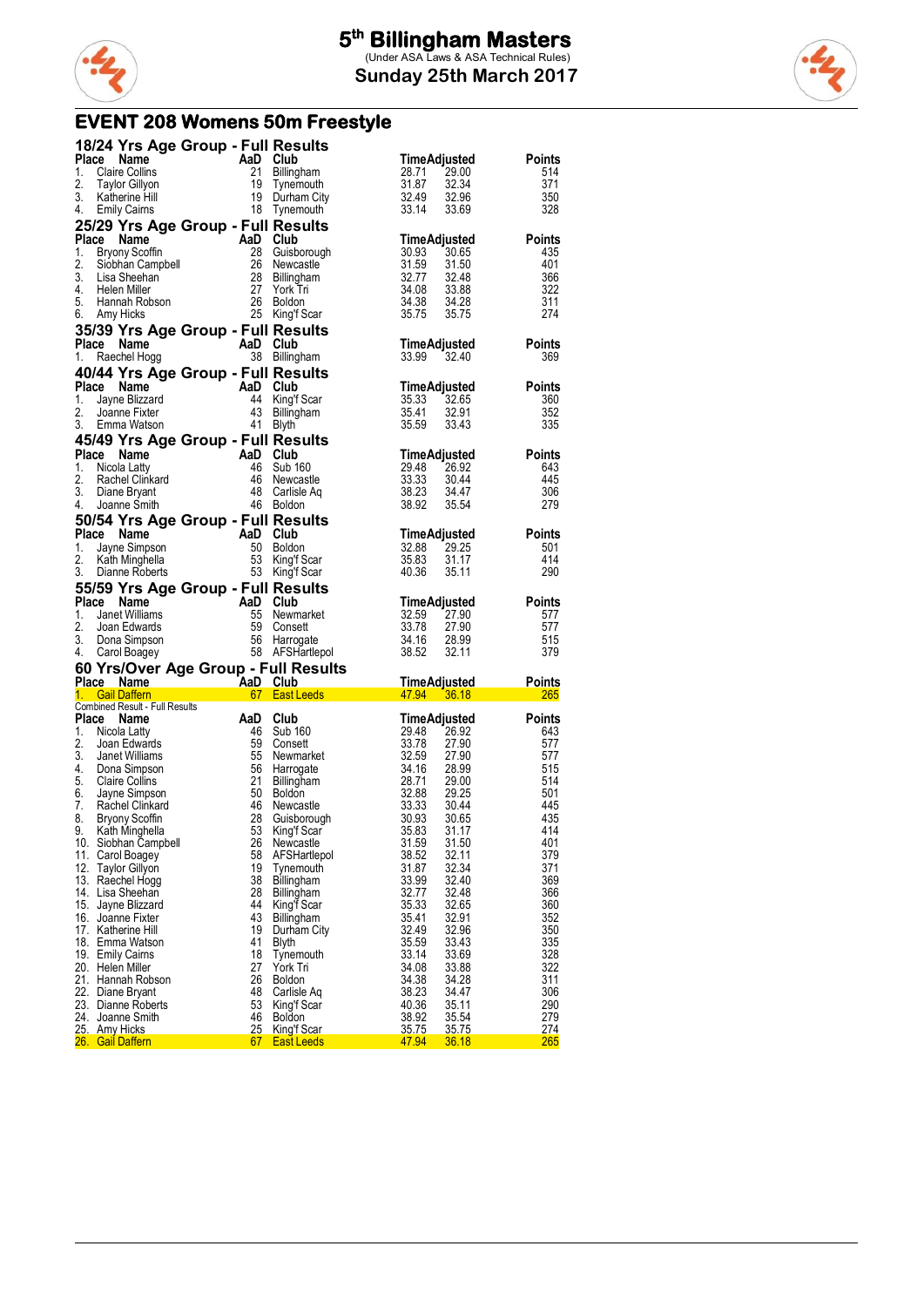

**Sunday 25th March 2017**

### **EVENT 208 Womens 50m Freestyle**

|          | 18/24 Yrs Age Group - Full Results                                                                                                                                                                                                              |                                                                                                                                                   |                                                                                                                                                                                                                                                                                    |                                                                                                         |                      |
|----------|-------------------------------------------------------------------------------------------------------------------------------------------------------------------------------------------------------------------------------------------------|---------------------------------------------------------------------------------------------------------------------------------------------------|------------------------------------------------------------------------------------------------------------------------------------------------------------------------------------------------------------------------------------------------------------------------------------|---------------------------------------------------------------------------------------------------------|----------------------|
|          | Place Name                                                                                                                                                                                                                                      |                                                                                                                                                   | AaD Club<br>21 Billingham<br>21 Billingham<br>19 Durham City<br>18 Tynemouth                                                                                                                                                                                                       | TimeAdjusted                                                                                            | <b>Points</b>        |
| 1.<br>2. | <b>Claire Collins</b>                                                                                                                                                                                                                           |                                                                                                                                                   |                                                                                                                                                                                                                                                                                    | 28.71<br>29.00<br>32.34                                                                                 | 514<br>371           |
| 3.       | Taylor Gillyon<br>Katherine Hill                                                                                                                                                                                                                |                                                                                                                                                   |                                                                                                                                                                                                                                                                                    | 31.87<br>32.49<br>33.14<br>32.49                                                                        | 350                  |
| 4.       | <b>Emily Cairns</b>                                                                                                                                                                                                                             |                                                                                                                                                   |                                                                                                                                                                                                                                                                                    | 32.34<br>32.96<br>33.69<br>33.14                                                                        | 328                  |
|          | 25/29 Yrs Age Group - Full Results                                                                                                                                                                                                              |                                                                                                                                                   |                                                                                                                                                                                                                                                                                    |                                                                                                         |                      |
| 1.       | The Name of Captive Control of Captive Control of Captive Control of Captive Control of Captive Control of Captive Control of Captive Control of Captive Control of Captive Control of Captive Control of Captive Control of C<br>Place Name    |                                                                                                                                                   |                                                                                                                                                                                                                                                                                    | TimeAdjusted<br>30.93 30.65<br>31.59 31.50<br>32.77 32.48<br>34.08 33.88<br>34.38 34.28                 | Points<br>435        |
| 2.       |                                                                                                                                                                                                                                                 |                                                                                                                                                   |                                                                                                                                                                                                                                                                                    |                                                                                                         | 401                  |
| 3.       |                                                                                                                                                                                                                                                 |                                                                                                                                                   |                                                                                                                                                                                                                                                                                    |                                                                                                         | 366                  |
| 5.       | 4. Helen Miller                                                                                                                                                                                                                                 |                                                                                                                                                   |                                                                                                                                                                                                                                                                                    |                                                                                                         | 322<br>311           |
|          | 6. Amy Hicks                                                                                                                                                                                                                                    |                                                                                                                                                   |                                                                                                                                                                                                                                                                                    | 33.88<br>34.28<br>35.75<br>34.38<br>35.75                                                               | 274                  |
|          | 35/39 Yrs Age Group - Full Results                                                                                                                                                                                                              |                                                                                                                                                   |                                                                                                                                                                                                                                                                                    |                                                                                                         |                      |
|          | Place Name                                                                                                                                                                                                                                      | $\overline{AB}$ Club                                                                                                                              |                                                                                                                                                                                                                                                                                    | TimeAdjusted<br>33.99  32.40                                                                            | Points               |
| 1.       | Raechel Hogg                                                                                                                                                                                                                                    |                                                                                                                                                   | 38 Billingham                                                                                                                                                                                                                                                                      |                                                                                                         | 369                  |
|          | 40/44 Yrs Age Group - Full Results<br>Place Name                                                                                                                                                                                                |                                                                                                                                                   |                                                                                                                                                                                                                                                                                    |                                                                                                         | <b>Points</b>        |
| 1.       | Comme<br>San Club<br>Jayne Blizzard<br>Jayne Blizzard<br>Jayne Fixter<br>Emma Watson<br>41 Blyth                                                                                                                                                |                                                                                                                                                   |                                                                                                                                                                                                                                                                                    | <b>TimeAdjusted</b><br>35.33 32.65<br>35.41 32.91<br>35.59 33.43<br>35.33                               | 360                  |
| 2.       |                                                                                                                                                                                                                                                 |                                                                                                                                                   | 44 King'f Scar<br>43 Billingham                                                                                                                                                                                                                                                    |                                                                                                         | 352                  |
| 3.       | Emma Watson                                                                                                                                                                                                                                     |                                                                                                                                                   | 41 Blyth                                                                                                                                                                                                                                                                           |                                                                                                         | 335                  |
|          | 45/49 Yrs Age Group - Full Results                                                                                                                                                                                                              |                                                                                                                                                   |                                                                                                                                                                                                                                                                                    |                                                                                                         |                      |
| 1.       | Place Name<br>The Name And Club<br>Nicola Latty 46 Sub 160<br>Rachel Clinkard 46 Newcastle<br>Diane Bryant 48 Carlisle Aq<br>Joanne Smith 46 Boldon                                                                                             |                                                                                                                                                   |                                                                                                                                                                                                                                                                                    | TimeAdjusted<br>29.48 26.92                                                                             | <b>Points</b><br>643 |
| 2.       |                                                                                                                                                                                                                                                 |                                                                                                                                                   |                                                                                                                                                                                                                                                                                    | 33.33<br>38.23                                                                                          | 445                  |
| 3.       |                                                                                                                                                                                                                                                 |                                                                                                                                                   |                                                                                                                                                                                                                                                                                    | 26.92<br>30.44<br>34.47<br>35.54                                                                        | 306                  |
| 4.       |                                                                                                                                                                                                                                                 |                                                                                                                                                   |                                                                                                                                                                                                                                                                                    | 38.92                                                                                                   | 279                  |
|          | 50/54 Yrs Age Group - Full Results<br>Place Name                                                                                                                                                                                                |                                                                                                                                                   |                                                                                                                                                                                                                                                                                    |                                                                                                         | <b>Points</b>        |
| 1.       | <b>Example 18 And School Club</b><br><b>And Club</b><br><b>And Club</b><br><b>And Club</b><br><b>And Club</b><br><b>And Club</b><br><b>And Club</b><br><b>And Club</b><br><b>And Club</b><br>53 King'f Scar<br>Dianne Roberts<br>53 King'f Scar |                                                                                                                                                   |                                                                                                                                                                                                                                                                                    | <b>TimeAdjusted</b><br>32.88 29.25                                                                      | 501                  |
| 2.       |                                                                                                                                                                                                                                                 |                                                                                                                                                   |                                                                                                                                                                                                                                                                                    | 35.83<br>31.17<br>35.11                                                                                 | 414                  |
|          | 3. Dianne Roberts                                                                                                                                                                                                                               |                                                                                                                                                   |                                                                                                                                                                                                                                                                                    | 40.36                                                                                                   | 290                  |
|          |                                                                                                                                                                                                                                                 |                                                                                                                                                   |                                                                                                                                                                                                                                                                                    |                                                                                                         |                      |
|          | 55/59 Yrs Age Group - Full Results                                                                                                                                                                                                              |                                                                                                                                                   |                                                                                                                                                                                                                                                                                    |                                                                                                         |                      |
|          |                                                                                                                                                                                                                                                 |                                                                                                                                                   |                                                                                                                                                                                                                                                                                    |                                                                                                         |                      |
|          |                                                                                                                                                                                                                                                 |                                                                                                                                                   |                                                                                                                                                                                                                                                                                    |                                                                                                         |                      |
|          |                                                                                                                                                                                                                                                 |                                                                                                                                                   |                                                                                                                                                                                                                                                                                    |                                                                                                         |                      |
|          |                                                                                                                                                                                                                                                 |                                                                                                                                                   |                                                                                                                                                                                                                                                                                    |                                                                                                         |                      |
|          |                                                                                                                                                                                                                                                 |                                                                                                                                                   |                                                                                                                                                                                                                                                                                    |                                                                                                         |                      |
|          |                                                                                                                                                                                                                                                 |                                                                                                                                                   |                                                                                                                                                                                                                                                                                    |                                                                                                         |                      |
|          | Combined Result - Full Results<br>Place Name                                                                                                                                                                                                    |                                                                                                                                                   | <b>30/09/2012 17 Age Group - Full Results</b><br>Place Name AaD Club<br>1. Janet Williams 55 Newmarket<br>2. Joan Edwards 59 Consett<br>3. Dona Simpson 56 Harrogate 34.16 28.99 577<br>3. Dona Simpson 56 Harrogate 34.16 28.99 515<br>4. Garl                                    |                                                                                                         | <b>Points</b>        |
| 1.       | Nicola Latty                                                                                                                                                                                                                                    |                                                                                                                                                   |                                                                                                                                                                                                                                                                                    |                                                                                                         | 643                  |
| 2.       | Joan Edwards                                                                                                                                                                                                                                    |                                                                                                                                                   |                                                                                                                                                                                                                                                                                    |                                                                                                         | 577                  |
| 3.<br>4. | Janet Williams<br>Dona Simpson                                                                                                                                                                                                                  |                                                                                                                                                   |                                                                                                                                                                                                                                                                                    |                                                                                                         | 577<br>515           |
| 5.       | <b>Claire Collins</b>                                                                                                                                                                                                                           |                                                                                                                                                   |                                                                                                                                                                                                                                                                                    | <b>TimeAdjusted</b><br>29.48 26.92<br>33.78 27.90<br>32.59 27.90<br>34.16 28.99<br>34.16 28.99<br>29.00 | 514                  |
| 6.       | Jayne Simpson                                                                                                                                                                                                                                   |                                                                                                                                                   |                                                                                                                                                                                                                                                                                    | 29.25                                                                                                   | 501                  |
| 7.<br>8. | Rachel Clinkard<br><b>Bryony Scoffin</b>                                                                                                                                                                                                        |                                                                                                                                                   |                                                                                                                                                                                                                                                                                    | 30.44<br>30.65                                                                                          | 445<br>435           |
| 9.       | Kath Minghella                                                                                                                                                                                                                                  |                                                                                                                                                   |                                                                                                                                                                                                                                                                                    | 31.17                                                                                                   | 414                  |
|          | 10. Siobhan Campbell                                                                                                                                                                                                                            | <b>SILIB</b><br>Soutis<br><b>AaD Club</b><br>46 Sub 160<br>59 Consett<br>55 Newmarks<br>56 Harrogate<br>21 Billingham<br>46 Newcastle<br>28<br>26 |                                                                                                                                                                                                                                                                                    | 31.50                                                                                                   | 401                  |
|          | 11. Carol Boagey<br>12. Taylor Gillyon                                                                                                                                                                                                          | 58<br>19                                                                                                                                          | 947<br>2010 160<br>29.48<br>Consett<br>Newmarket<br>Newmarket<br>33.78<br>Harrogate 34.16<br>Billingham<br>Billingham<br>28.71 2<br>28.88 2<br>Guisborough 30.93<br>Suisborough 30.93<br>Suisborough 30.93<br>Suisborough 30.93<br>Fight Scar<br>FSH∼<br>AFSHartlepol<br>Tynemouth | 38.52<br>32.11<br>31.87<br>32.34                                                                        | 379<br>371           |
|          | 13. Raechel Hogg                                                                                                                                                                                                                                | 38                                                                                                                                                | Billingham                                                                                                                                                                                                                                                                         | 33.99<br>32.40                                                                                          | 369                  |
|          | 14. Lisa Sheehan                                                                                                                                                                                                                                | 28<br>44                                                                                                                                          | Billingham                                                                                                                                                                                                                                                                         | 32.77<br>32.48<br>32.65                                                                                 | 366                  |
|          | 15. Jayne Blizzard<br>16. Joanne Fixter                                                                                                                                                                                                         | 43                                                                                                                                                | King'f Scar<br>Billingham                                                                                                                                                                                                                                                          | 35.33<br>35.41<br>32.91                                                                                 | 360<br>352           |
|          | 17. Katherine Hill                                                                                                                                                                                                                              | 19                                                                                                                                                | Durham City                                                                                                                                                                                                                                                                        | 32.49<br>32.96                                                                                          | 350                  |
|          | 18. Emma Watson                                                                                                                                                                                                                                 | 41                                                                                                                                                | Blyth                                                                                                                                                                                                                                                                              | 35.59<br>33.43                                                                                          | 335                  |
|          | 19. Emily Caims<br>20. Helen Miller                                                                                                                                                                                                             | 18<br>27                                                                                                                                          | Tynemouth<br>York Tri                                                                                                                                                                                                                                                              | 33.14<br>33.69<br>34.08<br>33.88                                                                        | 328<br>322           |
|          | 21. Hannah Robson                                                                                                                                                                                                                               | 26                                                                                                                                                | <b>Boldon</b>                                                                                                                                                                                                                                                                      | 34.38<br>34.28                                                                                          | 311                  |
|          | 22. Diane Bryant                                                                                                                                                                                                                                | 48                                                                                                                                                | Carlisle Aq                                                                                                                                                                                                                                                                        | 38.23<br>34.47                                                                                          | 306                  |
|          | 23. Dianne Roberts<br>24. Joanne Smith                                                                                                                                                                                                          | 53<br>46                                                                                                                                          | King'f Scar<br><b>Boldon</b>                                                                                                                                                                                                                                                       | 40.36<br>35.11<br>38.92<br>35.54                                                                        | 290<br>279           |
|          | 25. Amy Hicks<br>26. Gail Daffern                                                                                                                                                                                                               | 25<br>67                                                                                                                                          | King'f Scar<br><b>East Leeds</b>                                                                                                                                                                                                                                                   | 35.75<br>35.75<br>47.94<br>36.18                                                                        | 274<br>265           |

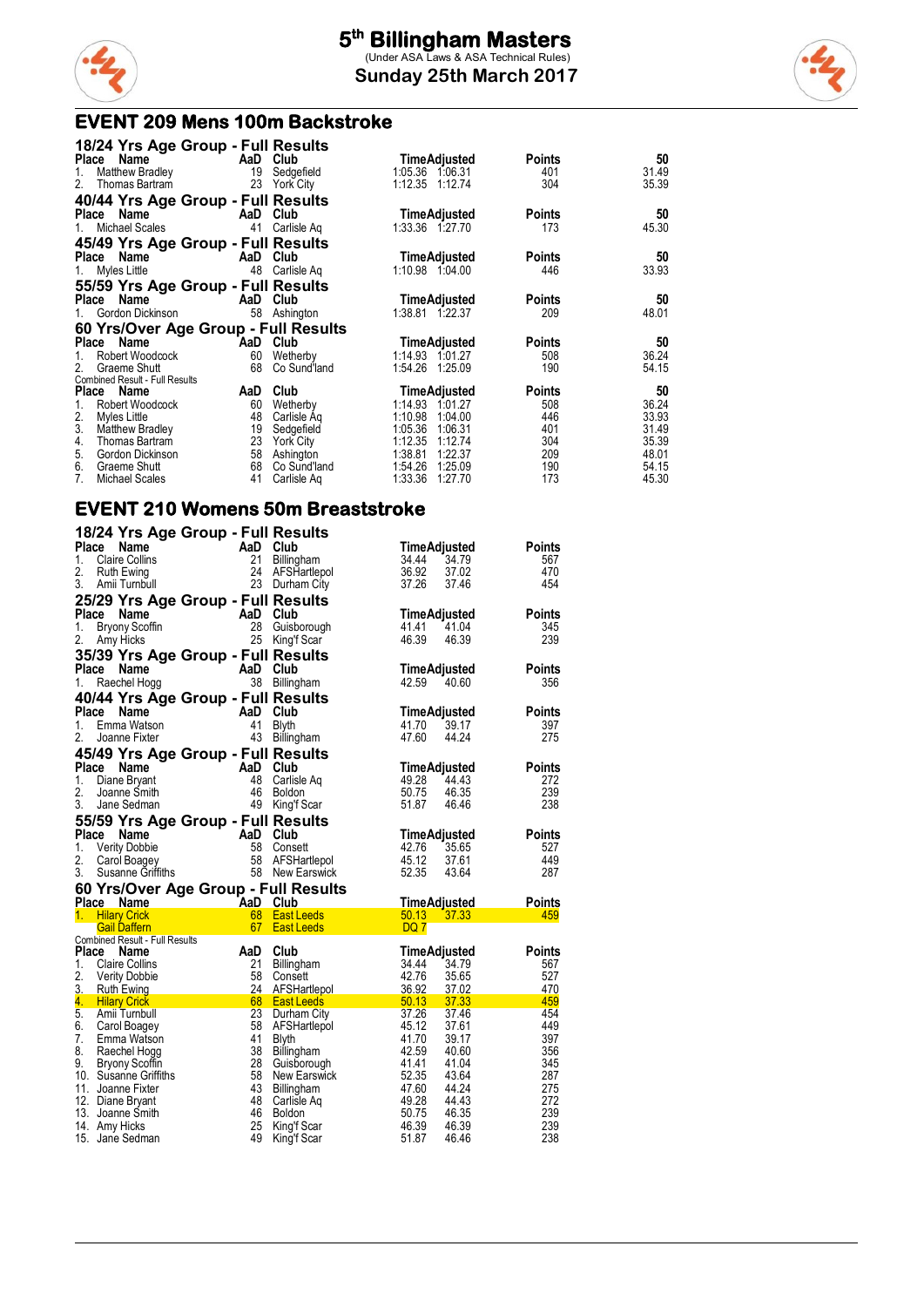

#### **EVENT 209 Mens 100m Backstroke**

| 18/24 Yrs Age Group - Full Results    |     |              |                     |               |       |
|---------------------------------------|-----|--------------|---------------------|---------------|-------|
| Place<br>Name                         |     | AaD Club     | <b>TimeAdjusted</b> | Points        | 50    |
| Matthew Bradley<br>1.                 | 19  | Sedgefield   | 1:05.36 1:06.31     | 401           | 31.49 |
| Thomas Bartram<br>2.                  | 23  | York City    | 1:12.35 1:12.74     | 304           | 35.39 |
| 40/44 Yrs Age Group - Full Results    |     |              |                     |               |       |
| Place Name                            |     | AaD Club     | <b>TimeAdjusted</b> | <b>Points</b> | 50    |
| Michael Scales<br>1.                  | 41  | Carlisle Aq  | 1:33.36 1:27.70     | 173           | 45.30 |
| 45/49 Yrs Age Group - Full Results    |     |              |                     |               |       |
| Place Name                            |     | AaD Club     | <b>TimeAdjusted</b> | <b>Points</b> | 50    |
| Myles Little<br>1.                    | 48  | Carlisle Aq  | 1:10.98 1:04.00     | 446           | 33.93 |
| 55/59 Yrs Age Group - Full Results    |     |              |                     |               |       |
| Name<br>Place                         |     | AaD Club     | <b>TimeAdjusted</b> | <b>Points</b> | 50    |
| Gordon Dickinson                      | 58  | Ashington    | 1:38.81 1:22.37     | 209           | 48.01 |
| 60 Yrs/Over Age Group - Full Results  |     |              |                     |               |       |
| Name<br>Place                         |     | AaD Club     | TimeAdjusted        | Points        | 50    |
| Robert Woodcock                       | 60  | Wetherby     | 1:14.93 1:01.27     | 508           | 36.24 |
| Graeme Shutt<br>2 <sub>1</sub>        | 68  | Co Sund'land | 1:54.26 1:25.09     | 190           | 54.15 |
| <b>Combined Result - Full Results</b> |     |              |                     |               |       |
| Place Name                            | AaD | Club         | <b>TimeAdjusted</b> | <b>Points</b> | 50    |
| Robert Woodcock<br>1.                 | 60  | Wetherby     | 1:14.93<br>1:01.27  | 508           | 36.24 |
| 2.<br>Myles Little                    | 48  | Carlisle Ag  | 1:10.98<br>1:04.00  | 446           | 33.93 |
| 3.<br>Matthew Bradley                 | 19  | Sedgefield   | 1:06.31<br>1:05.36  | 401           | 31.49 |
| Thomas Bartram<br>4.                  | 23  | York City    | 1:12.35<br>1:12.74  | 304           | 35.39 |
| 5.<br>Gordon Dickinson                | 58  | Ashington    | 1:38.81<br>1:22.37  | 209           | 48.01 |
| 6.<br>Graeme Shutt                    | 68  | Co Sund'land | 1:54.26<br>1:25.09  | 190           | 54.15 |
| 7.<br>Michael Scales                  | 41  | Carlisle Ag  | 1:33.36<br>1:27.70  | 173           | 45.30 |

#### **EVENT 210 Womens 50m Breaststroke**

|                             | 18/24 Yrs Age Group - Full Results   |          |                            |                     |       |               |
|-----------------------------|--------------------------------------|----------|----------------------------|---------------------|-------|---------------|
| <b>Place</b>                | Name                                 | AaD Club |                            | <b>TimeAdjusted</b> |       | <b>Points</b> |
| <b>Claire Collins</b><br>1. |                                      | 21       | Billingham                 | 34.44               | 34.79 | 567           |
| 2.<br>Ruth Ewing            |                                      |          | 24 AFSHartlepol            | 36.92               | 37.02 | 470           |
| 3.<br>Amii Turnbull         |                                      |          | 23 Durham City             | 37.26               | 37.46 | 454           |
|                             | 25/29 Yrs Age Group - Full Results   |          |                            |                     |       |               |
| Place                       | Name                                 | AaD      | Club                       | <b>TimeAdjusted</b> |       | <b>Points</b> |
| 1.                          | <b>Bryony Scoffin</b>                | 28       | Guisborough                | 41.41               | 41.04 | 345           |
| 2.<br>Amy Hicks             |                                      | 25       | King'f Scar                | 46.39               | 46.39 | 239           |
|                             |                                      |          |                            |                     |       |               |
|                             | 35/39 Yrs Age Group - Full Results   |          |                            |                     |       |               |
| Place                       | <b>Name</b>                          | AaD Club |                            | <b>TimeAdjusted</b> |       | <b>Points</b> |
| 1.<br>Raechel Hogg          |                                      | 38       | Billingham                 | 42.59               | 40.60 | 356           |
|                             | 40/44 Yrs Age Group - Full Results   |          |                            |                     |       |               |
| Place                       | Name                                 | AaD      | Club                       | <b>TimeAdjusted</b> |       | <b>Points</b> |
| 1.                          | Emma Watson                          | 41       | <b>Blyth</b>               | 41.70               | 39.17 | 397           |
| 2.<br>Joanne Fixter         |                                      | 43       | Billingham                 | 47.60               | 44.24 | 275           |
|                             | 45/49 Yrs Age Group - Full Results   |          |                            |                     |       |               |
| Place                       | Name                                 | AaD      | Club                       | TimeAdiusted        |       | <b>Points</b> |
| 1.<br>Diane Bryant          |                                      | 48       | Carlisle Ag                | 49.28               | 44.43 | 272           |
| 2.<br>Joanne Smith          |                                      | 46       | Boldon                     | 50.75               | 46.35 | 239           |
| 3.<br>Jane Sedman           |                                      | 49       | King'f Scar                | 51.87               | 46.46 | 238           |
|                             | 55/59 Yrs Age Group - Full Results   |          |                            |                     |       |               |
| Place                       | Name                                 | AaD Club |                            | <b>TimeAdjusted</b> |       | <b>Points</b> |
| 1.<br><b>Verity Dobbie</b>  |                                      | 58       | Consett                    | 42.76               | 35.65 | 527           |
| 2.<br>Carol Boagey          |                                      | 58       | AFSHartlepol               | 45.12               | 37.61 | 449           |
| 3.                          | Susanne Griffiths                    |          | 58 New Earswick            | 52.35               | 43.64 | 287           |
|                             |                                      |          |                            |                     |       |               |
| Place Name                  | 60 Yrs/Over Age Group - Full Results |          |                            | TimeAdjusted        |       | <b>Points</b> |
| 1.<br><b>Hilary Crick</b>   | <b>Example 2</b> AaD Club            | 68       | <b>East Leeds</b>          | 50.13               | 37.33 | 459           |
| <b>Gail Daffern</b>         |                                      | 67       | <b>East Leeds</b>          | DQ 7                |       |               |
|                             | Combined Result - Full Results       |          |                            |                     |       |               |
| <b>Place</b>                | Name                                 | AaD      | Club                       | TimeAdjusted        |       | Points        |
| 1.<br><b>Claire Collins</b> |                                      | 21       | Billingham                 | 34.44               | 34.79 | 567           |
| 2.<br><b>Verity Dobbie</b>  |                                      | 58       | Consett                    | 42.76               | 35.65 | 527           |
| 3.<br><b>Ruth Ewing</b>     |                                      | 24       | AFSHartlepol               | 36.92               | 37.02 | 470           |
| 4.<br><b>Hilary Crick</b>   |                                      | 68       | <b>East Leeds</b>          | 50.13               | 37.33 | 459           |
| 5.<br>Amii Turnbull         |                                      | 23       | Durham City                | 37.26               | 37.46 | 454           |
| 6.<br>Carol Boagey          |                                      | 58       | AFSHartlepol               | 45.12               | 37.61 | 449           |
| 7.                          | Emma Watson                          | 41       | <b>Blyth</b>               | 41.70               | 39.17 | 397           |
| 8.<br>Raechel Hogg          |                                      | 38       | Billingham                 | 42.59               | 40.60 | 356           |
| 9.<br><b>Bryony Scoffin</b> |                                      | 28       | Guisborough                | 41.41               | 41.04 | 345           |
| 10. Susanne Griffiths       |                                      | 58       | <b>New Earswick</b>        | 52.35               | 43.64 | 287           |
| 11. Joanne Fixter           |                                      | 43       | <b>Billingham</b>          | 47.60               | 44.24 | 275           |
| 12. Diane Bryant            |                                      | 48       | Carlisle Aq                | 49.28               | 44.43 | 272           |
| 13. Joanne Smith            |                                      | 46       | Boldon                     | 50.75               | 46.35 | 239           |
| 14. Amy Hicks               |                                      | 25<br>49 | King'f Scar<br>King'f Scar | 46.39               | 46.39 | 239<br>238    |
| 15. Jane Sedman             |                                      |          |                            | 51.87               | 46.46 |               |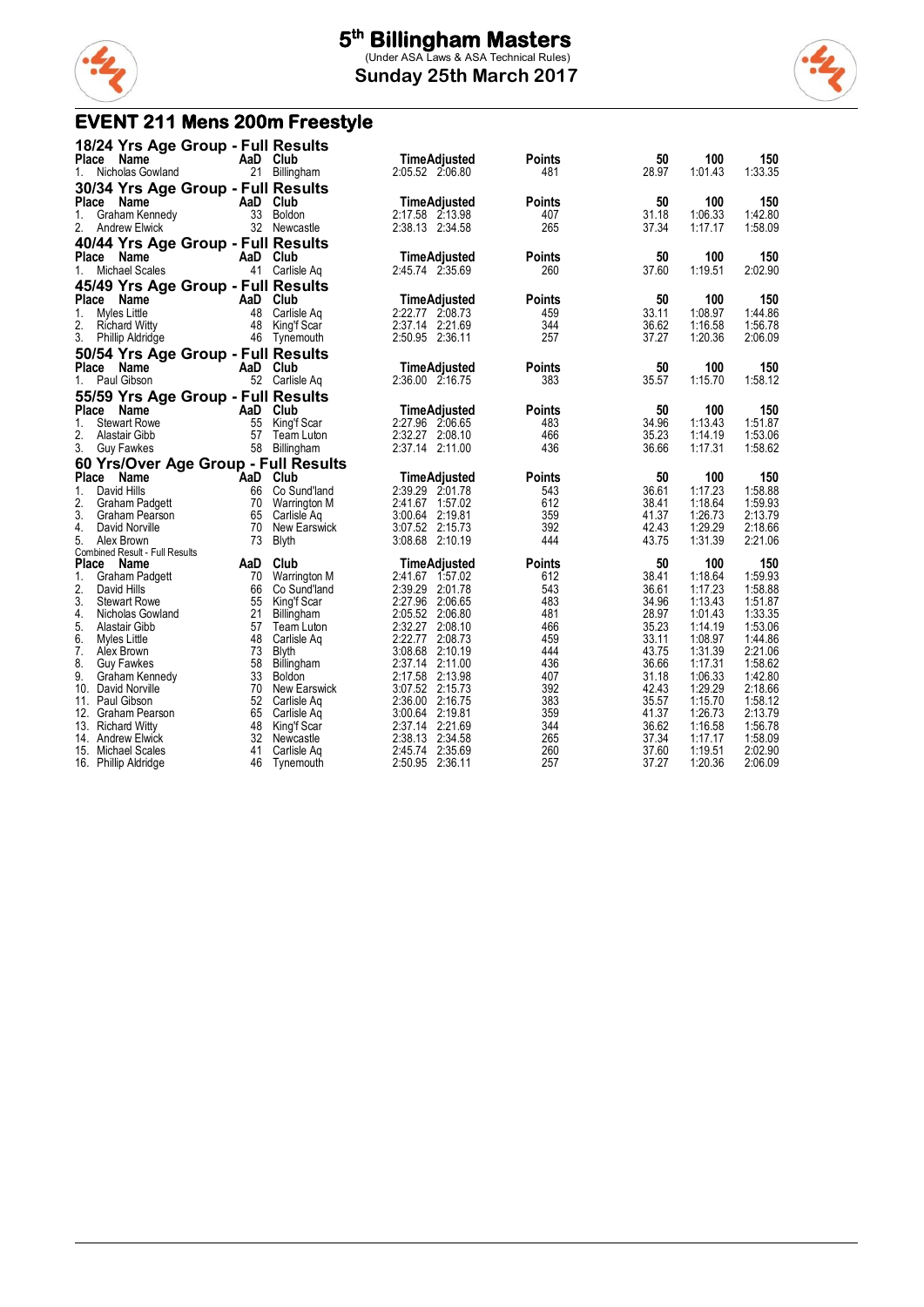

#### **Sunday 25th March 2017**



### **EVENT 211 Mens 200m Freestyle**

|              | 18/24 Yrs Age Group - Full Results   |          |                     |                                       |               |                |                    |                    |
|--------------|--------------------------------------|----------|---------------------|---------------------------------------|---------------|----------------|--------------------|--------------------|
| Place        | Name                                 | AaD      | Club                | <b>TimeAdjusted</b>                   | Points        | 50             | 100                | 150                |
| 1.           | Nicholas Gowland                     | 21       | Billingham          | 2:05.52 2:06.80                       | 481           | 28.97          | 1:01.43            | 1:33.35            |
|              | 30/34 Yrs Age Group - Full Results   |          |                     |                                       |               |                |                    |                    |
| Place        | Name                                 | AaD      | Club                | <b>TimeAdjusted</b>                   | <b>Points</b> | 50             | 100                | 150                |
| 1.           | Graham Kennedy                       | 33       | Boldon              | 2:17.58 2:13.98                       | 407           | 31.18          | 1:06.33            | 1:42.80            |
| 2.           | <b>Andrew Elwick</b>                 |          | 32 Newcastle        | 2:38.13 2:34.58                       | 265           | 37.34          | 1:17.17            | 1:58.09            |
|              | 40/44 Yrs Age Group - Full Results   |          |                     |                                       |               |                |                    |                    |
| Place        | Name                                 | AaD      | Club                | <b>TimeAdjusted</b>                   | <b>Points</b> | 50             | 100                | 150                |
| 1.           | Michael Scales                       | 41       | Carlisle Ag         | 2:45.74 2:35.69                       | 260           | 37.60          | 1:19.51            | 2:02.90            |
|              | 45/49 Yrs Age Group - Full Results   |          |                     |                                       |               |                |                    |                    |
| Place        | Name                                 | AaD      | Club                | TimeAdjusted                          | Points        | 50             | 100                | 150                |
| 1.           | Myles Little                         | 48       | Carlisle Ag         | 2:22.77 2:08.73                       | 459           | 33.11          | 1:08.97            | 1:44.86            |
| 2.           | <b>Richard Witty</b>                 | 48       | King'f Scar         | 2:37.14 2:21.69                       | 344           | 36.62          | 1:16.58            | 1:56.78            |
| 3.           | Phillip Aldridge                     |          | 46 Tynemouth        | 2:50.95 2:36.11                       | 257           | 37.27          | 1:20.36            | 2:06.09            |
|              | 50/54 Yrs Age Group - Full Results   |          |                     |                                       |               |                |                    |                    |
| <b>Place</b> | Name                                 | AaD      | Club                | <b>TimeAdjusted</b>                   | Points        | 50             | 100                | 150                |
| 1.           | Paul Gibson                          |          | 52 Carlisle Aq      | 2:36.00 2:16.75                       | 383           | 35.57          | 1:15.70            | 1:58.12            |
|              | 55/59 Yrs Age Group - Full Results   |          |                     |                                       |               |                |                    |                    |
| Place        | <b>Name</b>                          | AaD      | Club                | <b>TimeAdjusted</b>                   | Points        | 50             | 100                | 150                |
| 1.           | <b>Stewart Rowe</b>                  | 55       | King'f Scar         | 2:27.96 2:06.65                       | 483           | 34.96          | 1:13.43            | 1:51.87            |
| 2.           | Alastair Gibb                        | 57       | Team Luton          | 2:32.27 2:08.10                       | 466           | 35.23          | 1:14.19            | 1:53.06            |
| 3.           | <b>Guy Fawkes</b>                    |          | 58 Billingham       | 2:37.14 2:11.00                       | 436           | 36.66          | 1:17.31            | 1:58.62            |
|              | 60 Yrs/Over Age Group - Full Results |          |                     |                                       |               |                |                    |                    |
| Place        | <b>Name</b>                          | `AaD     | Club                | <b>TimeAdjusted</b>                   | <b>Points</b> | 50             | 100                | 150                |
| 1.           | David Hills                          | 66       | Co Sund'land        | 2:39.29 2:01.78                       | 543           | 36.61          | 1:17.23            | 1:58.88            |
| 2.           | Graham Padgett                       | 70       | Warrington M        | 2.41.67 1.57.02                       | 612           | 38.41          | 1:18.64            | 1:59.93            |
| 3.           | Graham Pearson                       | 65       | Carlisle Aq         | 3:00.64 2:19.81                       | 359           | 41.37          | 1:26.73            | 2:13.79            |
| 4.           | David Norville                       | 70       | New Earswick        | 3:07.52 2:15.73                       | 392           | 42.43          | 1:29.29            | 2:18.66            |
| 5.           | Alex Brown                           | 73       | Blyth               | 3:08.68 2:10.19                       | 444           | 43.75          | 1:31.39            | 2:21.06            |
|              | Combined Result - Full Results       |          |                     |                                       |               |                |                    |                    |
| Place        | Name                                 | AaD      | Club                | TimeAdjusted                          | <b>Points</b> | 50             | 100                | 150                |
| 1.           | Graham Padgett                       | 70       | Warrington M        | 2:41.67 1.57.02                       | 612           | 38.41          | 1:18.64            | 1.59.93            |
| 2.           | David Hills                          | 66       | Co Sund'land        | 2:39.29<br>2:01.78                    | 543           | 36.61          | 1:17.23            | 1:58.88            |
| 3.           | <b>Stewart Rowe</b>                  | 55       | King'f Scar         | 2:27.96 2:06.65                       | 483           | 34.96          | 1:13.43            | 1:51.87            |
| 4.           | Nicholas Gowland                     | 21       | <b>Billingham</b>   | 2:05.52 2:06.80                       | 481           | 28.97          | 1:01.43            | 1:33.35<br>1:53.06 |
| 5.<br>6.     | Alastair Gibb<br>Myles Little        | 57       | Team Luton          | 2:32.27<br>2:08.10<br>2:22.77 2:08.73 | 466           | 35.23<br>33.11 | 1:14.19<br>1:08.97 | 1.44.86            |
| 7.           |                                      | 48<br>73 | Carlisle Aq         |                                       | 459<br>444    | 43.75          | 1:31.39            | 2:21.06            |
| 8.           | Alex Brown<br><b>Guy Fawkes</b>      | 58       | Blyth<br>Billingham | 3:08.68 2:10.19<br>2:37.14 2:11.00    | 436           | 36.66          | 1:17.31            | 1:58.62            |
| 9.           | Graham Kennedy                       | 33       | <b>Boldon</b>       | 2:17.58<br>2:13.98                    | 407           | 31.18          | 1:06.33            | 1:42.80            |
|              | 10. David Norville                   | 70       | New Earswick        | 3:07.52 2:15.73                       | 392           | 42.43          | 1:29.29            | 2:18.66            |
|              | 11. Paul Gibson                      | 52       | Carlisle Ag         | 2:36.00 2:16.75                       | 383           | 35.57          | 1:15.70            | 1:58.12            |
| 12.          | Graham Pearson                       | 65       | Carlisle Ag         | 3:00.64 2:19.81                       | 359           | 41.37          | 1:26.73            | 2:13.79            |
|              | 13. Richard Witty                    | 48       | King'f Scar         | 2:37.14 2:21.69                       | 344           | 36.62          | 1:16.58            | 1:56.78            |
| 14.          | <b>Andrew Elwick</b>                 | 32       | Newcastle           | 2:38.13<br>2:34.58                    | 265           | 37.34          | 1:17.17            | 1:58.09            |
|              | 15. Michael Scales                   | 41       | Carlisle Ag         | 2.45.74 2.35.69                       | 260           | 37.60          | 1:19.51            | 2:02.90            |
| 16.          | <b>Phillip Aldridge</b>              | 46       | Tynemouth           | 2:50.95 2:36.11                       | 257           | 37.27          | 1:20.36            | 2:06.09            |